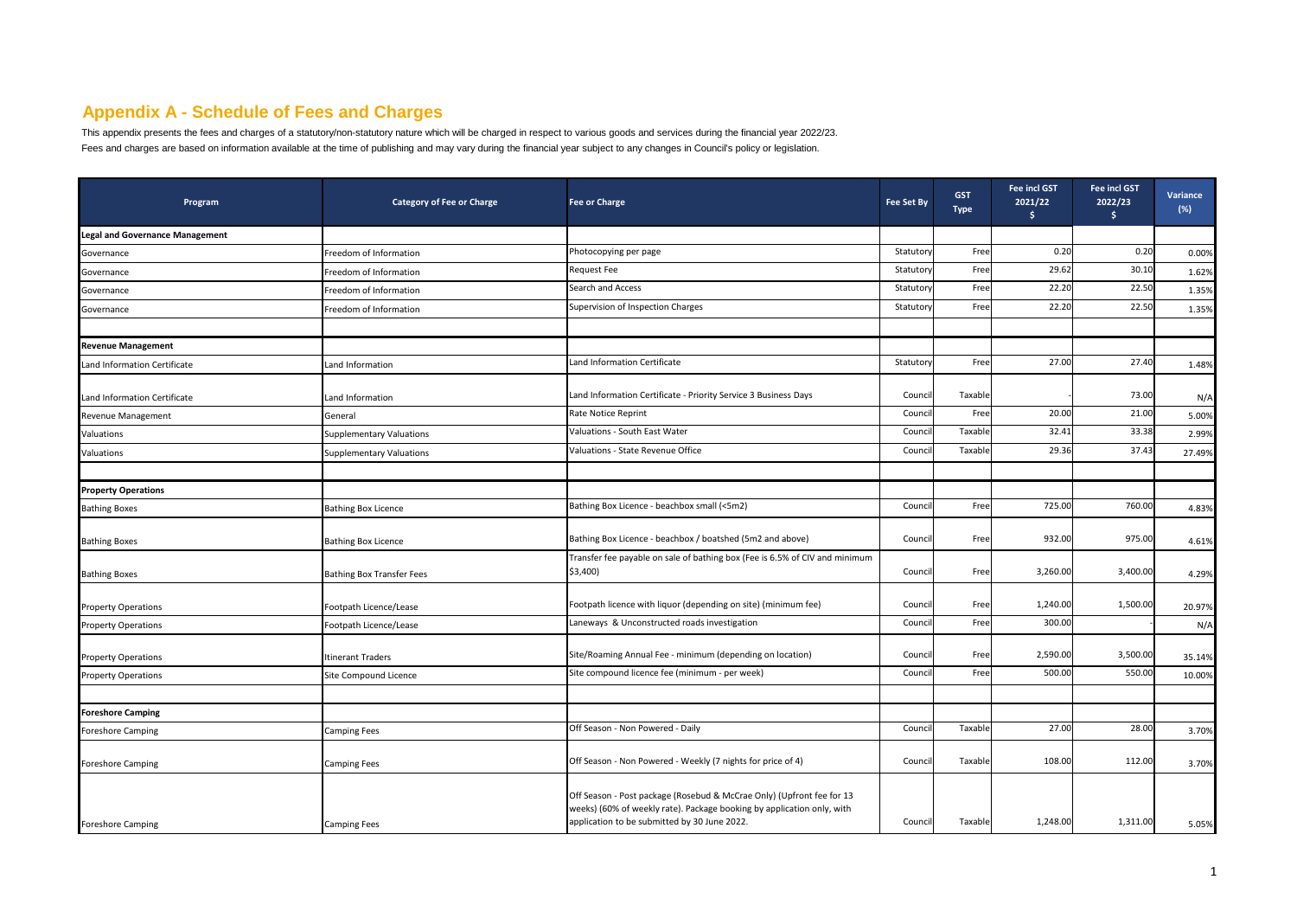## **Appendix A - Schedule of Fees and Charges**

This appendix presents the fees and charges of a statutory/non-statutory nature which will be charged in respect to various goods and services during the financial year 2022/23. Fees and charges are based on information available at the time of publishing and may vary during the financial year subject to any changes in Council's policy or legislation.

| Program                                | <b>Category of Fee or Charge</b> | <b>Fee or Charge</b>                                                                                                                                                                            | <b>Fee Set By</b> | <b>GST</b><br><b>Type</b> | <b>Fee incl GST</b><br>2021/22<br>\$ | <b>Fee incl GST</b><br>2022/23<br>Ŝ. | Variance<br>$(\%)$ |
|----------------------------------------|----------------------------------|-------------------------------------------------------------------------------------------------------------------------------------------------------------------------------------------------|-------------------|---------------------------|--------------------------------------|--------------------------------------|--------------------|
| <b>Legal and Governance Management</b> |                                  |                                                                                                                                                                                                 |                   |                           |                                      |                                      |                    |
| Governance                             | Freedom of Information           | Photocopying per page                                                                                                                                                                           | Statutory         | Free                      | 0.20                                 | 0.20                                 | 0.00%              |
| Governance                             | Freedom of Information           | Request Fee                                                                                                                                                                                     | Statuton          | Free                      | 29.62                                | 30.10                                | 1.62%              |
| Governance                             | Freedom of Information           | Search and Access                                                                                                                                                                               | Statuton          | Free                      | 22.20                                | 22.50                                | 1.35%              |
| Governance                             | Freedom of Information           | Supervision of Inspection Charges                                                                                                                                                               | Statuton          | Free                      | 22.20                                | 22.50                                | 1.35%              |
|                                        |                                  |                                                                                                                                                                                                 |                   |                           |                                      |                                      |                    |
| <b>Revenue Management</b>              |                                  |                                                                                                                                                                                                 |                   |                           |                                      |                                      |                    |
| Land Information Certificate           | Land Information                 | Land Information Certificate                                                                                                                                                                    | Statuton          | Free                      | 27.00                                | 27.40                                | 1.48%              |
| Land Information Certificate           | Land Information                 | Land Information Certificate - Priority Service 3 Business Days                                                                                                                                 | Council           | Taxable                   |                                      | 73.00                                | N/A                |
| Revenue Management                     | General                          | Rate Notice Reprint                                                                                                                                                                             | Council           | Free                      | 20.00                                | 21.00                                | 5.00%              |
| Valuations                             | Supplementary Valuations         | Valuations - South East Water                                                                                                                                                                   | Counci            | Taxable                   | 32.41                                | 33.38                                | 2.99%              |
| Valuations                             | Supplementary Valuations         | Valuations - State Revenue Office                                                                                                                                                               | Counci            | Taxable                   | 29.36                                | 37.43                                | 27.49%             |
|                                        |                                  |                                                                                                                                                                                                 |                   |                           |                                      |                                      |                    |
| <b>Property Operations</b>             |                                  |                                                                                                                                                                                                 |                   |                           |                                      |                                      |                    |
| <b>Bathing Boxes</b>                   | <b>Bathing Box Licence</b>       | Bathing Box Licence - beachbox small (<5m2)                                                                                                                                                     | Council           | Free                      | 725.00                               | 760.00                               | 4.83%              |
| <b>Bathing Boxes</b>                   | <b>Bathing Box Licence</b>       | Bathing Box Licence - beachbox / boatshed (5m2 and above)                                                                                                                                       | Council           | Free                      | 932.00                               | 975.00                               | 4.61%              |
| <b>Bathing Boxes</b>                   | Bathing Box Transfer Fees        | Transfer fee payable on sale of bathing box (Fee is 6.5% of CIV and minimum<br>\$3,400)                                                                                                         | Council           | Free                      | 3,260.00                             | 3,400.00                             | 4.29%              |
| <b>Property Operations</b>             | Footpath Licence/Lease           | Footpath licence with liquor (depending on site) (minimum fee)                                                                                                                                  | Council           | Free                      | 1,240.00                             | 1,500.00                             | 20.97%             |
| <b>Property Operations</b>             | Footpath Licence/Lease           | Laneways & Unconstructed roads investigation                                                                                                                                                    | Council           | Free                      | 300.00                               |                                      | N/A                |
| <b>Property Operations</b>             | Itinerant Traders                | Site/Roaming Annual Fee - minimum (depending on location)                                                                                                                                       | Council           | Free                      | 2,590.00                             | 3,500.00                             | 35.14%             |
| <b>Property Operations</b>             | Site Compound Licence            | Site compound licence fee (minimum - per week)                                                                                                                                                  | Counci            | Free                      | 500.00                               | 550.00                               | 10.00%             |
|                                        |                                  |                                                                                                                                                                                                 |                   |                           |                                      |                                      |                    |
| <b>Foreshore Camping</b>               |                                  |                                                                                                                                                                                                 |                   |                           |                                      |                                      |                    |
| Foreshore Camping                      | Camping Fees                     | Off Season - Non Powered - Daily                                                                                                                                                                | Counci            | Taxable                   | 27.00                                | 28.00                                | 3.70%              |
| <b>Foreshore Camping</b>               | <b>Camping Fees</b>              | Off Season - Non Powered - Weekly (7 nights for price of 4)                                                                                                                                     | Council           | Taxable                   | 108.00                               | 112.00                               | 3.70%              |
| <b>Foreshore Camping</b>               | <b>Camping Fees</b>              | Off Season - Post package (Rosebud & McCrae Only) (Upfront fee for 13<br>weeks) (60% of weekly rate). Package booking by application only, with<br>application to be submitted by 30 June 2022. | Council           | Taxable                   | 1,248.00                             | 1,311.00                             | 5.05%              |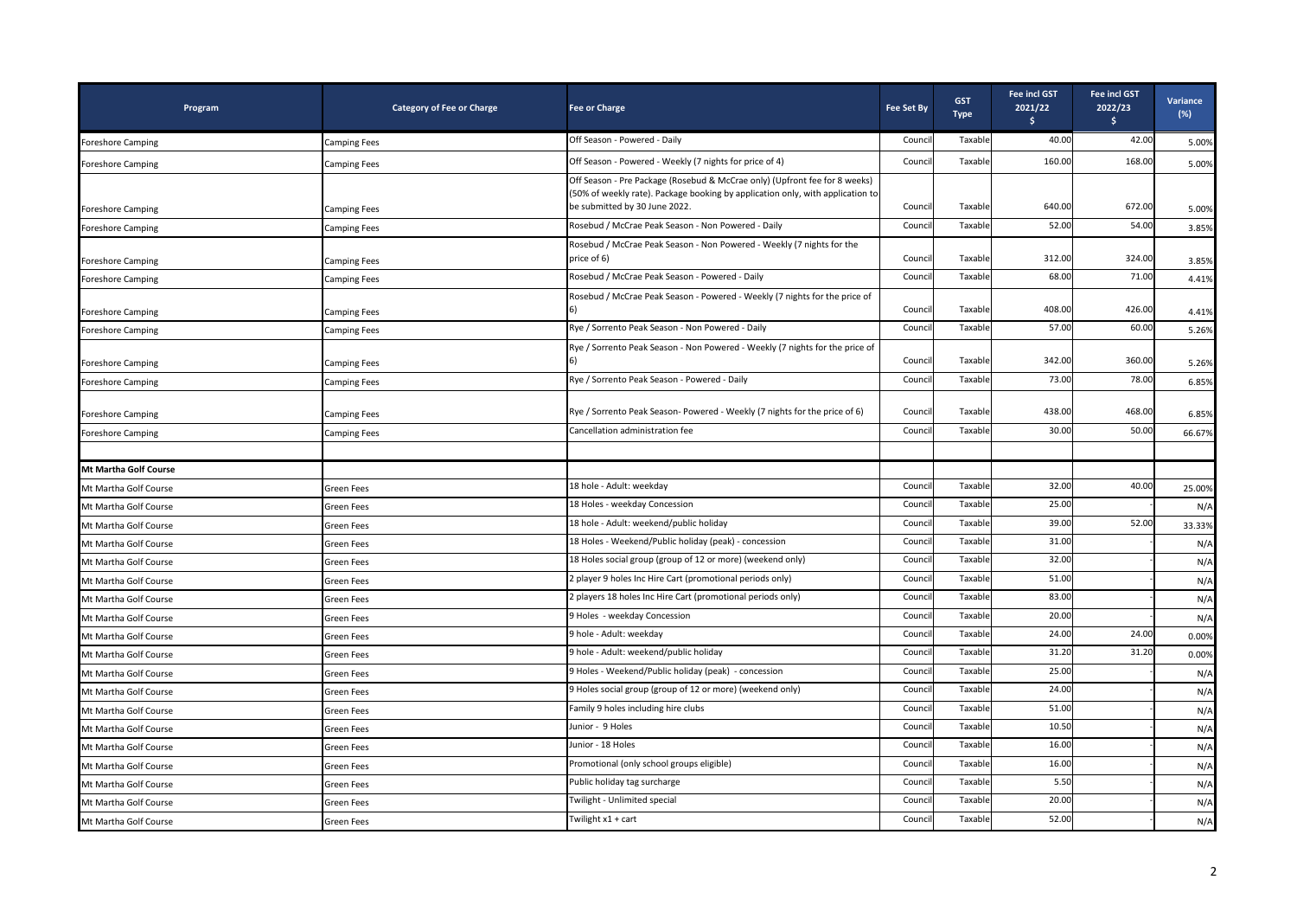| Program                      | <b>Category of Fee or Charge</b> | <b>Fee or Charge</b>                                                                                                                                                                          | <b>Fee Set By</b> | <b>GST</b><br><b>Type</b> | <b>Fee incl GST</b><br>2021/22<br>\$ | <b>Fee incl GST</b><br>2022/23<br>\$ | Variance<br>$(\%)$ |
|------------------------------|----------------------------------|-----------------------------------------------------------------------------------------------------------------------------------------------------------------------------------------------|-------------------|---------------------------|--------------------------------------|--------------------------------------|--------------------|
| <b>Foreshore Camping</b>     | Camping Fees                     | Off Season - Powered - Daily                                                                                                                                                                  | Counci            | Taxable                   | 40.00                                | 42.00                                | 5.00%              |
| <b>Foreshore Camping</b>     | Camping Fees                     | Off Season - Powered - Weekly (7 nights for price of 4)                                                                                                                                       | Counci            | Taxable                   | 160.00                               | 168.00                               | 5.00%              |
| <b>Foreshore Camping</b>     | Camping Fees                     | Off Season - Pre Package (Rosebud & McCrae only) (Upfront fee for 8 weeks)<br>(50% of weekly rate). Package booking by application only, with application to<br>be submitted by 30 June 2022. | Counci            | Taxable                   | 640.00                               | 672.00                               | 5.00%              |
| Foreshore Camping            | Camping Fees                     | Rosebud / McCrae Peak Season - Non Powered - Daily                                                                                                                                            | Counci            | Taxable                   | 52.00                                | 54.00                                | 3.85%              |
| Foreshore Camping            | <b>Camping Fees</b>              | Rosebud / McCrae Peak Season - Non Powered - Weekly (7 nights for the<br>price of 6)                                                                                                          | Counci            | Taxable                   | 312.00                               | 324.00                               | 3.85%              |
| <b>Foreshore Camping</b>     | Camping Fees                     | Rosebud / McCrae Peak Season - Powered - Daily                                                                                                                                                | Counci            | Taxable                   | 68.00                                | 71.00                                | 4.41%              |
| Foreshore Camping            | Camping Fees                     | Rosebud / McCrae Peak Season - Powered - Weekly (7 nights for the price of<br>6)                                                                                                              | Counci            | Taxable                   | 408.00                               | 426.00                               | 4.41%              |
| Foreshore Camping            | Camping Fees                     | Rye / Sorrento Peak Season - Non Powered - Daily                                                                                                                                              | Counci            | Taxable                   | 57.00                                | 60.00                                | 5.26%              |
| <b>Foreshore Camping</b>     | <b>Camping Fees</b>              | Rye / Sorrento Peak Season - Non Powered - Weekly (7 nights for the price of                                                                                                                  | Counci            | Taxable                   | 342.00                               | 360.00                               | 5.26%              |
| Foreshore Camping            | Camping Fees                     | Rye / Sorrento Peak Season - Powered - Daily                                                                                                                                                  | Counci            | Taxable                   | 73.00                                | 78.00                                | 6.85%              |
| <b>Foreshore Camping</b>     | Camping Fees                     | Rye / Sorrento Peak Season- Powered - Weekly (7 nights for the price of 6)                                                                                                                    | Council           | Taxable                   | 438.00                               | 468.00                               | 6.85%              |
| Foreshore Camping            | Camping Fees                     | Cancellation administration fee                                                                                                                                                               | Counci            | Taxable                   | 30.00                                | 50.00                                | 66.67%             |
|                              |                                  |                                                                                                                                                                                               |                   |                           |                                      |                                      |                    |
| <b>Mt Martha Golf Course</b> |                                  |                                                                                                                                                                                               |                   |                           |                                      |                                      |                    |
| Mt Martha Golf Course        | Green Fees                       | 18 hole - Adult: weekday                                                                                                                                                                      | Counci            | Taxable                   | 32.00                                | 40.00                                | 25.00%             |
| Mt Martha Golf Course        | Green Fees                       | 18 Holes - weekday Concession                                                                                                                                                                 | Counci            | Taxable                   | 25.00                                |                                      | N/A                |
| Mt Martha Golf Course        | Green Fees                       | 18 hole - Adult: weekend/public holiday                                                                                                                                                       | Counci            | Taxable                   | 39.00                                | 52.00                                | 33.33%             |
| Mt Martha Golf Course        | Green Fees                       | 18 Holes - Weekend/Public holiday (peak) - concession                                                                                                                                         | Counci            | Taxable                   | 31.00                                |                                      | N/A                |
| Mt Martha Golf Course        | Green Fees                       | 18 Holes social group (group of 12 or more) (weekend only)                                                                                                                                    | Counci            | Taxable                   | 32.00                                |                                      | N/A                |
| Mt Martha Golf Course        | Green Fees                       | 2 player 9 holes Inc Hire Cart (promotional periods only)                                                                                                                                     | Counci            | Taxable                   | 51.00                                |                                      | N/A                |
| Mt Martha Golf Course        | Green Fees                       | 2 players 18 holes Inc Hire Cart (promotional periods only)                                                                                                                                   | Counci            | Taxable                   | 83.00                                |                                      | N/A                |
| Mt Martha Golf Course        | Green Fees                       | 9 Holes - weekday Concession                                                                                                                                                                  | Counci            | Taxable                   | 20.00                                |                                      | N/A                |
| Mt Martha Golf Course        | Green Fees                       | 9 hole - Adult: weekday                                                                                                                                                                       | Counci            | Taxable                   | 24.00                                | 24.00                                | 0.00%              |
| Mt Martha Golf Course        | Green Fees                       | 9 hole - Adult: weekend/public holiday                                                                                                                                                        | Counci            | Taxable                   | 31.20                                | 31.20                                | 0.00%              |
| Mt Martha Golf Course        | Green Fees                       | 9 Holes - Weekend/Public holiday (peak) - concession                                                                                                                                          | Counci            | Taxable                   | 25.00                                |                                      | N/A                |
| Mt Martha Golf Course        | Green Fees                       | 9 Holes social group (group of 12 or more) (weekend only)                                                                                                                                     | Counci            | Taxable                   | 24.00                                |                                      | N/A                |
| Mt Martha Golf Course        | Green Fees                       | Family 9 holes including hire clubs                                                                                                                                                           | Counci            | Taxable                   | 51.00                                |                                      | N/A                |
| Mt Martha Golf Course        | Green Fees                       | Junior - 9 Holes                                                                                                                                                                              | Counci            | Taxable                   | 10.50                                |                                      | N/A                |
| Mt Martha Golf Course        | Green Fees                       | Junior - 18 Holes                                                                                                                                                                             | Counci            | Taxable                   | 16.00                                |                                      | N/A                |
| Mt Martha Golf Course        | Green Fees                       | Promotional (only school groups eligible)                                                                                                                                                     | Counci            | Taxable                   | 16.00                                |                                      | N/A                |
| Mt Martha Golf Course        | Green Fees                       | Public holiday tag surcharge                                                                                                                                                                  | Counci            | Taxable                   | 5.5C                                 |                                      | N/A                |
| Mt Martha Golf Course        | Green Fees                       | Twilight - Unlimited special                                                                                                                                                                  | Counci            | Taxable                   | 20.00                                |                                      | N/A                |
| Mt Martha Golf Course        | Green Fees                       | Twilight x1 + cart                                                                                                                                                                            | Council           | Taxable                   | 52.00                                |                                      | N/A                |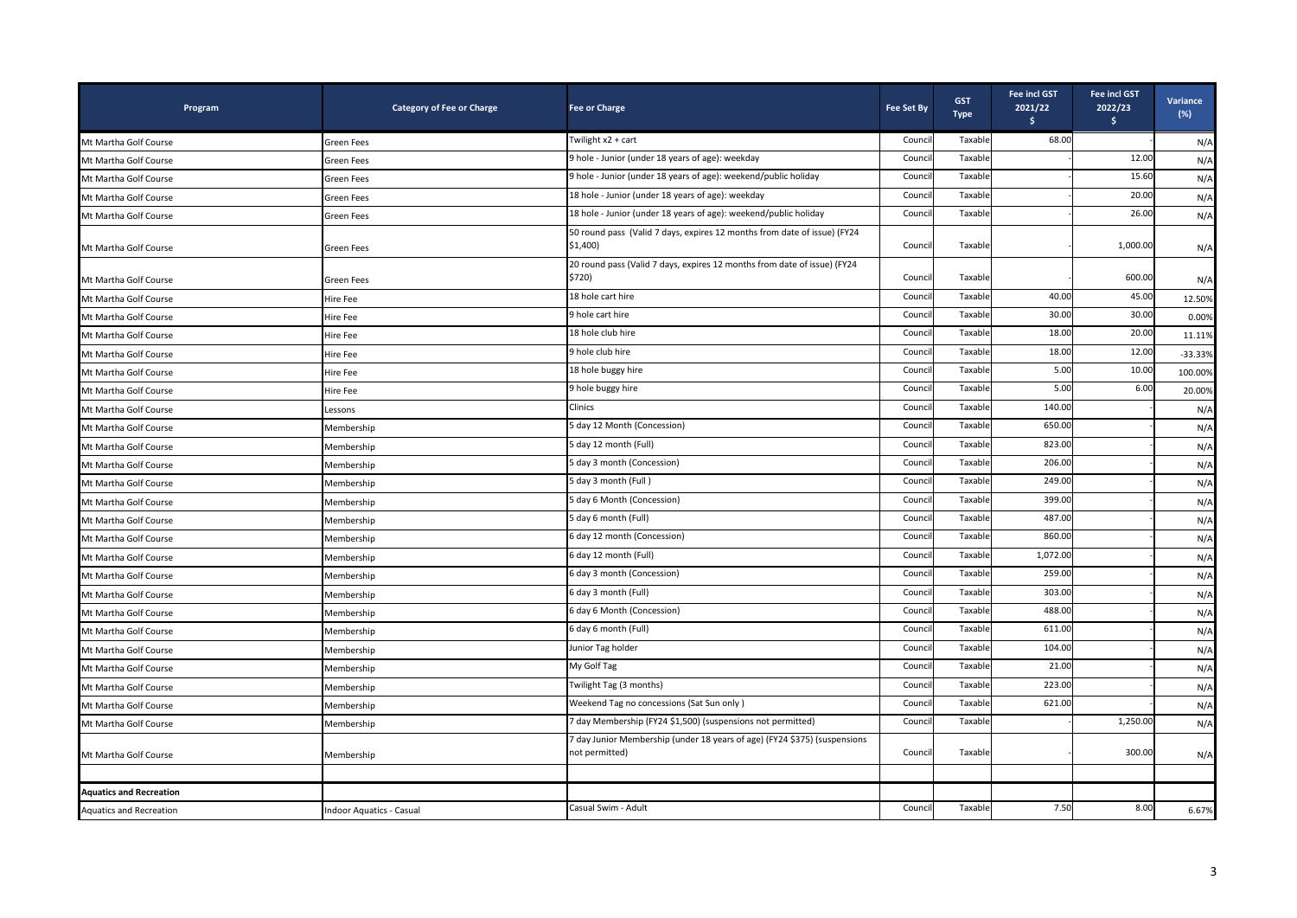| Program                        | <b>Category of Fee or Charge</b> | <b>Fee or Charge</b>                                                                        | <b>Fee Set By</b> | <b>GST</b><br><b>Type</b> | <b>Fee incl GST</b><br>2021/22<br>Ŝ. | <b>Fee incl GST</b><br>2022/23<br>$\mathsf{S}$ | Variance<br>$(\%)$ |
|--------------------------------|----------------------------------|---------------------------------------------------------------------------------------------|-------------------|---------------------------|--------------------------------------|------------------------------------------------|--------------------|
| Mt Martha Golf Course          | <b>Green Fees</b>                | Twilight x2 + cart                                                                          | Council           | Taxable                   | 68.00                                |                                                | N/A                |
| Mt Martha Golf Course          | <b>Green Fees</b>                | 9 hole - Junior (under 18 years of age): weekday                                            | Counci            | Taxable                   |                                      | 12.00                                          | $N/\Lambda$        |
| Mt Martha Golf Course          | <b>Green Fees</b>                | 9 hole - Junior (under 18 years of age): weekend/public holiday                             | Council           | Taxable                   |                                      | 15.60                                          | N/A                |
| Mt Martha Golf Course          | <b>Green Fees</b>                | 18 hole - Junior (under 18 years of age): weekday                                           | Counci            | Taxable                   |                                      | 20.00                                          | N/A                |
| Mt Martha Golf Course          | Green Fees                       | 18 hole - Junior (under 18 years of age): weekend/public holiday                            | Council           | Taxable                   |                                      | 26.00                                          | N/A                |
| Mt Martha Golf Course          | <b>Green Fees</b>                | 50 round pass (Valid 7 days, expires 12 months from date of issue) (FY24<br>$$1,400$ )      | Council           | Taxable                   |                                      | 1,000.00                                       | N/A                |
| Mt Martha Golf Course          | <b>Green Fees</b>                | 20 round pass (Valid 7 days, expires 12 months from date of issue) (FY24<br>\$720)          | Council           | Taxable                   |                                      | 600.00                                         | N/A                |
| Mt Martha Golf Course          | Hire Fee                         | 18 hole cart hire                                                                           | Counci            | Taxable                   | 40.00                                | 45.00                                          | 12.50%             |
| Mt Martha Golf Course          | Hire Fee                         | 9 hole cart hire                                                                            | Council           | Taxable                   | 30.00                                | 30.00                                          | 0.00%              |
| Mt Martha Golf Course          | Hire Fee                         | 18 hole club hire                                                                           | Counci            | Taxable                   | 18.00                                | 20.00                                          | 11.11%             |
| Mt Martha Golf Course          | Hire Fee                         | 9 hole club hire                                                                            | Counci            | Taxable                   | 18.00                                | 12.00                                          | $-33.33%$          |
| Mt Martha Golf Course          | Hire Fee                         | 18 hole buggy hire                                                                          | Counci            | Taxable                   | 5.00                                 | 10.00                                          | 100.00%            |
| Mt Martha Golf Course          | Hire Fee                         | 9 hole buggy hire                                                                           | Council           | Taxable                   | 5.00                                 | 6.00                                           | 20.00%             |
| Mt Martha Golf Course          | Lessons                          | Clinics                                                                                     | Council           | Taxable                   | 140.00                               |                                                | N/A                |
| Mt Martha Golf Course          | Membership                       | 5 day 12 Month (Concession)                                                                 | Council           | Taxable                   | 650.00                               |                                                | N/A                |
| Mt Martha Golf Course          | Membership                       | 5 day 12 month (Full)                                                                       | Counci            | Taxable                   | 823.00                               |                                                | N/A                |
| Mt Martha Golf Course          | Membership                       | 5 day 3 month (Concession)                                                                  | Counci            | Taxable                   | 206.00                               |                                                | N/A                |
| Mt Martha Golf Course          | Membership                       | 5 day 3 month (Full)                                                                        | Council           | Taxable                   | 249.00                               |                                                | N/A                |
| Mt Martha Golf Course          | Membership                       | 5 day 6 Month (Concession)                                                                  | Counci            | Taxable                   | 399.00                               |                                                | N/A                |
| Mt Martha Golf Course          | Membership                       | 5 day 6 month (Full)                                                                        | Counci            | Taxable                   | 487.00                               |                                                | N/A                |
| Mt Martha Golf Course          | Membership                       | 6 day 12 month (Concession)                                                                 | Council           | Taxable                   | 860.00                               |                                                | N/A                |
| Mt Martha Golf Course          | Membership                       | 6 day 12 month (Full)                                                                       | Counci            | Taxable                   | 1,072.00                             |                                                | N/A                |
| Mt Martha Golf Course          | Membership                       | 6 day 3 month (Concession)                                                                  | Council           | Taxable                   | 259.00                               |                                                | N/A                |
| Mt Martha Golf Course          | Membership                       | 6 day 3 month (Full)                                                                        | Counci            | Taxable                   | 303.00                               |                                                | N/A                |
| Mt Martha Golf Course          | Membership                       | 6 day 6 Month (Concession)                                                                  | Counci            | Taxable                   | 488.00                               |                                                | N/A                |
| Mt Martha Golf Course          | Membership                       | 6 day 6 month (Full)                                                                        | Council           | Taxable                   | 611.00                               |                                                | N/A                |
| Mt Martha Golf Course          | Membership                       | Junior Tag holder                                                                           | Counci            | Taxable                   | 104.00                               |                                                | N/A                |
| Mt Martha Golf Course          | Membership                       | My Golf Tag                                                                                 | Counci            | Taxable                   | 21.00                                |                                                | N/A                |
| Mt Martha Golf Course          | Membership                       | Twilight Tag (3 months)                                                                     | Council           | Taxable                   | 223.00                               |                                                | N/A                |
| Mt Martha Golf Course          | Membership                       | Weekend Tag no concessions (Sat Sun only)                                                   | Counci            | Taxable                   | 621.00                               |                                                | N/A                |
| Mt Martha Golf Course          | Membership                       | 7 day Membership (FY24 \$1,500) (suspensions not permitted)                                 | Council           | Taxable                   |                                      | 1,250.00                                       | N/A                |
| Mt Martha Golf Course          | Membership                       | 7 day Junior Membership (under 18 years of age) (FY24 \$375) (suspensions<br>not permitted) | Council           | Taxable                   |                                      | 300.00                                         | N/A                |
|                                |                                  |                                                                                             |                   |                           |                                      |                                                |                    |
| <b>Aquatics and Recreation</b> |                                  |                                                                                             |                   |                           |                                      |                                                |                    |
| <b>Aquatics and Recreation</b> | Indoor Aquatics - Casual         | Casual Swim - Adult                                                                         | Council           | Taxable                   | 7.50                                 | 8.00                                           | 6.67%              |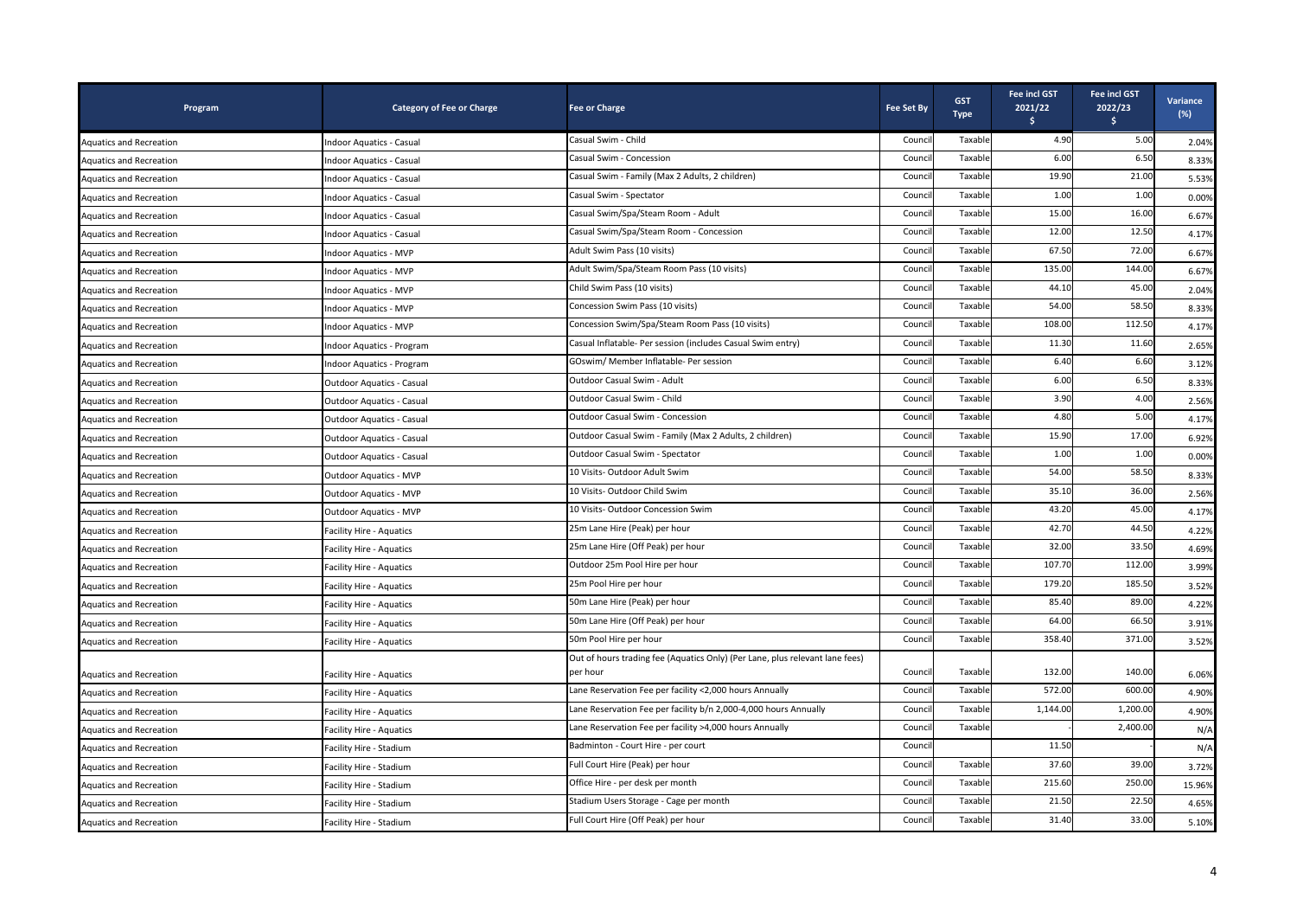| Program                        | <b>Category of Fee or Charge</b> | <b>Fee or Charge</b>                                                                     | <b>Fee Set By</b> | <b>GST</b><br><b>Type</b> | Fee incl GST<br>2021/22<br>Ŝ. | <b>Fee incl GST</b><br>2022/23<br>\$ | <b>Variance</b><br>(%) |
|--------------------------------|----------------------------------|------------------------------------------------------------------------------------------|-------------------|---------------------------|-------------------------------|--------------------------------------|------------------------|
| <b>Aquatics and Recreation</b> | Indoor Aquatics - Casual         | Casual Swim - Child                                                                      | Counci            | Taxable                   | 4.90                          | 5.00                                 | 2.04%                  |
| Aquatics and Recreation        | Indoor Aquatics - Casual         | Casual Swim - Concession                                                                 | Counci            | Taxable                   | 6.00                          | 6.50                                 | 8.33%                  |
| <b>Aquatics and Recreation</b> | Indoor Aquatics - Casual         | Casual Swim - Family (Max 2 Adults, 2 children)                                          | Counci            | Taxable                   | 19.90                         | 21.00                                | 5.53%                  |
| Aquatics and Recreation        | Indoor Aquatics - Casual         | Casual Swim - Spectator                                                                  | Counci            | Taxable                   | 1.00                          | 1.00                                 | 0.00%                  |
| <b>Aquatics and Recreation</b> | Indoor Aquatics - Casual         | Casual Swim/Spa/Steam Room - Adult                                                       | Counci            | Taxable                   | 15.00                         | 16.00                                | 6.67%                  |
| <b>Aquatics and Recreation</b> | Indoor Aquatics - Casual         | Casual Swim/Spa/Steam Room - Concession                                                  | Counci            | Taxable                   | 12.00                         | 12.50                                | 4.17%                  |
| Aquatics and Recreation        | Indoor Aquatics - MVP            | Adult Swim Pass (10 visits)                                                              | Counci            | Taxable                   | 67.50                         | 72.00                                | 6.67%                  |
| <b>Aquatics and Recreation</b> | Indoor Aquatics - MVP            | Adult Swim/Spa/Steam Room Pass (10 visits)                                               | Counci            | Taxable                   | 135.00                        | 144.00                               | 6.67%                  |
| <b>Aquatics and Recreation</b> | <b>Indoor Aquatics - MVP</b>     | Child Swim Pass (10 visits)                                                              | Counci            | Taxable                   | 44.10                         | 45.00                                | 2.04%                  |
| <b>Aquatics and Recreation</b> | Indoor Aquatics - MVP            | Concession Swim Pass (10 visits)                                                         | Counci            | Taxable                   | 54.00                         | 58.50                                | 8.33%                  |
| <b>Aquatics and Recreation</b> | <b>Indoor Aquatics - MVP</b>     | Concession Swim/Spa/Steam Room Pass (10 visits)                                          | Counc             | Taxable                   | 108.00                        | 112.50                               | 4.17%                  |
| <b>Aquatics and Recreation</b> | Indoor Aquatics - Program        | Casual Inflatable- Per session (includes Casual Swim entry)                              | Counci            | Taxable                   | 11.30                         | 11.60                                | 2.65%                  |
| <b>Aquatics and Recreation</b> | Indoor Aquatics - Program        | GOswim/ Member Inflatable- Per session                                                   | Counci            | Taxable                   | 6.40                          | 6.60                                 | 3.12%                  |
| <b>Aquatics and Recreation</b> | Outdoor Aquatics - Casual        | Outdoor Casual Swim - Adult                                                              | Counc             | Taxable                   | 6.00                          | 6.50                                 | 8.33%                  |
| <b>Aquatics and Recreation</b> | Outdoor Aquatics - Casual        | Outdoor Casual Swim - Child                                                              | Counc             | Taxable                   | 3.90                          | 4.00                                 | 2.56%                  |
| <b>Aquatics and Recreation</b> | Outdoor Aquatics - Casual        | Outdoor Casual Swim - Concession                                                         | Counci            | Taxable                   | 4.80                          | 5.00                                 | 4.17%                  |
| Aquatics and Recreation        | Outdoor Aquatics - Casual        | Outdoor Casual Swim - Family (Max 2 Adults, 2 children)                                  | Counc             | Taxable                   | 15.90                         | 17.00                                | 6.92%                  |
| <b>Aquatics and Recreation</b> | Outdoor Aquatics - Casual        | Outdoor Casual Swim - Spectator                                                          | Counci            | Taxable                   | 1.00                          | 1.00                                 | 0.00%                  |
| <b>Aquatics and Recreation</b> | Outdoor Aquatics - MVP           | 10 Visits- Outdoor Adult Swim                                                            | Counci            | Taxable                   | 54.00                         | 58.50                                | 8.33%                  |
| <b>Aquatics and Recreation</b> | <b>Outdoor Aquatics - MVP</b>    | 10 Visits- Outdoor Child Swim                                                            | Counc             | Taxable                   | 35.10                         | 36.00                                | 2.56%                  |
| <b>Aquatics and Recreation</b> | Outdoor Aquatics - MVP           | 10 Visits- Outdoor Concession Swim                                                       | Counc             | Taxable                   | 43.20                         | 45.00                                | 4.17%                  |
| <b>Aquatics and Recreation</b> | Facility Hire - Aquatics         | 25m Lane Hire (Peak) per hour                                                            | Counci            | Taxable                   | 42.70                         | 44.50                                | 4.22%                  |
| <b>Aquatics and Recreation</b> | Facility Hire - Aquatics         | 25m Lane Hire (Off Peak) per hour                                                        | Counci            | Taxable                   | 32.00                         | 33.50                                | 4.69%                  |
| <b>Aquatics and Recreation</b> | Facility Hire - Aquatics         | Outdoor 25m Pool Hire per hour                                                           | Counc             | Taxable                   | 107.70                        | 112.00                               | 3.99%                  |
| <b>Aquatics and Recreation</b> | Facility Hire - Aquatics         | 25m Pool Hire per hour                                                                   | Counci            | Taxable                   | 179.20                        | 185.50                               | 3.52%                  |
| <b>Aquatics and Recreation</b> | Facility Hire - Aquatics         | 50m Lane Hire (Peak) per hour                                                            | Counci            | Taxable                   | 85.40                         | 89.00                                | 4.22%                  |
| Aquatics and Recreation        | Facility Hire - Aquatics         | 50m Lane Hire (Off Peak) per hour                                                        | Counc             | Taxable                   | 64.00                         | 66.50                                | 3.91%                  |
| <b>Aquatics and Recreation</b> | Facility Hire - Aquatics         | 50m Pool Hire per hour                                                                   | Counci            | Taxable                   | 358.40                        | 371.00                               | 3.52%                  |
| <b>Aquatics and Recreation</b> | Facility Hire - Aquatics         | Out of hours trading fee (Aquatics Only) (Per Lane, plus relevant lane fees)<br>per hour | Council           | Taxable                   | 132.00                        | 140.00                               | 6.06%                  |
| <b>Aquatics and Recreation</b> | Facility Hire - Aquatics         | Lane Reservation Fee per facility <2,000 hours Annually                                  | Counc             | Taxable                   | 572.00                        | 600.00                               | 4.90%                  |
| <b>Aquatics and Recreation</b> | Facility Hire - Aquatics         | Lane Reservation Fee per facility b/n 2,000-4,000 hours Annually                         | Counci            | Taxable                   | 1,144.00                      | 1,200.00                             | 4.90%                  |
| Aquatics and Recreation        | Facility Hire - Aquatics         | Lane Reservation Fee per facility >4,000 hours Annually                                  | Counci            | Taxable                   |                               | 2,400.00                             | N/A                    |
| Aquatics and Recreation        | Facility Hire - Stadium          | Badminton - Court Hire - per court                                                       | Counc             |                           | 11.50                         |                                      | N/A                    |
| <b>Aquatics and Recreation</b> | Facility Hire - Stadium          | Full Court Hire (Peak) per hour                                                          | Counci            | Taxable                   | 37.60                         | 39.00                                | 3.72%                  |
| <b>Aquatics and Recreation</b> | Facility Hire - Stadium          | Office Hire - per desk per month                                                         | Counci            | Taxable                   | 215.60                        | 250.00                               | 15.96%                 |
| <b>Aquatics and Recreation</b> | Facility Hire - Stadium          | Stadium Users Storage - Cage per month                                                   | Counc             | Taxable                   | 21.50                         | 22.50                                | 4.65%                  |
| Aquatics and Recreation        | Facility Hire - Stadium          | Full Court Hire (Off Peak) per hour                                                      | Counci            | Taxable                   | 31.40                         | 33.00                                | 5.10%                  |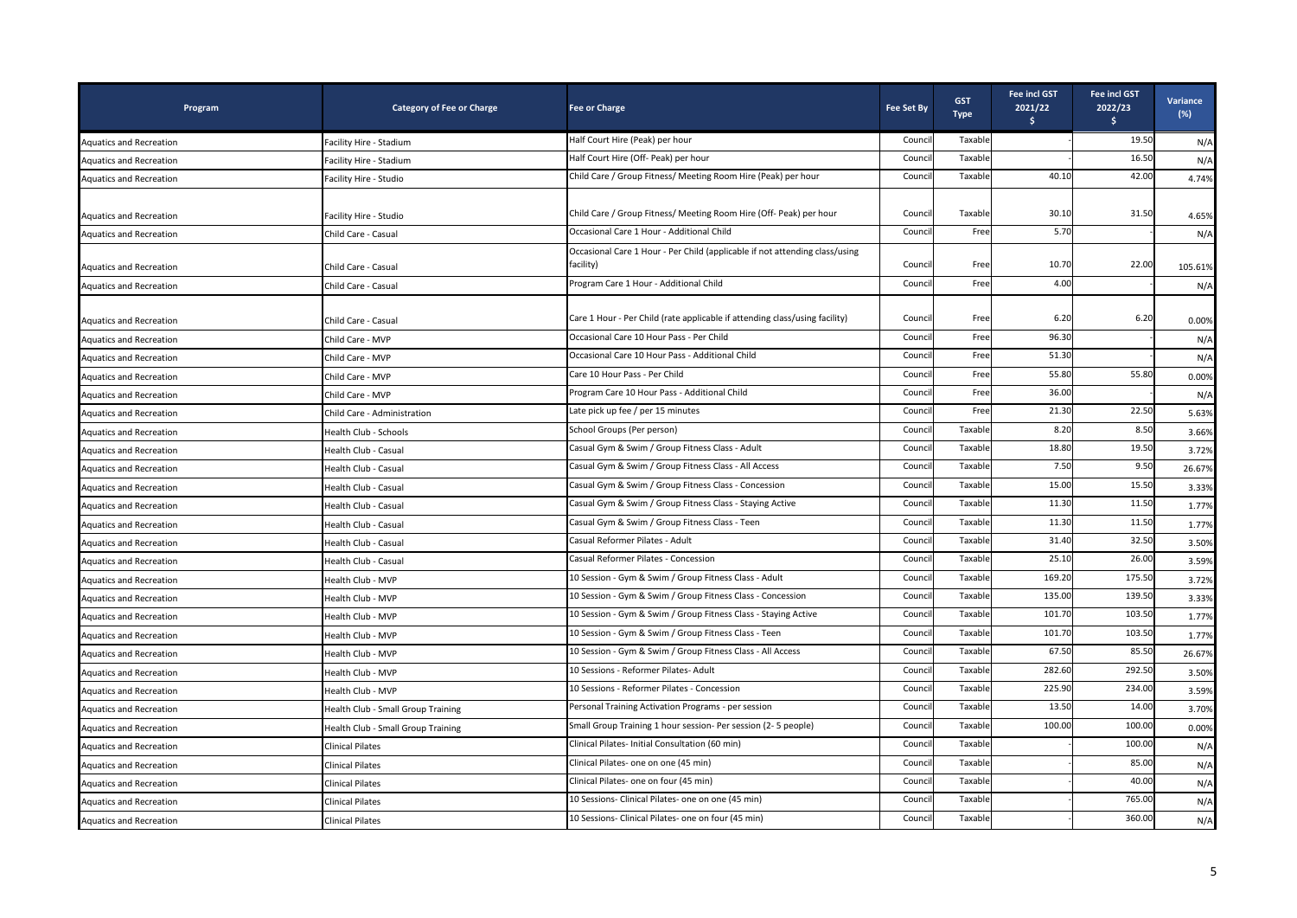| Program                        | <b>Category of Fee or Charge</b>   | <b>Fee or Charge</b>                                                                     | <b>Fee Set By</b> | <b>GST</b><br><b>Type</b> | <b>Fee incl GST</b><br>2021/22<br>\$. | Fee incl GST<br>2022/23<br>\$ | Variance<br>$(\%)$ |
|--------------------------------|------------------------------------|------------------------------------------------------------------------------------------|-------------------|---------------------------|---------------------------------------|-------------------------------|--------------------|
| <b>Aquatics and Recreation</b> | Facility Hire - Stadium            | Half Court Hire (Peak) per hour                                                          | Counci            | Taxable                   |                                       | 19.50                         | N/A                |
| <b>Aquatics and Recreation</b> | Facility Hire - Stadium            | Half Court Hire (Off- Peak) per hour                                                     | Counci            | Taxable                   |                                       | 16.50                         | N/A                |
| <b>Aquatics and Recreation</b> | Facility Hire - Studio             | Child Care / Group Fitness/ Meeting Room Hire (Peak) per hour                            | Counci            | Taxable                   | 40.10                                 | 42.00                         | 4.74%              |
| <b>Aquatics and Recreation</b> | Facility Hire - Studio             | Child Care / Group Fitness/ Meeting Room Hire (Off- Peak) per hour                       | Council           | Taxable                   | 30.10                                 | 31.50                         | 4.65%              |
| <b>Aquatics and Recreation</b> | Child Care - Casual                | Occasional Care 1 Hour - Additional Child                                                | Counci            | Free                      | 5.70                                  |                               | N/A                |
| <b>Aquatics and Recreation</b> | Child Care - Casual                | Occasional Care 1 Hour - Per Child (applicable if not attending class/using<br>facility) | Counci            | Free                      | 10.70                                 | 22.00                         | 105.61%            |
| <b>Aquatics and Recreation</b> | Child Care - Casual                | Program Care 1 Hour - Additional Child                                                   | Council           | Free                      | 4.00                                  |                               | N/A                |
| <b>Aquatics and Recreation</b> | Child Care - Casual                | Care 1 Hour - Per Child (rate applicable if attending class/using facility)              | Council           | Free                      | 6.20                                  | 6.20                          | 0.00%              |
| Aquatics and Recreation        | Child Care - MVP                   | Occasional Care 10 Hour Pass - Per Child                                                 | Council           | Free                      | 96.30                                 |                               | N/A                |
| <b>Aquatics and Recreation</b> | Child Care - MVP                   | Occasional Care 10 Hour Pass - Additional Child                                          | Counci            | Free                      | 51.30                                 |                               | N/A                |
| <b>Aquatics and Recreation</b> | Child Care - MVP                   | Care 10 Hour Pass - Per Child                                                            | Council           | Free                      | 55.80                                 | 55.80                         | 0.00%              |
| <b>Aquatics and Recreation</b> | Child Care - MVP                   | Program Care 10 Hour Pass - Additional Child                                             | Council           | Free                      | 36.00                                 |                               | N/A                |
| <b>Aquatics and Recreation</b> | Child Care - Administration        | Late pick up fee / per 15 minutes                                                        | Counci            | Free                      | 21.30                                 | 22.50                         | 5.63%              |
| <b>Aquatics and Recreation</b> | Health Club - Schools              | School Groups (Per person)                                                               | Counci            | Taxable                   | 8.20                                  | 8.50                          | 3.66%              |
| <b>Aquatics and Recreation</b> | Health Club - Casual               | Casual Gym & Swim / Group Fitness Class - Adult                                          | Council           | Taxable                   | 18.80                                 | 19.50                         | 3.72%              |
| <b>Aquatics and Recreation</b> | Health Club - Casual               | Casual Gym & Swim / Group Fitness Class - All Access                                     | Counci            | Taxable                   | 7.50                                  | 9.50                          | 26.67%             |
| <b>Aquatics and Recreation</b> | Health Club - Casual               | Casual Gym & Swim / Group Fitness Class - Concession                                     | Counci            | Taxable                   | 15.00                                 | 15.50                         | 3.33%              |
| <b>Aquatics and Recreation</b> | Health Club - Casual               | Casual Gym & Swim / Group Fitness Class - Staying Active                                 | Council           | Taxable                   | 11.30                                 | 11.50                         | 1.77%              |
| <b>Aquatics and Recreation</b> | Health Club - Casual               | Casual Gym & Swim / Group Fitness Class - Teen                                           | Council           | Taxable                   | 11.30                                 | 11.50                         | 1.77%              |
| <b>Aquatics and Recreation</b> | Health Club - Casual               | Casual Reformer Pilates - Adult                                                          | Counci            | Taxable                   | 31.40                                 | 32.50                         | 3.50%              |
| <b>Aquatics and Recreation</b> | Health Club - Casual               | Casual Reformer Pilates - Concession                                                     | Counci            | Taxable                   | 25.10                                 | 26.00                         | 3.59%              |
| <b>Aquatics and Recreation</b> | Health Club - MVP                  | 10 Session - Gym & Swim / Group Fitness Class - Adult                                    | Counci            | Taxable                   | 169.20                                | 175.50                        | 3.72%              |
| <b>Aquatics and Recreation</b> | Health Club - MVP                  | 10 Session - Gym & Swim / Group Fitness Class - Concession                               | Counci            | Taxable                   | 135.00                                | 139.50                        | 3.33%              |
| <b>Aquatics and Recreation</b> | Health Club - MVP                  | 10 Session - Gym & Swim / Group Fitness Class - Staying Active                           | Counci            | Taxable                   | 101.70                                | 103.50                        | 1.77%              |
| <b>Aquatics and Recreation</b> | Health Club - MVP                  | 10 Session - Gym & Swim / Group Fitness Class - Teen                                     | Council           | Taxable                   | 101.70                                | 103.50                        | 1.77%              |
| <b>Aquatics and Recreation</b> | Health Club - MVP                  | 10 Session - Gym & Swim / Group Fitness Class - All Access                               | Council           | Taxable                   | 67.50                                 | 85.50                         | 26.67%             |
| <b>Aquatics and Recreation</b> | Health Club - MVP                  | 10 Sessions - Reformer Pilates- Adult                                                    | Counci            | Taxable                   | 282.60                                | 292.50                        | 3.50%              |
| <b>Aquatics and Recreation</b> | Health Club - MVP                  | 10 Sessions - Reformer Pilates - Concession                                              | Counci            | Taxable                   | 225.90                                | 234.00                        | 3.59%              |
| <b>Aquatics and Recreation</b> | Health Club - Small Group Training | Personal Training Activation Programs - per session                                      | Counci            | Taxable                   | 13.50                                 | 14.00                         | 3.70%              |
| <b>Aquatics and Recreation</b> | Health Club - Small Group Training | Small Group Training 1 hour session- Per session (2-5 people)                            | Counci            | Taxable                   | 100.00                                | 100.00                        | 0.00%              |
| <b>Aquatics and Recreation</b> | <b>Clinical Pilates</b>            | Clinical Pilates- Initial Consultation (60 min)                                          | Counci            | Taxable                   |                                       | 100.00                        | N/A                |
| <b>Aquatics and Recreation</b> | <b>Clinical Pilates</b>            | Clinical Pilates- one on one (45 min)                                                    | Council           | Taxable                   |                                       | 85.00                         | N/A                |
| <b>Aquatics and Recreation</b> | Clinical Pilates                   | Clinical Pilates- one on four (45 min)                                                   | Counci            | Taxable                   |                                       | 40.00                         | N/A                |
| <b>Aquatics and Recreation</b> | Clinical Pilates                   | 10 Sessions- Clinical Pilates- one on one (45 min)                                       | Counci            | Taxable                   |                                       | 765.00                        | N/A                |
| Aquatics and Recreation        | <b>Clinical Pilates</b>            | 10 Sessions- Clinical Pilates- one on four (45 min)                                      | Council           | Taxable                   |                                       | 360.00                        | N/A                |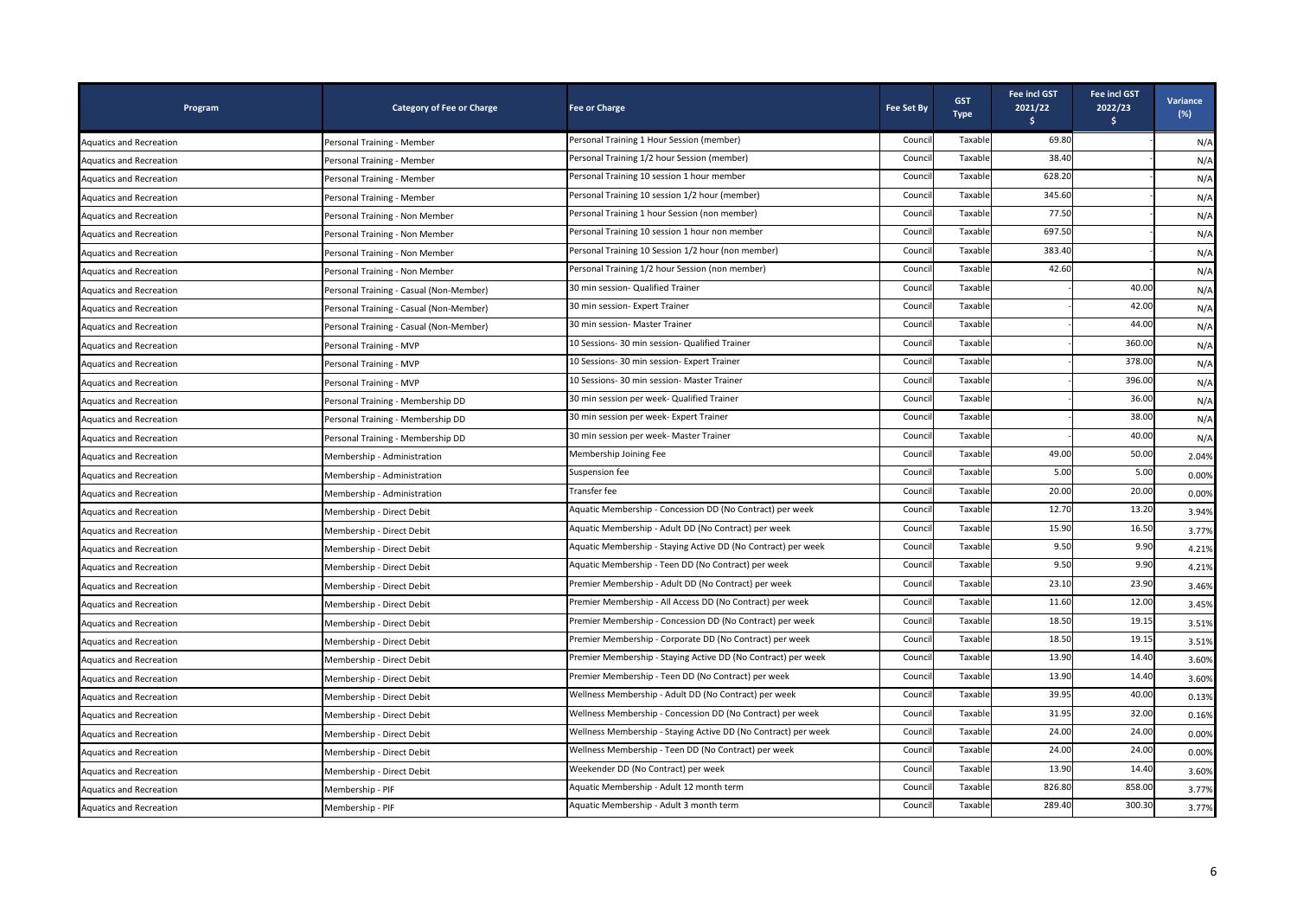| Program                        | <b>Category of Fee or Charge</b>        | <b>Fee or Charge</b>                                           | <b>Fee Set By</b> | <b>GST</b><br><b>Type</b> | <b>Fee incl GST</b><br>2021/22<br>s. | Fee incl GST<br>2022/23<br>$\frac{1}{2}$ | Variance<br>$(\%)$ |
|--------------------------------|-----------------------------------------|----------------------------------------------------------------|-------------------|---------------------------|--------------------------------------|------------------------------------------|--------------------|
| <b>Aquatics and Recreation</b> | Personal Training - Member              | Personal Training 1 Hour Session (member)                      | Counci            | Taxable                   | 69.80                                |                                          | N/A                |
| <b>Aquatics and Recreation</b> | Personal Training - Member              | Personal Training 1/2 hour Session (member)                    | Counci            | Taxable                   | 38.40                                |                                          | N/A                |
| <b>Aquatics and Recreation</b> | Personal Training - Member              | Personal Training 10 session 1 hour member                     | Counci            | Taxable                   | 628.20                               |                                          | N/A                |
| <b>Aquatics and Recreation</b> | Personal Training - Member              | Personal Training 10 session 1/2 hour (member)                 | Counci            | Taxable                   | 345.60                               |                                          | N/A                |
| <b>Aquatics and Recreation</b> | Personal Training - Non Member          | Personal Training 1 hour Session (non member)                  | Counci            | Taxable                   | 77.50                                |                                          | N/A                |
| <b>Aquatics and Recreation</b> | Personal Training - Non Member          | Personal Training 10 session 1 hour non member                 | Counc             | Taxable                   | 697.50                               |                                          | N/A                |
| <b>Aquatics and Recreation</b> | Personal Training - Non Member          | Personal Training 10 Session 1/2 hour (non member)             | Counci            | Taxable                   | 383.40                               |                                          | N/A                |
| <b>Aquatics and Recreation</b> | Personal Training - Non Member          | Personal Training 1/2 hour Session (non member)                | Counci            | Taxable                   | 42.60                                |                                          | N/A                |
| <b>Aquatics and Recreation</b> | Personal Training - Casual (Non-Member) | 30 min session- Qualified Trainer                              | Counci            | Taxable                   |                                      | 40.00                                    | N/A                |
| <b>Aquatics and Recreation</b> | Personal Training - Casual (Non-Member) | 30 min session- Expert Trainer                                 | Counci            | Taxable                   |                                      | 42.00                                    | N/A                |
| <b>Aquatics and Recreation</b> | Personal Training - Casual (Non-Member) | 30 min session- Master Trainer                                 | Counci            | Taxable                   |                                      | 44.00                                    | N/A                |
| <b>Aquatics and Recreation</b> | Personal Training - MVP                 | 10 Sessions- 30 min session- Qualified Trainer                 | Counci            | Taxable                   |                                      | 360.00                                   | N/A                |
| Aquatics and Recreation        | Personal Training - MVP                 | 10 Sessions- 30 min session- Expert Trainer                    | Counci            | Taxable                   |                                      | 378.00                                   | N/A                |
| <b>Aquatics and Recreation</b> | Personal Training - MVP                 | 10 Sessions- 30 min session- Master Trainer                    | Counci            | Taxable                   |                                      | 396.00                                   | N/A                |
| Aquatics and Recreation        | Personal Training - Membership DD       | 30 min session per week- Qualified Trainer                     | Counci            | Taxable                   |                                      | 36.00                                    | N/A                |
| <b>Aquatics and Recreation</b> | Personal Training - Membership DD       | 30 min session per week- Expert Trainer                        | Counci            | Taxable                   |                                      | 38.00                                    | N/A                |
| <b>Aquatics and Recreation</b> | Personal Training - Membership DD       | 30 min session per week- Master Trainer                        | Counci            | Taxable                   |                                      | 40.00                                    | N/A                |
| <b>Aquatics and Recreation</b> | Membership - Administration             | Membership Joining Fee                                         | Counci            | Taxable                   | 49.00                                | 50.00                                    | 2.04%              |
| Aquatics and Recreation        | Membership - Administration             | Suspension fee                                                 | Counci            | Taxable                   | 5.00                                 | 5.00                                     | 0.00%              |
| <b>Aquatics and Recreation</b> | Membership - Administration             | Fransfer fee                                                   | Counci            | Taxable                   | 20.00                                | 20.00                                    | 0.00%              |
| Aquatics and Recreation        | Membership - Direct Debit               | Aquatic Membership - Concession DD (No Contract) per week      | Counci            | Taxable                   | 12.70                                | 13.20                                    | 3.94%              |
| Aquatics and Recreation        | Membership - Direct Debit               | Aquatic Membership - Adult DD (No Contract) per week           | Counci            | Taxable                   | 15.90                                | 16.50                                    | 3.77%              |
| Aquatics and Recreation        | Membership - Direct Debit               | Aquatic Membership - Staying Active DD (No Contract) per week  | Counc             | Taxable                   | 9.50                                 | 9.90                                     | 4.21%              |
| <b>Aquatics and Recreation</b> | Membership - Direct Debit               | Aquatic Membership - Teen DD (No Contract) per week            | Counci            | Taxable                   | 9.50                                 | 9.90                                     | 4.21%              |
| Aquatics and Recreation        | Membership - Direct Debit               | Premier Membership - Adult DD (No Contract) per week           | Counci            | Taxable                   | 23.10                                | 23.90                                    | 3.46%              |
| <b>Aquatics and Recreation</b> | Membership - Direct Debit               | Premier Membership - All Access DD (No Contract) per week      | Counci            | Taxable                   | 11.60                                | 12.00                                    | 3.45%              |
| <b>Aquatics and Recreation</b> | Membership - Direct Debit               | Premier Membership - Concession DD (No Contract) per week      | Counci            | Taxable                   | 18.50                                | 19.15                                    | 3.51%              |
| Aquatics and Recreation        | Membership - Direct Debit               | Premier Membership - Corporate DD (No Contract) per week       | Counci            | Taxable                   | 18.50                                | 19.15                                    | 3.51%              |
| <b>Aquatics and Recreation</b> | Membership - Direct Debit               | Premier Membership - Staying Active DD (No Contract) per week  | Counci            | Taxable                   | 13.90                                | 14.40                                    | 3.60%              |
| Aquatics and Recreation        | Membership - Direct Debit               | Premier Membership - Teen DD (No Contract) per week            | Counci            | Taxable                   | 13.90                                | 14.40                                    | 3.60%              |
| <b>Aquatics and Recreation</b> | Membership - Direct Debit               | Wellness Membership - Adult DD (No Contract) per week          | Counc             | Taxable                   | 39.95                                | 40.00                                    | 0.13%              |
| <b>Aquatics and Recreation</b> | Membership - Direct Debit               | Wellness Membership - Concession DD (No Contract) per week     | Counci            | Taxable                   | 31.95                                | 32.00                                    | 0.16%              |
| <b>Aquatics and Recreation</b> | Membership - Direct Debit               | Wellness Membership - Staying Active DD (No Contract) per week | Counci            | Taxable                   | 24.00                                | 24.00                                    | 0.00%              |
| <b>Aquatics and Recreation</b> | Membership - Direct Debit               | Wellness Membership - Teen DD (No Contract) per week           | Counci            | Taxable                   | 24.00                                | 24.00                                    | 0.00%              |
| <b>Aquatics and Recreation</b> | Membership - Direct Debit               | Weekender DD (No Contract) per week                            | Counci            | Taxable                   | 13.90                                | 14.40                                    | 3.60%              |
| <b>Aquatics and Recreation</b> | Membership - PIF                        | Aquatic Membership - Adult 12 month term                       | Counci            | Taxable                   | 826.80                               | 858.00                                   | 3.77%              |
| <b>Aquatics and Recreation</b> | Membership - PIF                        | Aquatic Membership - Adult 3 month term                        | Counci            | Taxable                   | 289.40                               | 300.30                                   | 3.77%              |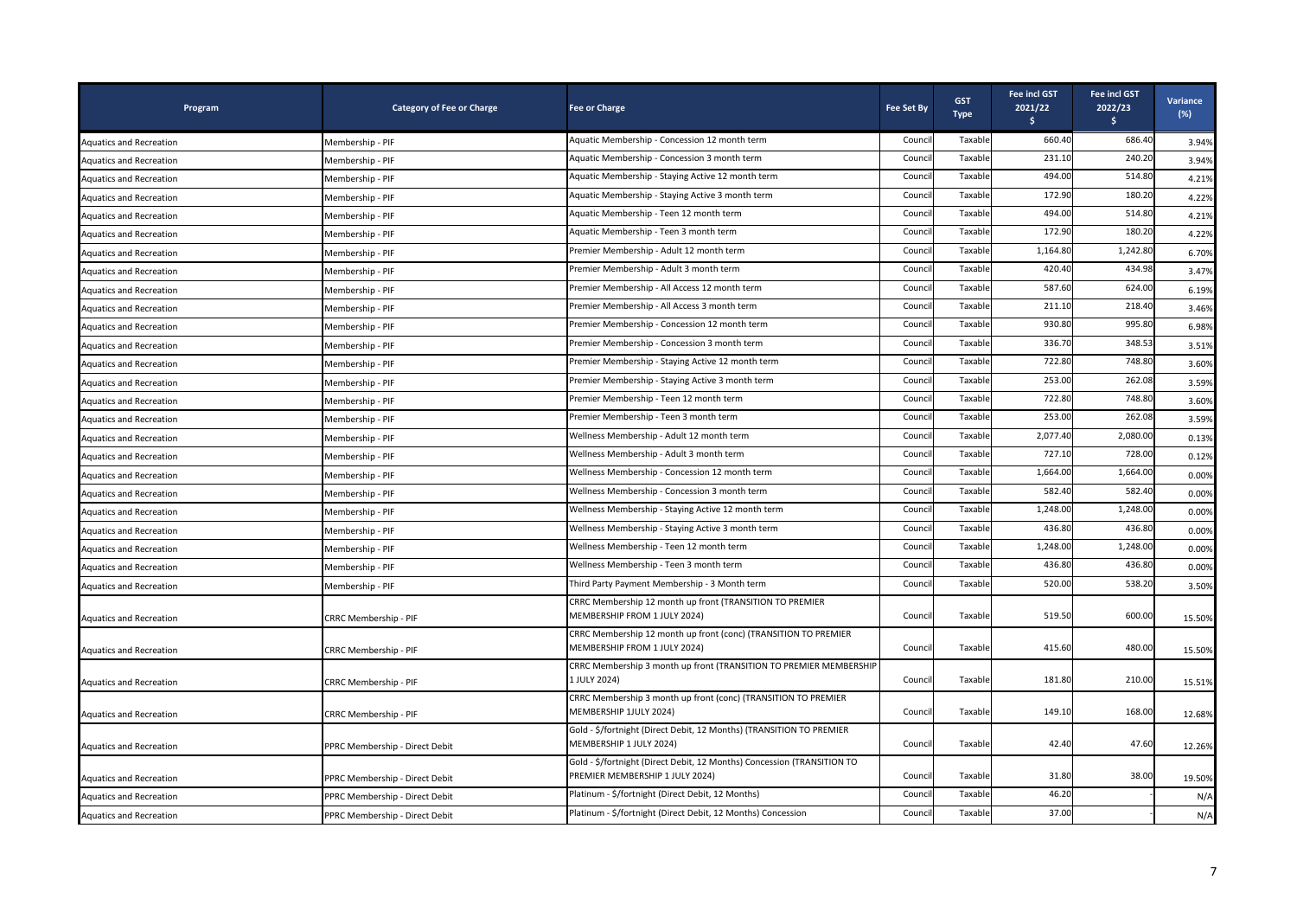| Program                        | <b>Category of Fee or Charge</b> | <b>Fee or Charge</b>                                                                                       | <b>Fee Set By</b> | <b>GST</b><br><b>Type</b> | <b>Fee incl GST</b><br>2021/22<br>Ŝ. | <b>Fee incl GST</b><br>2022/23<br>\$. | Variance<br>$(\%)$ |
|--------------------------------|----------------------------------|------------------------------------------------------------------------------------------------------------|-------------------|---------------------------|--------------------------------------|---------------------------------------|--------------------|
| <b>Aquatics and Recreation</b> | Membership - PIF                 | Aquatic Membership - Concession 12 month term                                                              | Counci            | Taxable                   | 660.40                               | 686.40                                | 3.94%              |
| <b>Aquatics and Recreation</b> | Membership - PIF                 | Aquatic Membership - Concession 3 month term                                                               | Counci            | Taxable                   | 231.10                               | 240.20                                | 3.94%              |
| <b>Aquatics and Recreation</b> | Membership - PIF                 | Aquatic Membership - Staying Active 12 month term                                                          | Counci            | Taxable                   | 494.00                               | 514.80                                | 4.21%              |
| <b>Aquatics and Recreation</b> | Membership - PIF                 | Aquatic Membership - Staying Active 3 month term                                                           | Counci            | Taxable                   | 172.90                               | 180.20                                | 4.22%              |
| <b>Aquatics and Recreation</b> | Membership - PIF                 | Aquatic Membership - Teen 12 month term                                                                    | Counci            | Taxable                   | 494.00                               | 514.80                                | 4.21%              |
| <b>Aquatics and Recreation</b> | Membership - PIF                 | Aquatic Membership - Teen 3 month term                                                                     | Counci            | Taxable                   | 172.90                               | 180.20                                | 4.22%              |
| Aquatics and Recreation        | Membership - PIF                 | Premier Membership - Adult 12 month term                                                                   | Counci            | Taxable                   | 1,164.80                             | 1,242.80                              | 6.70%              |
| <b>Aquatics and Recreation</b> | Membership - PIF                 | Premier Membership - Adult 3 month term                                                                    | Counci            | Taxable                   | 420.40                               | 434.98                                | 3.47%              |
| <b>Aquatics and Recreation</b> | Membership - PIF                 | Premier Membership - All Access 12 month term                                                              | Counci            | Taxable                   | 587.60                               | 624.00                                | 6.19%              |
| <b>Aquatics and Recreation</b> | Membership - PIF                 | Premier Membership - All Access 3 month term                                                               | Counci            | Taxable                   | 211.10                               | 218.40                                | 3.46%              |
| <b>Aquatics and Recreation</b> | Membership - PIF                 | Premier Membership - Concession 12 month term                                                              | Counci            | Taxable                   | 930.80                               | 995.80                                | 6.98%              |
| <b>Aquatics and Recreation</b> | Membership - PIF                 | Premier Membership - Concession 3 month term                                                               | Counc             | Taxable                   | 336.70                               | 348.53                                | 3.51%              |
| <b>Aquatics and Recreation</b> | Membership - PIF                 | Premier Membership - Staying Active 12 month term                                                          | Counci            | Taxable                   | 722.80                               | 748.80                                | 3.60%              |
| <b>Aquatics and Recreation</b> | Membership - PIF                 | Premier Membership - Staying Active 3 month term                                                           | Counci            | Taxable                   | 253.00                               | 262.08                                | 3.59%              |
| <b>Aquatics and Recreation</b> | Membership - PIF                 | Premier Membership - Teen 12 month term                                                                    | Counci            | Taxable                   | 722.80                               | 748.80                                | 3.60%              |
| Aquatics and Recreation        | Membership - PIF                 | Premier Membership - Teen 3 month term                                                                     | Counc             | Taxable                   | 253.00                               | 262.08                                | 3.59%              |
| <b>Aquatics and Recreation</b> | Membership - PIF                 | Wellness Membership - Adult 12 month term                                                                  | Counci            | Taxable                   | 2,077.40                             | 2,080.00                              | 0.13%              |
| <b>Aquatics and Recreation</b> | Membership - PIF                 | Wellness Membership - Adult 3 month term                                                                   | Counci            | Taxable                   | 727.10                               | 728.00                                | 0.12%              |
| <b>Aquatics and Recreation</b> | Membership - PIF                 | Wellness Membership - Concession 12 month term                                                             | Counci            | Taxable                   | 1,664.00                             | 1,664.00                              | 0.00%              |
| <b>Aquatics and Recreation</b> | Membership - PIF                 | Wellness Membership - Concession 3 month term                                                              | Counci            | Taxable                   | 582.40                               | 582.40                                | 0.00%              |
| <b>Aquatics and Recreation</b> | Membership - PIF                 | Wellness Membership - Staying Active 12 month term                                                         | Counci            | Taxable                   | 1,248.00                             | 1,248.00                              | 0.00%              |
| <b>Aquatics and Recreation</b> | Membership - PIF                 | Wellness Membership - Staying Active 3 month term                                                          | Counci            | Taxable                   | 436.80                               | 436.80                                | 0.00%              |
| <b>Aquatics and Recreation</b> | Membership - PIF                 | Wellness Membership - Teen 12 month term                                                                   | Counci            | Taxable                   | 1,248.00                             | 1,248.00                              | 0.00%              |
| <b>Aquatics and Recreation</b> | Membership - PIF                 | Wellness Membership - Teen 3 month term                                                                    | Counci            | Taxabl                    | 436.80                               | 436.80                                | 0.00%              |
| Aquatics and Recreation        | Membership - PIF                 | Third Party Payment Membership - 3 Month term                                                              | Counci            | Taxable                   | 520.00                               | 538.20                                | 3.50%              |
| <b>Aquatics and Recreation</b> | CRRC Membership - PIF            | CRRC Membership 12 month up front (TRANSITION TO PREMIER<br>MEMBERSHIP FROM 1 JULY 2024)                   | Counci            | Taxable                   | 519.50                               | 600.00                                | 15.50%             |
| <b>Aquatics and Recreation</b> | CRRC Membership - PIF            | CRRC Membership 12 month up front (conc) (TRANSITION TO PREMIER<br>MEMBERSHIP FROM 1 JULY 2024)            | Counci            | Taxable                   | 415.60                               | 480.00                                | 15.50%             |
| <b>Aquatics and Recreation</b> | CRRC Membership - PIF            | CRRC Membership 3 month up front (TRANSITION TO PREMIER MEMBERSHIP<br>1 JULY 2024)                         | Council           | Taxable                   | 181.80                               | 210.00                                | 15.51%             |
| <b>Aquatics and Recreation</b> | CRRC Membership - PIF            | CRRC Membership 3 month up front (conc) (TRANSITION TO PREMIER<br>MEMBERSHIP 1JULY 2024)                   | Counci            | Taxable                   | 149.10                               | 168.00                                | 12.68%             |
| Aquatics and Recreation        | PPRC Membership - Direct Debit   | Gold - \$/fortnight (Direct Debit, 12 Months) (TRANSITION TO PREMIER<br>MEMBERSHIP 1 JULY 2024)            | Counci            | Taxable                   | 42.40                                | 47.60                                 | 12.26%             |
| <b>Aquatics and Recreation</b> | PPRC Membership - Direct Debit   | Gold - \$/fortnight (Direct Debit, 12 Months) Concession (TRANSITION TO<br>PREMIER MEMBERSHIP 1 JULY 2024) | Counci            | Taxable                   | 31.80                                | 38.00                                 | 19.50%             |
| Aquatics and Recreation        | PPRC Membership - Direct Debit   | Platinum - \$/fortnight (Direct Debit, 12 Months)                                                          | Counci            | Taxable                   | 46.20                                |                                       | N/A                |
| <b>Aquatics and Recreation</b> | PPRC Membership - Direct Debit   | Platinum - \$/fortnight (Direct Debit, 12 Months) Concession                                               | Counci            | Taxable                   | 37.00                                |                                       | N/A                |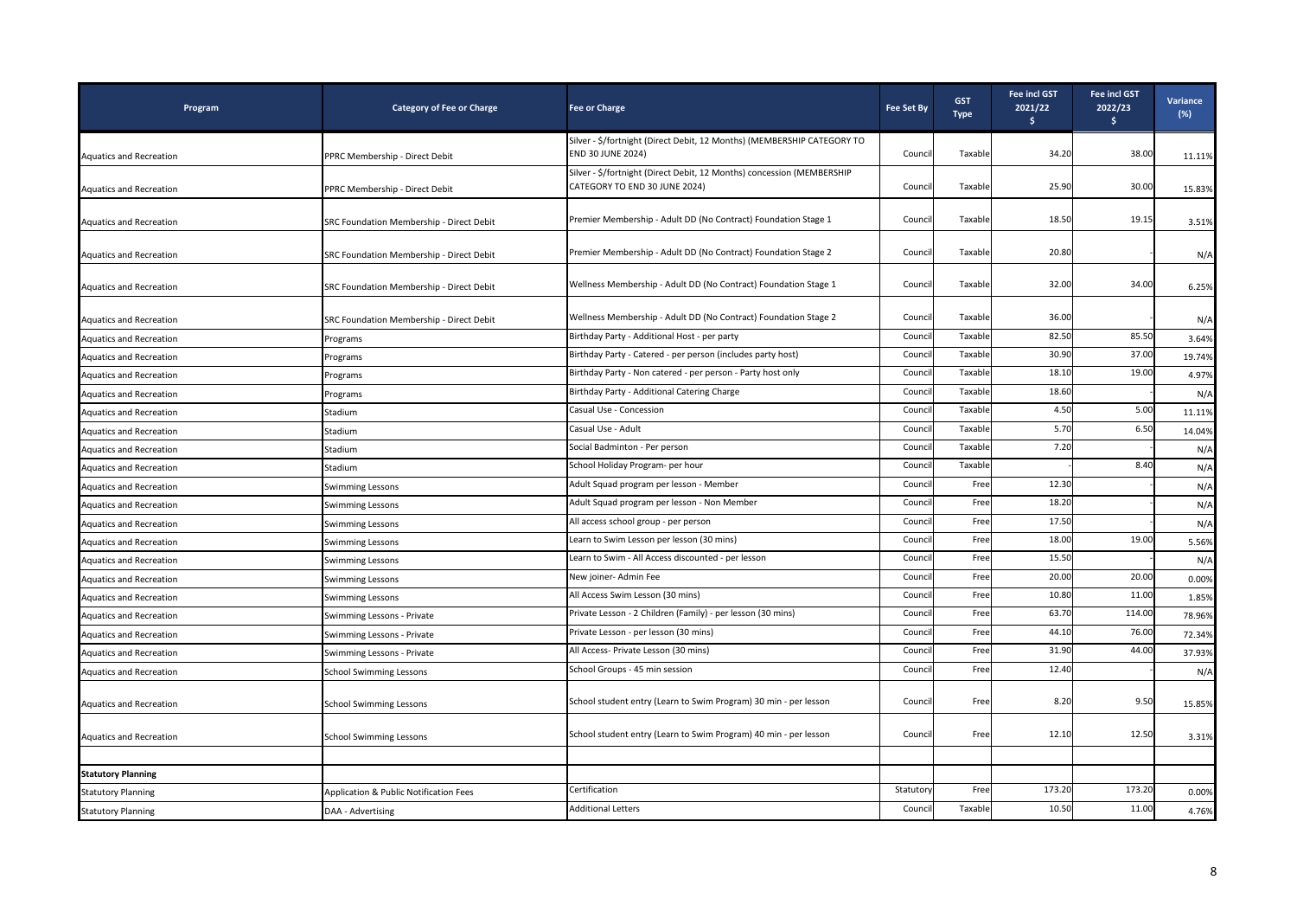| Program                        | <b>Category of Fee or Charge</b>         | <b>Fee or Charge</b>                                                                                    | <b>Fee Set By</b> | <b>GST</b><br><b>Type</b> | <b>Fee incl GST</b><br>2021/22<br>Ś. | Fee incl GST<br>2022/23<br>Ŝ. | Variance<br>$(\%)$ |
|--------------------------------|------------------------------------------|---------------------------------------------------------------------------------------------------------|-------------------|---------------------------|--------------------------------------|-------------------------------|--------------------|
| <b>Aquatics and Recreation</b> | PPRC Membership - Direct Debit           | Silver - \$/fortnight (Direct Debit, 12 Months) (MEMBERSHIP CATEGORY TO<br><b>END 30 JUNE 2024)</b>     | Council           | Taxable                   | 34.20                                | 38.00                         | 11.11%             |
| <b>Aquatics and Recreation</b> | PPRC Membership - Direct Debit           | Silver - \$/fortnight (Direct Debit, 12 Months) concession (MEMBERSHIP<br>CATEGORY TO END 30 JUNE 2024) | Council           | Taxable                   | 25.90                                | 30.00                         | 15.83%             |
| <b>Aquatics and Recreation</b> | SRC Foundation Membership - Direct Debit | Premier Membership - Adult DD (No Contract) Foundation Stage 1                                          | Council           | Taxable                   | 18.50                                | 19.15                         | 3.51%              |
| <b>Aquatics and Recreation</b> | SRC Foundation Membership - Direct Debit | Premier Membership - Adult DD (No Contract) Foundation Stage 2                                          | Council           | Taxable                   | 20.80                                |                               | N/A                |
| <b>Aquatics and Recreation</b> | SRC Foundation Membership - Direct Debit | Wellness Membership - Adult DD (No Contract) Foundation Stage 1                                         | Council           | Taxable                   | 32.00                                | 34.00                         | 6.25%              |
| <b>Aquatics and Recreation</b> | SRC Foundation Membership - Direct Debit | Wellness Membership - Adult DD (No Contract) Foundation Stage 2                                         | Council           | Taxable                   | 36.00                                |                               | N/A                |
| Aquatics and Recreation        | Programs                                 | Birthday Party - Additional Host - per party                                                            | Counci            | Taxable                   | 82.50                                | 85.50                         | 3.64%              |
| Aquatics and Recreation        | Programs                                 | Birthday Party - Catered - per person (includes party host)                                             | Council           | Taxable                   | 30.90                                | 37.00                         | 19.74%             |
| Aquatics and Recreation        | Programs                                 | Birthday Party - Non catered - per person - Party host only                                             | Counci            | Taxable                   | 18.10                                | 19.00                         | 4.97%              |
| Aquatics and Recreation        | Programs                                 | Birthday Party - Additional Catering Charge                                                             | Counci            | Taxable                   | 18.60                                |                               | N/A                |
| <b>Aquatics and Recreation</b> | Stadium                                  | Casual Use - Concession                                                                                 | Counci            | Taxable                   | 4.50                                 | 5.00                          | 11.11%             |
| Aquatics and Recreation        | Stadium                                  | Casual Use - Adult                                                                                      | Council           | Taxable                   | 5.70                                 | 6.50                          | 14.04%             |
| <b>Aquatics and Recreation</b> | Stadium                                  | Social Badminton - Per person                                                                           | Council           | Taxable                   | 7.20                                 |                               | N/A                |
| Aquatics and Recreation        | Stadium                                  | School Holiday Program- per hour                                                                        | Counci            | Taxable                   |                                      | 8.40                          | N/A                |
| Aquatics and Recreation        | Swimming Lessons                         | Adult Squad program per lesson - Member                                                                 | Counci            | Free                      | 12.30                                |                               | N/A                |
| Aquatics and Recreation        | <b>Swimming Lessons</b>                  | Adult Squad program per lesson - Non Member                                                             | Council           | Free                      | 18.20                                |                               | N/A                |
| Aquatics and Recreation        | <b>Swimming Lessons</b>                  | All access school group - per person                                                                    | Council           | Free                      | 17.50                                |                               | N/A                |
| <b>Aquatics and Recreation</b> | <b>Swimming Lessons</b>                  | Learn to Swim Lesson per lesson (30 mins)                                                               | Counci            | Free                      | 18.00                                | 19.00                         | 5.56%              |
| <b>Aquatics and Recreation</b> | Swimming Lessons                         | Learn to Swim - All Access discounted - per lesson                                                      | Council           | Free                      | 15.50                                |                               | N/A                |
| <b>Aquatics and Recreation</b> | <b>Swimming Lessons</b>                  | New joiner- Admin Fee                                                                                   | Council           | Free                      | 20.00                                | 20.00                         | 0.00%              |
| <b>Aquatics and Recreation</b> | <b>Swimming Lessons</b>                  | All Access Swim Lesson (30 mins)                                                                        | Council           | Free                      | 10.80                                | 11.00                         | 1.85%              |
| Aquatics and Recreation        | Swimming Lessons - Private               | Private Lesson - 2 Children (Family) - per lesson (30 mins)                                             | Counci            | Free                      | 63.70                                | 114.00                        | 78.96%             |
| Aquatics and Recreation        | Swimming Lessons - Private               | Private Lesson - per lesson (30 mins)                                                                   | Counci            | Free                      | 44.10                                | 76.00                         | 72.34%             |
| Aquatics and Recreation        | Swimming Lessons - Private               | All Access- Private Lesson (30 mins)                                                                    | Council           | Free                      | 31.90                                | 44.00                         | 37.93%             |
| Aquatics and Recreation        | <b>School Swimming Lessons</b>           | School Groups - 45 min session                                                                          | Council           | Free                      | 12.40                                |                               | N/A                |
| Aquatics and Recreation        | <b>School Swimming Lessons</b>           | School student entry (Learn to Swim Program) 30 min - per lesson                                        | Council           | Free                      | 8.20                                 | 9.50                          | 15.85%             |
| <b>Aquatics and Recreation</b> | <b>School Swimming Lessons</b>           | School student entry (Learn to Swim Program) 40 min - per lesson                                        | Council           | Free                      | 12.10                                | 12.50                         | 3.31%              |
|                                |                                          |                                                                                                         |                   |                           |                                      |                               |                    |
| <b>Statutory Planning</b>      |                                          |                                                                                                         |                   |                           |                                      |                               |                    |
| <b>Statutory Planning</b>      | Application & Public Notification Fees   | Certification                                                                                           | Statuton          | Free                      | 173.20                               | 173.20                        | 0.00%              |
| <b>Statutory Planning</b>      | DAA - Advertising                        | <b>Additional Letters</b>                                                                               | Council           | Taxable                   | 10.50                                | 11.00                         | 4.76%              |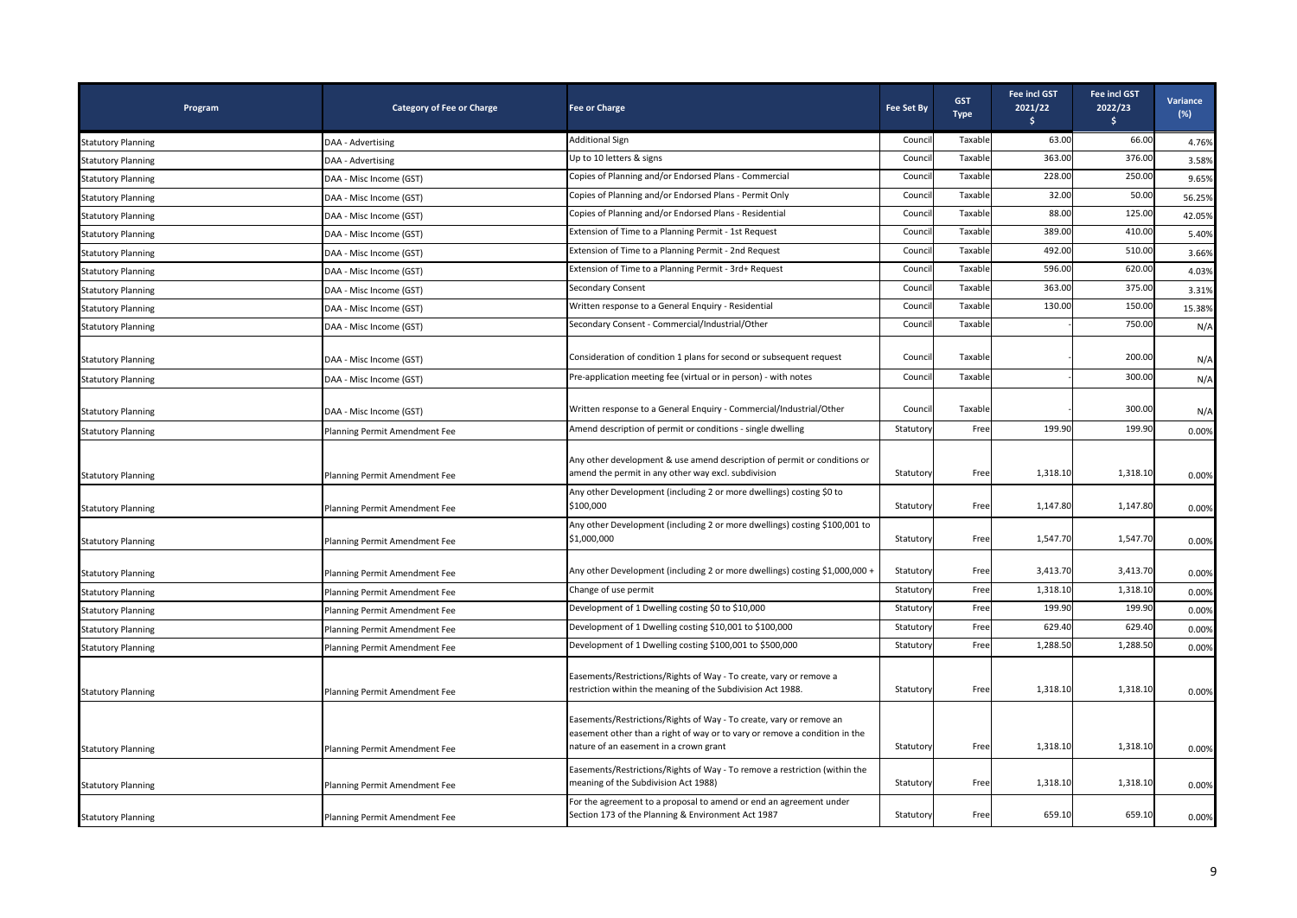| Program                   | <b>Category of Fee or Charge</b> | <b>Fee or Charge</b>                                                                                                                                                                        | <b>Fee Set By</b> | <b>GST</b><br><b>Type</b> | <b>Fee incl GST</b><br>2021/22<br>s. | <b>Fee incl GST</b><br>2022/23<br>$\frac{1}{2}$ | Variance<br>$(\%)$ |
|---------------------------|----------------------------------|---------------------------------------------------------------------------------------------------------------------------------------------------------------------------------------------|-------------------|---------------------------|--------------------------------------|-------------------------------------------------|--------------------|
| <b>Statutory Planning</b> | DAA - Advertising                | <b>Additional Sign</b>                                                                                                                                                                      | Counci            | Taxable                   | 63.00                                | 66.00                                           | 4.76%              |
| <b>Statutory Planning</b> | DAA - Advertising                | Up to 10 letters & signs                                                                                                                                                                    | Counci            | Taxable                   | 363.00                               | 376.00                                          | 3.58%              |
| <b>Statutory Planning</b> | DAA - Misc Income (GST)          | Copies of Planning and/or Endorsed Plans - Commercial                                                                                                                                       | Counci            | Taxable                   | 228.00                               | 250.00                                          | 9.65%              |
| <b>Statutory Planning</b> | DAA - Misc Income (GST)          | Copies of Planning and/or Endorsed Plans - Permit Only                                                                                                                                      | Counci            | Taxable                   | 32.00                                | 50.00                                           | 56.25%             |
| <b>Statutory Planning</b> | DAA - Misc Income (GST)          | Copies of Planning and/or Endorsed Plans - Residential                                                                                                                                      | Counci            | Taxable                   | 88.00                                | 125.00                                          | 42.05%             |
| <b>Statutory Planning</b> | DAA - Misc Income (GST)          | Extension of Time to a Planning Permit - 1st Request                                                                                                                                        | Counci            | Taxable                   | 389.00                               | 410.00                                          | 5.40%              |
| <b>Statutory Planning</b> | DAA - Misc Income (GST)          | Extension of Time to a Planning Permit - 2nd Request                                                                                                                                        | Counci            | Taxable                   | 492.00                               | 510.00                                          | 3.66%              |
| <b>Statutory Planning</b> | DAA - Misc Income (GST)          | Extension of Time to a Planning Permit - 3rd+ Request                                                                                                                                       | Counci            | Taxable                   | 596.00                               | 620.00                                          | 4.03%              |
| <b>Statutory Planning</b> | DAA - Misc Income (GST)          | Secondary Consent                                                                                                                                                                           | Counci            | Taxable                   | 363.00                               | 375.00                                          | 3.31%              |
| <b>Statutory Planning</b> | DAA - Misc Income (GST)          | Written response to a General Enquiry - Residential                                                                                                                                         | Counci            | Taxable                   | 130.00                               | 150.00                                          | 15.38%             |
| <b>Statutory Planning</b> | DAA - Misc Income (GST)          | Secondary Consent - Commercial/Industrial/Other                                                                                                                                             | Counci            | Taxable                   |                                      | 750.00                                          | N/A                |
| <b>Statutory Planning</b> | DAA - Misc Income (GST)          | Consideration of condition 1 plans for second or subsequent request                                                                                                                         | Counci            | Taxable                   |                                      | 200.00                                          | N/A                |
| <b>Statutory Planning</b> | DAA - Misc Income (GST)          | Pre-application meeting fee (virtual or in person) - with notes                                                                                                                             | Counci            | Taxable                   |                                      | 300.00                                          | N/A                |
| <b>Statutory Planning</b> | DAA - Misc Income (GST)          | Written response to a General Enquiry - Commercial/Industrial/Other                                                                                                                         | Counci            | Taxable                   |                                      | 300.00                                          | N/A                |
| <b>Statutory Planning</b> | Planning Permit Amendment Fee    | Amend description of permit or conditions - single dwelling                                                                                                                                 | Statutory         | Free                      | 199.90                               | 199.90                                          | 0.00%              |
| <b>Statutory Planning</b> | Planning Permit Amendment Fee    | Any other development & use amend description of permit or conditions or<br>amend the permit in any other way excl. subdivision                                                             | Statutory         | Free                      | 1,318.10                             | 1,318.10                                        | 0.00%              |
| <b>Statutory Planning</b> | Planning Permit Amendment Fee    | Any other Development (including 2 or more dwellings) costing \$0 to<br>\$100,000                                                                                                           | Statutory         | Free                      | 1,147.80                             | 1,147.80                                        | 0.00%              |
| <b>Statutory Planning</b> | Planning Permit Amendment Fee    | Any other Development (including 2 or more dwellings) costing \$100,001 to<br>\$1,000,000                                                                                                   | Statutory         | Free                      | 1,547.70                             | 1,547.70                                        | 0.00%              |
| <b>Statutory Planning</b> | Planning Permit Amendment Fee    | Any other Development (including 2 or more dwellings) costing \$1,000,000 +                                                                                                                 | Statutory         | Free                      | 3,413.70                             | 3,413.70                                        | 0.00%              |
| <b>Statutory Planning</b> | Planning Permit Amendment Fee    | Change of use permit                                                                                                                                                                        | Statutory         | Free                      | 1,318.10                             | 1,318.10                                        | 0.00%              |
| <b>Statutory Planning</b> | Planning Permit Amendment Fee    | Development of 1 Dwelling costing \$0 to \$10,000                                                                                                                                           | Statutory         | Free                      | 199.90                               | 199.90                                          | 0.00%              |
| <b>Statutory Planning</b> | Planning Permit Amendment Fee    | Development of 1 Dwelling costing \$10,001 to \$100,000                                                                                                                                     | Statuton          | Free                      | 629.40                               | 629.40                                          | 0.00%              |
| <b>Statutory Planning</b> | Planning Permit Amendment Fee    | Development of 1 Dwelling costing \$100,001 to \$500,000                                                                                                                                    | Statutory         | Free                      | 1,288.50                             | 1,288.50                                        | 0.00%              |
| <b>Statutory Planning</b> | Planning Permit Amendment Fee    | Easements/Restrictions/Rights of Way - To create, vary or remove a<br>restriction within the meaning of the Subdivision Act 1988.                                                           | Statutory         | Free                      | 1,318.10                             | 1,318.10                                        | 0.00%              |
| <b>Statutory Planning</b> | Planning Permit Amendment Fee    | Easements/Restrictions/Rights of Way - To create, vary or remove an<br>easement other than a right of way or to vary or remove a condition in the<br>nature of an easement in a crown grant | Statutory         | Free                      | 1,318.10                             | 1,318.10                                        | 0.00%              |
| <b>Statutory Planning</b> | Planning Permit Amendment Fee    | Easements/Restrictions/Rights of Way - To remove a restriction (within the<br>meaning of the Subdivision Act 1988)                                                                          | Statutory         | Free                      | 1,318.10                             | 1,318.10                                        | 0.00%              |
| <b>Statutory Planning</b> | Planning Permit Amendment Fee    | For the agreement to a proposal to amend or end an agreement under<br>Section 173 of the Planning & Environment Act 1987                                                                    | Statutory         | Free                      | 659.10                               | 659.10                                          | 0.00%              |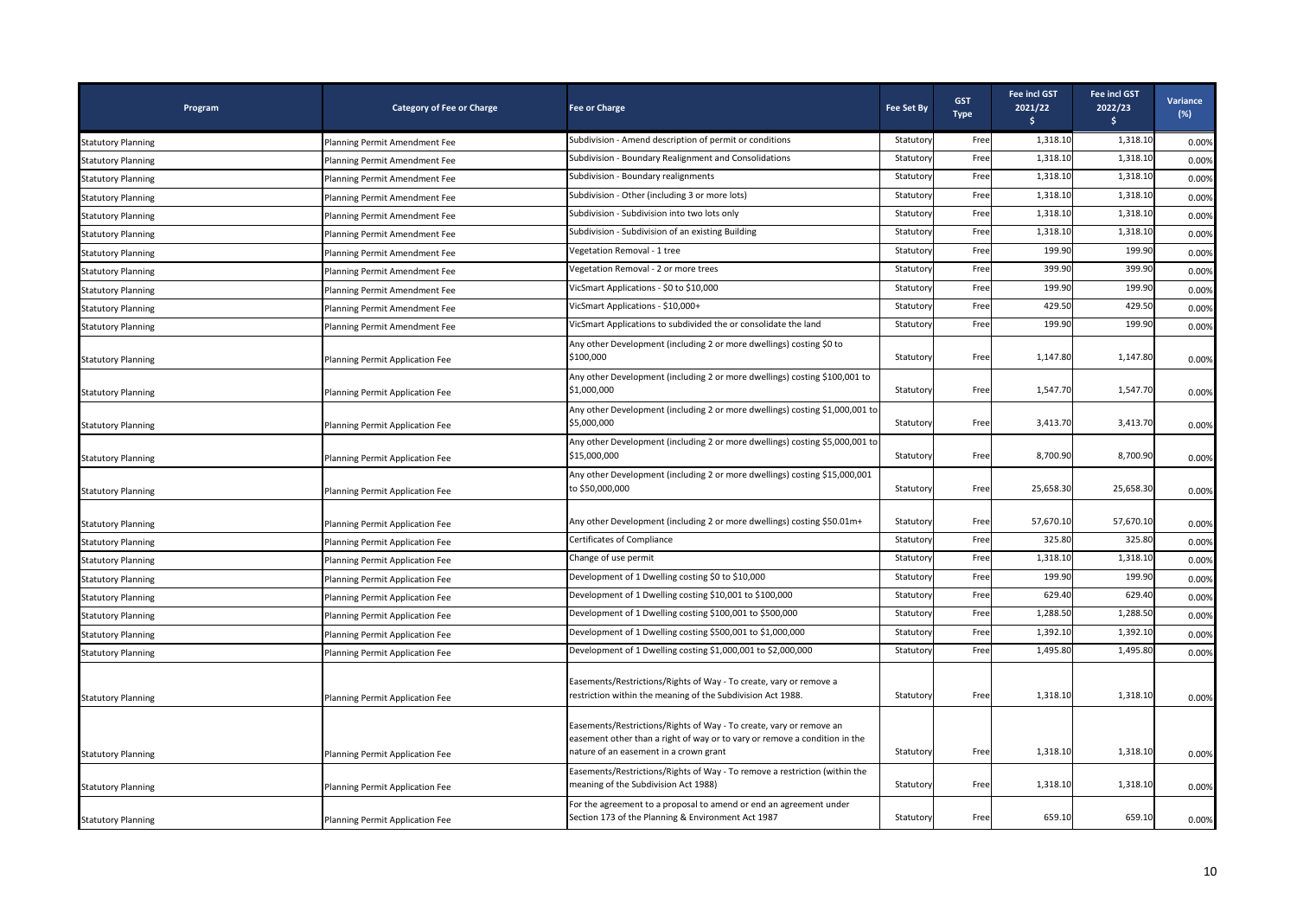| Program                   | <b>Category of Fee or Charge</b> | <b>Fee or Charge</b>                                                                                                                                                                        | <b>Fee Set By</b> | <b>GST</b><br><b>Type</b> | <b>Fee incl GST</b><br>2021/22<br>s. | Fee incl GST<br>2022/23<br>\$. | Variance<br>(%) |
|---------------------------|----------------------------------|---------------------------------------------------------------------------------------------------------------------------------------------------------------------------------------------|-------------------|---------------------------|--------------------------------------|--------------------------------|-----------------|
| <b>Statutory Planning</b> | Planning Permit Amendment Fee    | Subdivision - Amend description of permit or conditions                                                                                                                                     | Statutory         | Free                      | 1,318.10                             | 1,318.10                       | 0.00%           |
| <b>Statutory Planning</b> | Planning Permit Amendment Fee    | Subdivision - Boundary Realignment and Consolidations                                                                                                                                       | Statuton          | Free                      | 1,318.10                             | 1,318.10                       | 0.00%           |
| <b>Statutory Planning</b> | Planning Permit Amendment Fee    | Subdivision - Boundary realignments                                                                                                                                                         | Statuton          | Free                      | 1,318.10                             | 1,318.10                       | 0.00%           |
| <b>Statutory Planning</b> | Planning Permit Amendment Fee    | Subdivision - Other (including 3 or more lots)                                                                                                                                              | Statutory         | Free                      | 1,318.10                             | 1,318.10                       | 0.00%           |
| <b>Statutory Planning</b> | Planning Permit Amendment Fee    | Subdivision - Subdivision into two lots only                                                                                                                                                | Statuton          | Free                      | 1,318.10                             | 1,318.10                       | 0.00%           |
| <b>Statutory Planning</b> | Planning Permit Amendment Fee    | Subdivision - Subdivision of an existing Building                                                                                                                                           | Statutory         | Free                      | 1,318.10                             | 1,318.10                       | 0.00%           |
| <b>Statutory Planning</b> | Planning Permit Amendment Fee    | Vegetation Removal - 1 tree                                                                                                                                                                 | Statutory         | Free                      | 199.90                               | 199.90                         | 0.00%           |
| <b>Statutory Planning</b> | Planning Permit Amendment Fee    | Vegetation Removal - 2 or more trees                                                                                                                                                        | Statuton          | Free                      | 399.90                               | 399.90                         | 0.00%           |
| <b>Statutory Planning</b> | Planning Permit Amendment Fee    | VicSmart Applications - \$0 to \$10,000                                                                                                                                                     | Statuton          | Free                      | 199.90                               | 199.90                         | 0.00%           |
| <b>Statutory Planning</b> | Planning Permit Amendment Fee    | VicSmart Applications - \$10,000+                                                                                                                                                           | Statuton          | Free                      | 429.50                               | 429.50                         | 0.00%           |
| <b>Statutory Planning</b> | Planning Permit Amendment Fee    | VicSmart Applications to subdivided the or consolidate the land                                                                                                                             | Statutory         | Free                      | 199.90                               | 199.90                         | 0.00%           |
| <b>Statutory Planning</b> | Planning Permit Application Fee  | Any other Development (including 2 or more dwellings) costing \$0 to<br>\$100,000                                                                                                           | Statutory         | Free                      | 1,147.80                             | 1,147.80                       | 0.00%           |
| <b>Statutory Planning</b> | Planning Permit Application Fee  | Any other Development (including 2 or more dwellings) costing \$100,001 to<br>\$1,000,000                                                                                                   | Statutory         | Free                      | 1,547.70                             | 1,547.70                       | 0.00%           |
| <b>Statutory Planning</b> | Planning Permit Application Fee  | Any other Development (including 2 or more dwellings) costing \$1,000,001 to<br>\$5,000,000                                                                                                 | Statutory         | Free                      | 3,413.70                             | 3,413.70                       | 0.00%           |
| <b>Statutory Planning</b> | Planning Permit Application Fee  | Any other Development (including 2 or more dwellings) costing \$5,000,001 to<br>\$15,000,000                                                                                                | Statutory         | Free                      | 8,700.90                             | 8,700.90                       | 0.00%           |
| <b>Statutory Planning</b> | Planning Permit Application Fee  | Any other Development (including 2 or more dwellings) costing \$15,000,001<br>to \$50,000,000                                                                                               | Statutory         | Free                      | 25,658.30                            | 25,658.30                      | 0.00%           |
| <b>Statutory Planning</b> | Planning Permit Application Fee  | Any other Development (including 2 or more dwellings) costing \$50.01m+                                                                                                                     | Statutory         | Free                      | 57,670.10                            | 57,670.10                      | 0.00%           |
| <b>Statutory Planning</b> | Planning Permit Application Fee  | Certificates of Compliance                                                                                                                                                                  | Statutory         | Free                      | 325.80                               | 325.80                         | 0.00%           |
| <b>Statutory Planning</b> | Planning Permit Application Fee  | Change of use permit                                                                                                                                                                        | Statutor          | Free                      | 1,318.10                             | 1,318.10                       | 0.00%           |
| <b>Statutory Planning</b> | Planning Permit Application Fee  | Development of 1 Dwelling costing \$0 to \$10,000                                                                                                                                           | Statuton          | Free                      | 199.90                               | 199.90                         | 0.00%           |
| <b>Statutory Planning</b> | Planning Permit Application Fee  | Development of 1 Dwelling costing \$10,001 to \$100,000                                                                                                                                     | Statutory         | Free                      | 629.40                               | 629.40                         | 0.00%           |
| <b>Statutory Planning</b> | Planning Permit Application Fee  | Development of 1 Dwelling costing \$100,001 to \$500,000                                                                                                                                    | Statuton          | Free                      | 1,288.50                             | 1,288.50                       | 0.00%           |
| <b>Statutory Planning</b> | Planning Permit Application Fee  | Development of 1 Dwelling costing \$500,001 to \$1,000,000                                                                                                                                  | Statutory         | Free                      | 1,392.10                             | 1,392.10                       | 0.00%           |
| <b>Statutory Planning</b> | Planning Permit Application Fee  | Development of 1 Dwelling costing \$1,000,001 to \$2,000,000                                                                                                                                | Statutory         | Free                      | 1,495.80                             | 1,495.80                       | 0.00%           |
| <b>Statutory Planning</b> | Planning Permit Application Fee  | Easements/Restrictions/Rights of Way - To create, vary or remove a<br>restriction within the meaning of the Subdivision Act 1988.                                                           | Statutory         | Free                      | 1,318.10                             | 1,318.10                       | 0.00%           |
| <b>Statutory Planning</b> | Planning Permit Application Fee  | Easements/Restrictions/Rights of Way - To create, vary or remove an<br>easement other than a right of way or to vary or remove a condition in the<br>nature of an easement in a crown grant | Statutory         | Free                      | 1,318.10                             | 1,318.10                       | 0.00%           |
| <b>Statutory Planning</b> | Planning Permit Application Fee  | Easements/Restrictions/Rights of Way - To remove a restriction (within the<br>meaning of the Subdivision Act 1988)                                                                          | Statutory         | Free                      | 1,318.10                             | 1,318.10                       | 0.00%           |
| <b>Statutory Planning</b> | Planning Permit Application Fee  | For the agreement to a proposal to amend or end an agreement under<br>Section 173 of the Planning & Environment Act 1987                                                                    | Statutory         | Free                      | 659.10                               | 659.10                         | 0.00%           |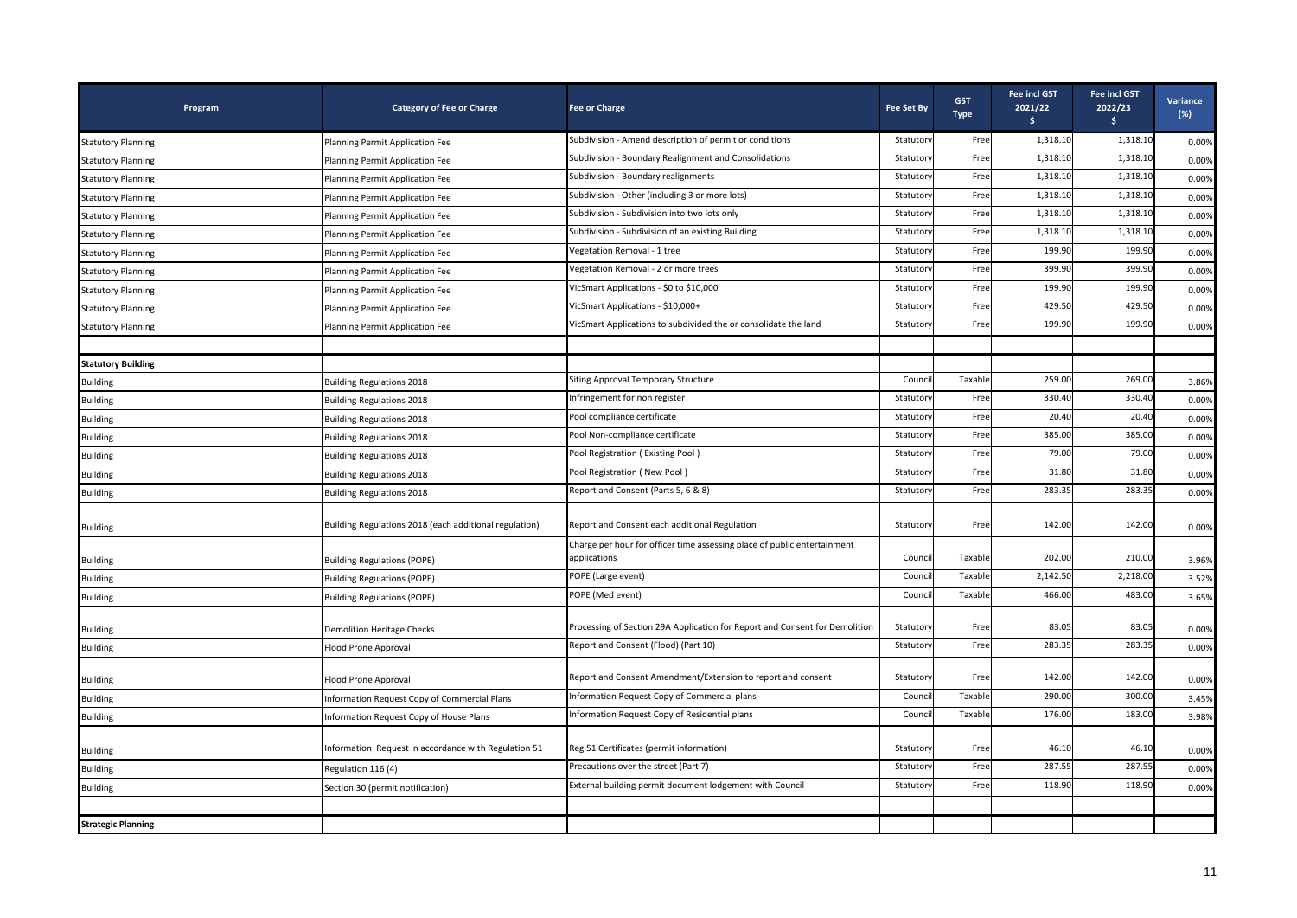| Program                   | <b>Category of Fee or Charge</b>                       | <b>Fee or Charge</b>                                                        | <b>Fee Set By</b> | <b>GST</b><br><b>Type</b> | <b>Fee incl GST</b><br>2021/22<br>Ŝ. | <b>Fee incl GST</b><br>2022/23<br>\$. | Variance<br>(%) |
|---------------------------|--------------------------------------------------------|-----------------------------------------------------------------------------|-------------------|---------------------------|--------------------------------------|---------------------------------------|-----------------|
| <b>Statutory Planning</b> | Planning Permit Application Fee                        | Subdivision - Amend description of permit or conditions                     | Statutory         | Free                      | 1,318.10                             | 1,318.10                              | 0.00%           |
| <b>Statutory Planning</b> | Planning Permit Application Fee                        | Subdivision - Boundary Realignment and Consolidations                       | Statuton          | Free                      | 1,318.10                             | 1,318.10                              | 0.00%           |
| <b>Statutory Planning</b> | Planning Permit Application Fee                        | Subdivision - Boundary realignments                                         | Statuton          | Free                      | 1,318.10                             | 1,318.10                              | 0.00%           |
| <b>Statutory Planning</b> | Planning Permit Application Fee                        | Subdivision - Other (including 3 or more lots)                              | Statuton          | Free                      | 1,318.10                             | 1,318.10                              | 0.00%           |
| <b>Statutory Planning</b> | Planning Permit Application Fee                        | Subdivision - Subdivision into two lots only                                | Statutory         | Free                      | 1,318.10                             | 1,318.10                              | 0.00%           |
| <b>Statutory Planning</b> | Planning Permit Application Fee                        | Subdivision - Subdivision of an existing Building                           | Statutory         | Free                      | 1,318.10                             | 1,318.10                              | 0.00%           |
| <b>Statutory Planning</b> | Planning Permit Application Fee                        | Vegetation Removal - 1 tree                                                 | Statuton          | Free                      | 199.90                               | 199.90                                | 0.00%           |
| <b>Statutory Planning</b> | Planning Permit Application Fee                        | Vegetation Removal - 2 or more trees                                        | Statutor          | Free                      | 399.90                               | 399.90                                | 0.00%           |
| <b>Statutory Planning</b> | Planning Permit Application Fee                        | VicSmart Applications - \$0 to \$10,000                                     | Statutory         | Free                      | 199.90                               | 199.90                                | 0.00%           |
| <b>Statutory Planning</b> | Planning Permit Application Fee                        | VicSmart Applications - \$10,000+                                           | Statuton          | Free                      | 429.50                               | 429.50                                | 0.00%           |
| <b>Statutory Planning</b> | Planning Permit Application Fee                        | VicSmart Applications to subdivided the or consolidate the land             | Statuton          | Free                      | 199.90                               | 199.90                                | 0.00%           |
|                           |                                                        |                                                                             |                   |                           |                                      |                                       |                 |
| <b>Statutory Building</b> |                                                        |                                                                             |                   |                           |                                      |                                       |                 |
| <b>Building</b>           | <b>Building Regulations 2018</b>                       | Siting Approval Temporary Structure                                         | Counci            | Taxable                   | 259.00                               | 269.00                                | 3.86%           |
| <b>Building</b>           | <b>Building Regulations 2018</b>                       | Infringement for non register                                               | Statuton          | Free                      | 330.40                               | 330.40                                | 0.00%           |
| <b>Building</b>           | <b>Building Regulations 2018</b>                       | Pool compliance certificate                                                 | Statutory         | Free                      | 20.40                                | 20.40                                 | 0.00%           |
| <b>Building</b>           | <b>Building Regulations 2018</b>                       | Pool Non-compliance certificate                                             | Statutory         | Free                      | 385.00                               | 385.00                                | 0.00%           |
| <b>Building</b>           | <b>Building Regulations 2018</b>                       | Pool Registration (Existing Pool)                                           | Statutor          | Free                      | 79.00                                | 79.00                                 | 0.00%           |
| <b>Building</b>           | <b>Building Regulations 2018</b>                       | Pool Registration (New Pool)                                                | Statutor          | Free                      | 31.80                                | 31.80                                 | 0.00%           |
| <b>Building</b>           | <b>Building Regulations 2018</b>                       | Report and Consent (Parts 5, 6 & 8)                                         | Statuton          | Free                      | 283.35                               | 283.35                                | 0.00%           |
| <b>Building</b>           | Building Regulations 2018 (each additional regulation) | Report and Consent each additional Regulation                               | Statuton          | Free                      | 142.00                               | 142.00                                | 0.00%           |
|                           |                                                        | Charge per hour for officer time assessing place of public entertainment    |                   |                           |                                      |                                       |                 |
| <b>Building</b>           | <b>Building Regulations (POPE)</b>                     | applications                                                                | Counci            | Taxable                   | 202.00                               | 210.00                                | 3.96%           |
| <b>Building</b>           | <b>Building Regulations (POPE)</b>                     | POPE (Large event)                                                          | Counci            | Taxable                   | 2,142.50                             | 2,218.00                              | 3.52%           |
| <b>Building</b>           | <b>Building Regulations (POPE)</b>                     | POPE (Med event)                                                            | Counci            | Taxable                   | 466.00                               | 483.00                                | 3.65%           |
| <b>Building</b>           | <b>Demolition Heritage Checks</b>                      | Processing of Section 29A Application for Report and Consent for Demolition | Statutory         | Free                      | 83.05                                | 83.05                                 | 0.00%           |
| <b>Building</b>           | Flood Prone Approval                                   | Report and Consent (Flood) (Part 10)                                        | Statutory         | Free                      | 283.35                               | 283.35                                | 0.00%           |
| <b>Building</b>           | Flood Prone Approval                                   | Report and Consent Amendment/Extension to report and consent                | Statutory         | Free                      | 142.00                               | 142.00                                | 0.00%           |
| <b>Building</b>           | Information Request Copy of Commercial Plans           | Information Request Copy of Commercial plans                                | Counci            | Taxable                   | 290.00                               | 300.00                                | 3.45%           |
| <b>Building</b>           | Information Request Copy of House Plans                | Information Request Copy of Residential plans                               | Counci            | Taxable                   | 176.00                               | 183.00                                | 3.98%           |
| <b>Building</b>           | Information Request in accordance with Regulation 51   | Reg 51 Certificates (permit information)                                    | Statuton          | Free                      | 46.10                                | 46.10                                 | 0.00%           |
| <b>Building</b>           | Regulation 116 (4)                                     | Precautions over the street (Part 7)                                        | Statutory         | Free                      | 287.55                               | 287.55                                | 0.00%           |
| <b>Building</b>           | Section 30 (permit notification)                       | External building permit document lodgement with Council                    | Statuton          | Free                      | 118.90                               | 118.90                                | 0.00%           |
|                           |                                                        |                                                                             |                   |                           |                                      |                                       |                 |
| <b>Strategic Planning</b> |                                                        |                                                                             |                   |                           |                                      |                                       |                 |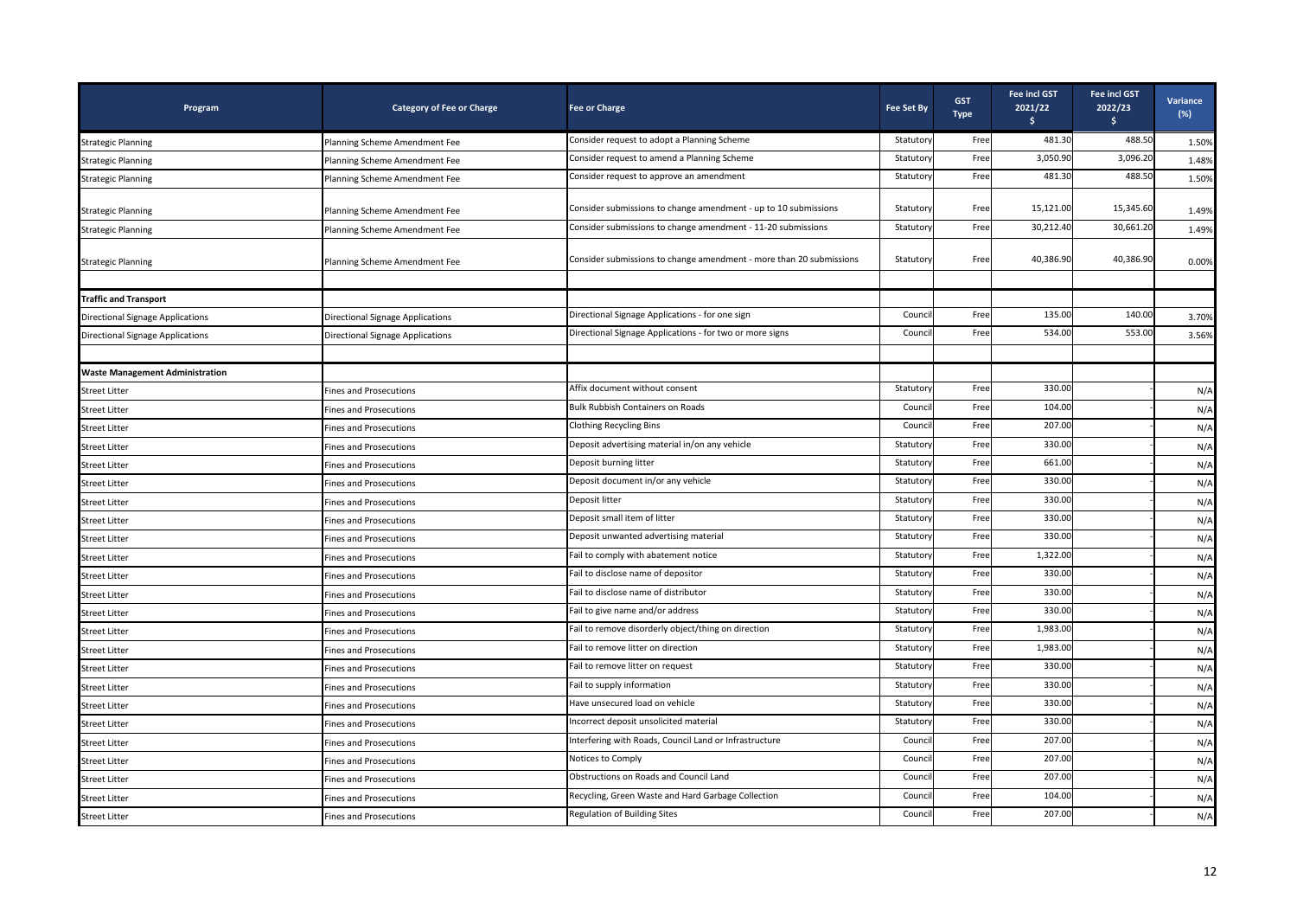| Program                                 | <b>Category of Fee or Charge</b> | <b>Fee or Charge</b>                                                | <b>Fee Set By</b> | <b>GST</b><br><b>Type</b> | <b>Fee incl GST</b><br>2021/22<br>s. | <b>Fee incl GST</b><br>2022/23<br>\$. | Variance<br>$(\%)$ |
|-----------------------------------------|----------------------------------|---------------------------------------------------------------------|-------------------|---------------------------|--------------------------------------|---------------------------------------|--------------------|
| <b>Strategic Planning</b>               | Planning Scheme Amendment Fee    | Consider request to adopt a Planning Scheme                         | Statutory         | Free                      | 481.30                               | 488.50                                | 1.50%              |
| <b>Strategic Planning</b>               | Planning Scheme Amendment Fee    | Consider request to amend a Planning Scheme                         | Statuton          | Free                      | 3,050.90                             | 3,096.20                              | 1.48%              |
| <b>Strategic Planning</b>               | Planning Scheme Amendment Fee    | Consider request to approve an amendment                            | Statutory         | Free                      | 481.30                               | 488.50                                | 1.50%              |
|                                         |                                  | Consider submissions to change amendment - up to 10 submissions     | Statutory         | Free                      | 15,121.00                            | 15,345.60                             |                    |
| <b>Strategic Planning</b>               | Planning Scheme Amendment Fee    | Consider submissions to change amendment - 11-20 submissions        | Statuton          | Free                      | 30,212.40                            | 30,661.20                             | 1.49%              |
| <b>Strategic Planning</b>               | Planning Scheme Amendment Fee    |                                                                     |                   |                           |                                      |                                       | 1.49%              |
| <b>Strategic Planning</b>               | Planning Scheme Amendment Fee    | Consider submissions to change amendment - more than 20 submissions | Statutory         | Free                      | 40,386.90                            | 40,386.90                             | 0.00%              |
|                                         |                                  |                                                                     |                   |                           |                                      |                                       |                    |
| <b>Traffic and Transport</b>            |                                  |                                                                     |                   |                           |                                      |                                       |                    |
| <b>Directional Signage Applications</b> | Directional Signage Applications | Directional Signage Applications - for one sign                     | Counci            | Free                      | 135.00                               | 140.00                                | 3.70%              |
| <b>Directional Signage Applications</b> | Directional Signage Applications | Directional Signage Applications - for two or more signs            | Counci            | Free                      | 534.00                               | 553.00                                | 3.56%              |
| <b>Waste Management Administration</b>  |                                  |                                                                     |                   |                           |                                      |                                       |                    |
| <b>Street Litter</b>                    | Fines and Prosecutions           | Affix document without consent                                      | Statuton          | Free                      | 330.00                               |                                       | N/A                |
| <b>Street Litter</b>                    | <b>Fines and Prosecutions</b>    | <b>Bulk Rubbish Containers on Roads</b>                             | Counci            | Free                      | 104.00                               |                                       | N/A                |
| <b>Street Litter</b>                    | <b>Fines and Prosecutions</b>    | <b>Clothing Recycling Bins</b>                                      | Counci            | Free                      | 207.00                               |                                       | N/A                |
| <b>Street Litter</b>                    | Fines and Prosecutions           | Deposit advertising material in/on any vehicle                      | Statutory         | Free                      | 330.00                               |                                       | N/A                |
| <b>Street Litter</b>                    | <b>Fines and Prosecutions</b>    | Deposit burning litter                                              | Statutor          | Free                      | 661.00                               |                                       | N/A                |
| <b>Street Litter</b>                    | <b>Fines and Prosecutions</b>    | Deposit document in/or any vehicle                                  | Statutory         | Free                      | 330.00                               |                                       | N/A                |
| <b>Street Litter</b>                    | <b>Fines and Prosecutions</b>    | Deposit litter                                                      | Statutory         | Free                      | 330.00                               |                                       | N/A                |
| <b>Street Litter</b>                    | Fines and Prosecutions           | Deposit small item of litter                                        | Statuton          | Free                      | 330.00                               |                                       | N/A                |
| <b>Street Litter</b>                    | Fines and Prosecutions           | Deposit unwanted advertising material                               | Statuton          | Free                      | 330.00                               |                                       | N/A                |
| <b>Street Litter</b>                    | <b>Fines and Prosecutions</b>    | Fail to comply with abatement notice                                | Statuton          | Free                      | 1,322.00                             |                                       | N/A                |
| <b>Street Litter</b>                    | <b>Fines and Prosecutions</b>    | Fail to disclose name of depositor                                  | Statuton          | Free                      | 330.00                               |                                       | N/A                |
| <b>Street Litter</b>                    | <b>Fines and Prosecutions</b>    | Fail to disclose name of distributor                                | Statutor          | Free                      | 330.00                               |                                       | N/A                |
| <b>Street Litter</b>                    | <b>Fines and Prosecutions</b>    | Fail to give name and/or address                                    | Statutory         | Free                      | 330.00                               |                                       | N/A                |
| <b>Street Litter</b>                    | <b>Fines and Prosecutions</b>    | Fail to remove disorderly object/thing on direction                 | Statutory         | Free                      | 1,983.00                             |                                       | N/A                |
| <b>Street Litter</b>                    | Fines and Prosecutions           | Fail to remove litter on direction                                  | Statuton          | Free                      | 1,983.00                             |                                       | N/A                |
| <b>Street Litter</b>                    | <b>Fines and Prosecutions</b>    | Fail to remove litter on request                                    | Statuton          | Free                      | 330.00                               |                                       | N/A                |
| <b>Street Litter</b>                    | Fines and Prosecutions           | Fail to supply information                                          | Statuton          | Free                      | 330.00                               |                                       | N/A                |
| <b>Street Litter</b>                    | <b>Fines and Prosecutions</b>    | Have unsecured load on vehicle                                      | Statuton          | Free                      | 330.00                               |                                       | N/A                |
| <b>Street Litter</b>                    | <b>Fines and Prosecutions</b>    | Incorrect deposit unsolicited material                              | Statutor          | Free                      | 330.00                               |                                       | N/A                |
| <b>Street Litter</b>                    | <b>Fines and Prosecutions</b>    | Interfering with Roads, Council Land or Infrastructure              | Counci            | Free                      | 207.00                               |                                       | N/A                |
| <b>Street Litter</b>                    | <b>Fines and Prosecutions</b>    | Notices to Comply                                                   | Counci            | Free                      | 207.00                               |                                       | N/A                |
| <b>Street Litter</b>                    | <b>Fines and Prosecutions</b>    | Obstructions on Roads and Council Land                              | Counci            | Free                      | 207.00                               |                                       | N/A                |
| <b>Street Litter</b>                    | Fines and Prosecutions           | Recycling, Green Waste and Hard Garbage Collection                  | Counci            | Free                      | 104.00                               |                                       | N/A                |
| <b>Street Litter</b>                    | Fines and Prosecutions           | <b>Regulation of Building Sites</b>                                 | Counci            | Free                      | 207.00                               |                                       | N/A                |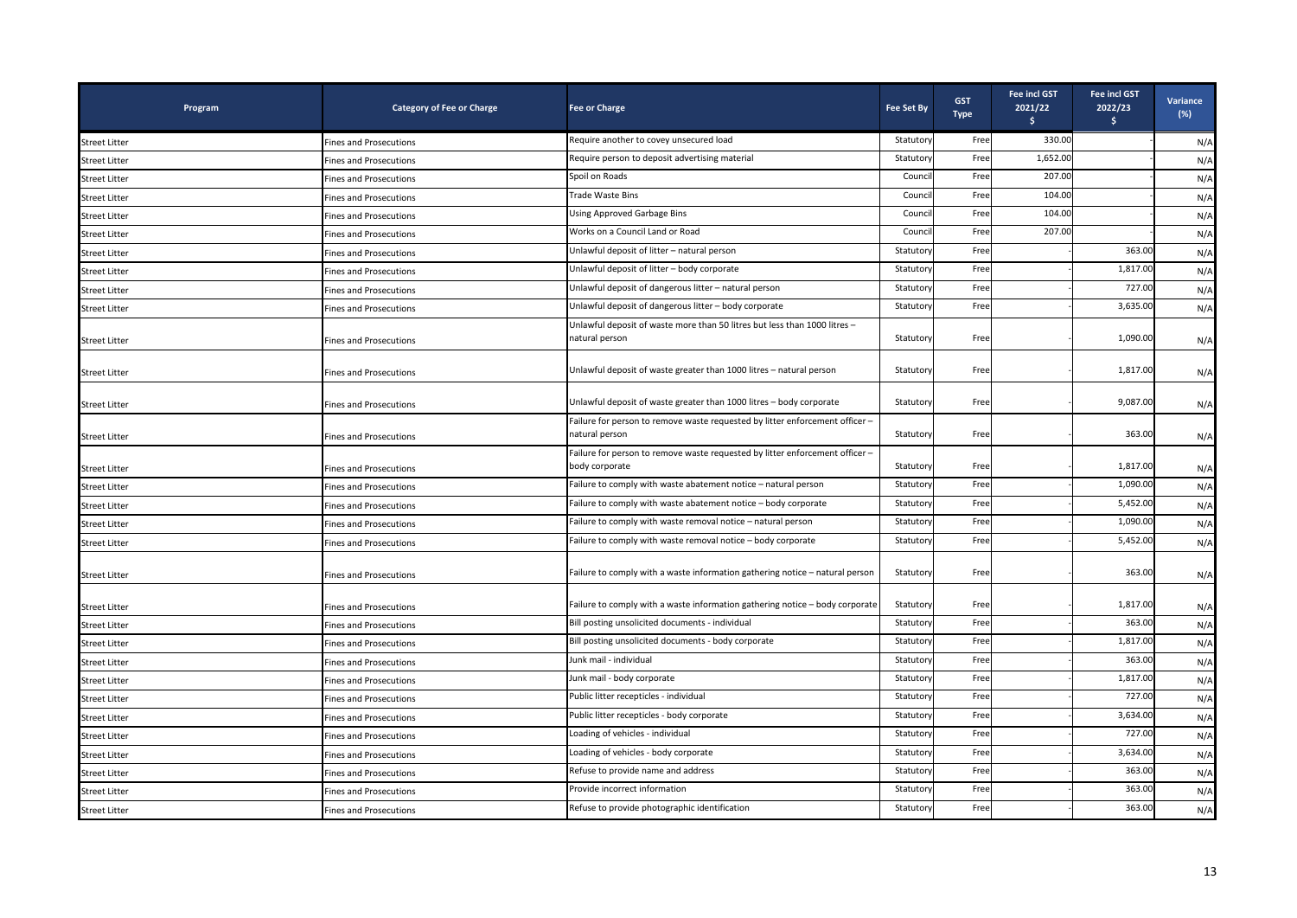| Program              | <b>Category of Fee or Charge</b> | <b>Fee or Charge</b>                                                                           | <b>Fee Set By</b> | <b>GST</b><br><b>Type</b> | <b>Fee incl GST</b><br>2021/22<br>Ŝ. | <b>Fee incl GST</b><br>2022/23<br>\$ | Variance<br>(%) |
|----------------------|----------------------------------|------------------------------------------------------------------------------------------------|-------------------|---------------------------|--------------------------------------|--------------------------------------|-----------------|
| <b>Street Litter</b> | <b>Fines and Prosecutions</b>    | Require another to covey unsecured load                                                        | Statutory         | Free                      | 330.00                               |                                      | N/A             |
| <b>Street Litter</b> | <b>Fines and Prosecutions</b>    | Require person to deposit advertising material                                                 | Statuton          | Free                      | 1,652.00                             |                                      | N/A             |
| <b>Street Litter</b> | <b>Fines and Prosecutions</b>    | Spoil on Roads                                                                                 | Counci            | Free                      | 207.00                               |                                      | N/A             |
| <b>Street Litter</b> | Fines and Prosecutions           | Trade Waste Bins                                                                               | Counci            | Free                      | 104.00                               |                                      | N/A             |
| <b>Street Litter</b> | <b>Fines and Prosecutions</b>    | Using Approved Garbage Bins                                                                    | Counci            | Free                      | 104.00                               |                                      | N/A             |
| <b>Street Litter</b> | <b>Fines and Prosecutions</b>    | Works on a Council Land or Road                                                                | Counci            | Free                      | 207.00                               |                                      | N/A             |
| <b>Street Litter</b> | <b>Fines and Prosecutions</b>    | Unlawful deposit of litter - natural person                                                    | Statutory         | Free                      |                                      | 363.00                               | N/A             |
| <b>Street Litter</b> | <b>Fines and Prosecutions</b>    | Unlawful deposit of litter - body corporate                                                    | Statutory         | Free                      |                                      | 1,817.00                             | N/A             |
| <b>Street Litter</b> | <b>Fines and Prosecutions</b>    | Unlawful deposit of dangerous litter - natural person                                          | Statuton          | Free                      |                                      | 727.00                               | N/A             |
| <b>Street Litter</b> | <b>Fines and Prosecutions</b>    | Unlawful deposit of dangerous litter - body corporate                                          | Statuton          | Free                      |                                      | 3,635.00                             | N/A             |
| <b>Street Litter</b> | <b>Fines and Prosecutions</b>    | Unlawful deposit of waste more than 50 litres but less than 1000 litres -<br>natural person    | Statutory         | Free                      |                                      | 1,090.00                             | N/A             |
| <b>Street Litter</b> | <b>Fines and Prosecutions</b>    | Unlawful deposit of waste greater than 1000 litres - natural person                            | Statutory         | Free                      |                                      | 1,817.00                             | N/A             |
| <b>Street Litter</b> | <b>Fines and Prosecutions</b>    | Unlawful deposit of waste greater than 1000 litres - body corporate                            | Statutory         | Free                      |                                      | 9.087.00                             | N/A             |
| <b>Street Litter</b> | <b>Fines and Prosecutions</b>    | Failure for person to remove waste requested by litter enforcement officer -<br>natural person | Statutory         | Free                      |                                      | 363.00                               | N/A             |
| <b>Street Litter</b> | <b>Fines and Prosecutions</b>    | Failure for person to remove waste requested by litter enforcement officer -<br>body corporate | Statutory         | Free                      |                                      | 1,817.00                             | N/A             |
| <b>Street Litter</b> | <b>Fines and Prosecutions</b>    | Failure to comply with waste abatement notice - natural person                                 | Statuton          | Free                      |                                      | 1,090.00                             | N/A             |
| <b>Street Litter</b> | <b>Fines and Prosecutions</b>    | Failure to comply with waste abatement notice - body corporate                                 | Statuton          | Free                      |                                      | 5,452.00                             | N/A             |
| <b>Street Litter</b> | <b>Fines and Prosecutions</b>    | Failure to comply with waste removal notice - natural person                                   | Statutory         | Free                      |                                      | 1,090.00                             | N/A             |
| <b>Street Litter</b> | <b>Fines and Prosecutions</b>    | Failure to comply with waste removal notice - body corporate                                   | Statuton          | Free                      |                                      | 5,452.00                             | N/A             |
| <b>Street Litter</b> | Fines and Prosecutions           | Failure to comply with a waste information gathering notice - natural person                   | Statutory         | Free                      |                                      | 363.00                               | N/A             |
| <b>Street Litter</b> | <b>Fines and Prosecutions</b>    | Failure to comply with a waste information gathering notice - body corporate                   | Statutory         | Free                      |                                      | 1,817.00                             | N/A             |
| <b>Street Litter</b> | <b>Fines and Prosecutions</b>    | Bill posting unsolicited documents - individual                                                | Statutor          | Free                      |                                      | 363.00                               | N/A             |
| <b>Street Litter</b> | <b>Fines and Prosecutions</b>    | Bill posting unsolicited documents - body corporate                                            | Statuton          | Free                      |                                      | 1,817.00                             | N/A             |
| <b>Street Litter</b> | <b>Fines and Prosecutions</b>    | Junk mail - individual                                                                         | Statutory         | Free                      |                                      | 363.00                               | N/A             |
| <b>Street Litter</b> | <b>Fines and Prosecutions</b>    | Junk mail - body corporate                                                                     | Statuton          | Free                      |                                      | 1,817.00                             | N/A             |
| <b>Street Litter</b> | <b>Fines and Prosecutions</b>    | Public litter recepticles - individual                                                         | Statuton          | Free                      |                                      | 727.00                               | N/A             |
| <b>Street Litter</b> | <b>Fines and Prosecutions</b>    | Public litter recepticles - body corporate                                                     | Statutory         | Free                      |                                      | 3,634.00                             | N/A             |
| <b>Street Litter</b> | Fines and Prosecutions           | Loading of vehicles - individual                                                               | Statutory         | Free                      |                                      | 727.00                               | N/A             |
| <b>Street Litter</b> | Fines and Prosecutions           | Loading of vehicles - body corporate                                                           | Statutory         | Free                      |                                      | 3,634.00                             | N/A             |
| <b>Street Litter</b> | Fines and Prosecutions           | Refuse to provide name and address                                                             | Statutor          | Free                      |                                      | 363.00                               | N/A             |
| <b>Street Litter</b> | <b>Fines and Prosecutions</b>    | Provide incorrect information                                                                  | Statuton          | Free                      |                                      | 363.00                               | N/A             |
| <b>Street Litter</b> | <b>Fines and Prosecutions</b>    | Refuse to provide photographic identification                                                  | Statutory         | Free                      |                                      | 363.00                               | N/A             |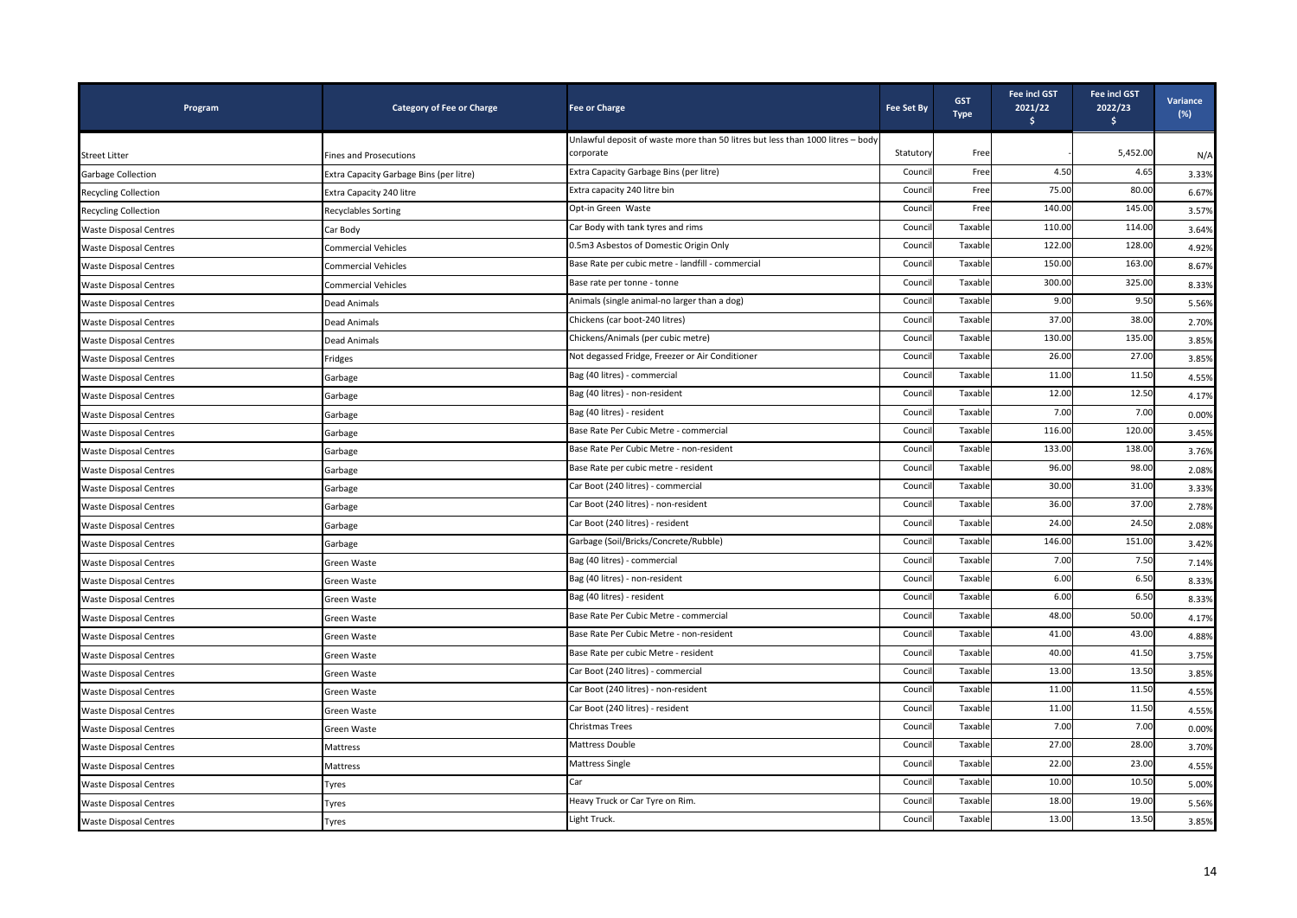| Program                       | <b>Category of Fee or Charge</b>        | <b>Fee or Charge</b>                                                           | Fee Set By | <b>GST</b><br><b>Type</b> | <b>Fee incl GST</b><br>2021/22<br>Ŝ. | Fee incl GST<br>2022/23<br>\$ | <b>Variance</b><br>$(\%)$ |
|-------------------------------|-----------------------------------------|--------------------------------------------------------------------------------|------------|---------------------------|--------------------------------------|-------------------------------|---------------------------|
|                               |                                         | Unlawful deposit of waste more than 50 litres but less than 1000 litres - body |            |                           |                                      |                               |                           |
| <b>Street Litter</b>          | <b>Fines and Prosecutions</b>           | corporate                                                                      | Statutory  | Free                      |                                      | 5,452.00                      | N/A                       |
| <b>Garbage Collection</b>     | Extra Capacity Garbage Bins (per litre) | Extra Capacity Garbage Bins (per litre)                                        | Council    | Free                      | 4.50                                 | 4.65                          | 3.33%                     |
| <b>Recycling Collection</b>   | Extra Capacity 240 litre                | Extra capacity 240 litre bin                                                   | Counci     | Free                      | 75.00                                | 80.00                         | 6.67%                     |
| <b>Recycling Collection</b>   | <b>Recyclables Sorting</b>              | Opt-in Green Waste                                                             | Counci     | Free                      | 140.00                               | 145.00                        | 3.57%                     |
| <b>Waste Disposal Centres</b> | Car Body                                | Car Body with tank tyres and rims                                              | Counci     | Taxable                   | 110.00                               | 114.00                        | 3.64%                     |
| <b>Waste Disposal Centres</b> | <b>Commercial Vehicles</b>              | 0.5m3 Asbestos of Domestic Origin Only                                         | Counci     | Taxable                   | 122.00                               | 128.00                        | 4.92%                     |
| <b>Waste Disposal Centres</b> | <b>Commercial Vehicles</b>              | Base Rate per cubic metre - landfill - commercial                              | Counci     | Taxabl                    | 150.00                               | 163.00                        | 8.67%                     |
| <b>Waste Disposal Centres</b> | <b>Commercial Vehicles</b>              | Base rate per tonne - tonne                                                    | Counci     | Taxable                   | 300.00                               | 325.00                        | 8.33%                     |
| <b>Waste Disposal Centres</b> | <b>Dead Animals</b>                     | Animals (single animal-no larger than a dog)                                   | Council    | Taxable                   | 9.00                                 | 9.50                          | 5.56%                     |
| <b>Waste Disposal Centres</b> | Dead Animals                            | Chickens (car boot-240 litres)                                                 | Counci     | Taxable                   | 37.00                                | 38.00                         | 2.70%                     |
| <b>Waste Disposal Centres</b> | Dead Animals                            | Chickens/Animals (per cubic metre)                                             | Counci     | Taxable                   | 130.00                               | 135.00                        | 3.85%                     |
| <b>Waste Disposal Centres</b> | Fridges                                 | Not degassed Fridge, Freezer or Air Conditioner                                | Counci     | Taxable                   | 26.00                                | 27.00                         | 3.85%                     |
| <b>Waste Disposal Centres</b> | Garbage                                 | Bag (40 litres) - commercial                                                   | Counci     | Taxable                   | 11.00                                | 11.50                         | 4.55%                     |
| <b>Waste Disposal Centres</b> | Garbage                                 | Bag (40 litres) - non-resident                                                 | Counci     | Taxable                   | 12.00                                | 12.50                         | 4.17%                     |
| <b>Waste Disposal Centres</b> | Garbage                                 | Bag (40 litres) - resident                                                     | Counci     | Taxable                   | 7.00                                 | 7.00                          | 0.00%                     |
| <b>Waste Disposal Centres</b> | Garbage                                 | Base Rate Per Cubic Metre - commercial                                         | Counci     | Taxable                   | 116.00                               | 120.00                        | 3.45%                     |
| <b>Waste Disposal Centres</b> | Garbage                                 | Base Rate Per Cubic Metre - non-resident                                       | Counci     | Taxable                   | 133.00                               | 138.00                        | 3.76%                     |
| <b>Waste Disposal Centres</b> | Garbage                                 | Base Rate per cubic metre - resident                                           | Counci     | Taxable                   | 96.00                                | 98.00                         | 2.08%                     |
| <b>Waste Disposal Centres</b> | Garbage                                 | Car Boot (240 litres) - commercial                                             | Counci     | Taxable                   | 30.00                                | 31.00                         | 3.33%                     |
| <b>Waste Disposal Centres</b> | Garbage                                 | Car Boot (240 litres) - non-resident                                           | Counci     | Taxabl                    | 36.00                                | 37.00                         | 2.78%                     |
| <b>Waste Disposal Centres</b> | Garbage                                 | Car Boot (240 litres) - resident                                               | Counci     | Taxable                   | 24.00                                | 24.50                         | 2.08%                     |
| <b>Waste Disposal Centres</b> | Garbage                                 | Garbage (Soil/Bricks/Concrete/Rubble)                                          | Council    | Taxable                   | 146.00                               | 151.00                        | 3.42%                     |
| <b>Waste Disposal Centres</b> | Green Waste                             | Bag (40 litres) - commercial                                                   | Counci     | Taxable                   | 7.00                                 | 7.50                          | 7.14%                     |
| <b>Waste Disposal Centres</b> | Green Waste                             | Bag (40 litres) - non-resident                                                 | Counci     | Taxable                   | 6.00                                 | 6.50                          | 8.33%                     |
| <b>Waste Disposal Centres</b> | Green Waste                             | Bag (40 litres) - resident                                                     | Counci     | Taxable                   | 6.00                                 | 6.50                          | 8.33%                     |
| <b>Waste Disposal Centres</b> | Green Waste                             | Base Rate Per Cubic Metre - commercial                                         | Counci     | Taxable                   | 48.00                                | 50.00                         | 4.17%                     |
| <b>Waste Disposal Centres</b> | Green Waste                             | Base Rate Per Cubic Metre - non-resident                                       | Counci     | Taxable                   | 41.00                                | 43.00                         | 4.88%                     |
| <b>Waste Disposal Centres</b> | Green Waste                             | Base Rate per cubic Metre - resident                                           | Counci     | Taxable                   | 40.00                                | 41.50                         | 3.75%                     |
| <b>Waste Disposal Centres</b> | Green Waste                             | Car Boot (240 litres) - commercial                                             | Counci     | Taxable                   | 13.00                                | 13.50                         | 3.85%                     |
| <b>Waste Disposal Centres</b> | Green Waste                             | Car Boot (240 litres) - non-resident                                           | Counci     | Taxable                   | 11.00                                | 11.50                         | 4.55%                     |
| <b>Waste Disposal Centres</b> | Green Waste                             | Car Boot (240 litres) - resident                                               | Counci     | Taxable                   | 11.00                                | 11.50                         | 4.55%                     |
| <b>Waste Disposal Centres</b> | Green Waste                             | <b>Christmas Trees</b>                                                         | Counci     | Taxable                   | 7.00                                 | 7.00                          | 0.00%                     |
| <b>Waste Disposal Centres</b> | Mattress                                | Mattress Double                                                                | Counci     | Taxabl                    | 27.00                                | 28.00                         | 3.70%                     |
| <b>Waste Disposal Centres</b> | Mattress                                | <b>Mattress Single</b>                                                         | Counci     | Taxable                   | 22.00                                | 23.00                         | 4.55%                     |
| <b>Waste Disposal Centres</b> | Tyres                                   | Car                                                                            | Counci     | Taxable                   | 10.00                                | 10.50                         | 5.00%                     |
| <b>Waste Disposal Centres</b> | Tyres                                   | Heavy Truck or Car Tyre on Rim.                                                | Counci     | Taxable                   | 18.00                                | 19.00                         | 5.56%                     |
| <b>Waste Disposal Centres</b> | Tyres                                   | Light Truck.                                                                   | Counci     | Taxable                   | 13.00                                | 13.50                         | 3.85%                     |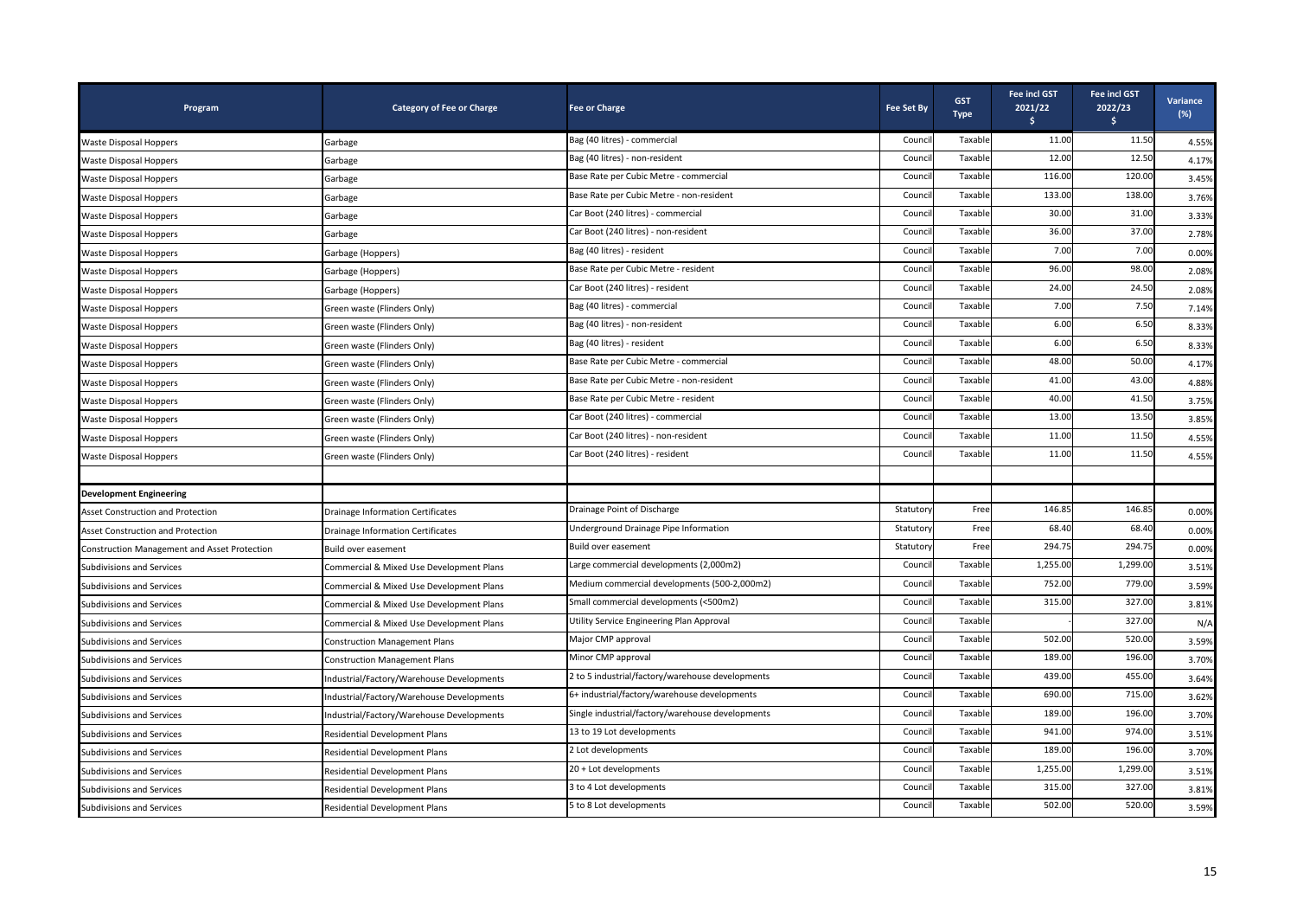| Program                                      | <b>Category of Fee or Charge</b>          | <b>Fee or Charge</b>                             | <b>Fee Set By</b> | <b>GST</b><br><b>Type</b> | <b>Fee incl GST</b><br>2021/22<br>\$ | Fee incl GST<br>2022/23<br>$\frac{1}{2}$ | Variance<br>$(\%)$ |
|----------------------------------------------|-------------------------------------------|--------------------------------------------------|-------------------|---------------------------|--------------------------------------|------------------------------------------|--------------------|
| <b>Waste Disposal Hoppers</b>                | Garbage                                   | Bag (40 litres) - commercial                     | Counci            | Taxable                   | 11.00                                | 11.50                                    | 4.55%              |
| Waste Disposal Hoppers                       | Garbage                                   | Bag (40 litres) - non-resident                   | Counci            | Taxable                   | 12.00                                | 12.50                                    | 4.17%              |
| Waste Disposal Hoppers                       | Garbage                                   | Base Rate per Cubic Metre - commercial           | Counci            | Taxable                   | 116.00                               | 120.00                                   | 3.45%              |
| Waste Disposal Hoppers                       | Garbage                                   | Base Rate per Cubic Metre - non-resident         | Counci            | Taxable                   | 133.00                               | 138.00                                   | 3.76%              |
| Waste Disposal Hoppers                       | Garbage                                   | Car Boot (240 litres) - commercial               | Counci            | Taxable                   | 30.00                                | 31.00                                    | 3.33%              |
| Waste Disposal Hoppers                       | Garbage                                   | Car Boot (240 litres) - non-resident             | Counci            | Taxable                   | 36.00                                | 37.00                                    | 2.78%              |
| Waste Disposal Hoppers                       | Garbage (Hoppers)                         | Bag (40 litres) - resident                       | Counci            | Taxable                   | 7.00                                 | 7.00                                     | 0.00%              |
| Waste Disposal Hoppers                       | Garbage (Hoppers)                         | Base Rate per Cubic Metre - resident             | Counci            | Taxable                   | 96.00                                | 98.00                                    | 2.08%              |
| Waste Disposal Hoppers                       | Garbage (Hoppers)                         | Car Boot (240 litres) - resident                 | Counci            | Taxable                   | 24.00                                | 24.50                                    | 2.08%              |
| Waste Disposal Hoppers                       | Green waste (Flinders Only)               | Bag (40 litres) - commercial                     | Counci            | Taxable                   | 7.00                                 | 7.50                                     | 7.14%              |
| Waste Disposal Hoppers                       | Green waste (Flinders Only)               | Bag (40 litres) - non-resident                   | Counci            | Taxable                   | 6.00                                 | 6.50                                     | 8.33%              |
| Waste Disposal Hoppers                       | Green waste (Flinders Only)               | Bag (40 litres) - resident                       | Counci            | Taxable                   | 6.00                                 | 6.50                                     | 8.33%              |
| <b>Waste Disposal Hoppers</b>                | Green waste (Flinders Only)               | Base Rate per Cubic Metre - commercial           | Counci            | Taxable                   | 48.00                                | 50.00                                    | 4.17%              |
| Waste Disposal Hoppers                       | Green waste (Flinders Only)               | Base Rate per Cubic Metre - non-resident         | Counci            | Taxabl                    | 41.00                                | 43.00                                    | 4.88%              |
| <b>Waste Disposal Hoppers</b>                | Green waste (Flinders Only)               | Base Rate per Cubic Metre - resident             | Counci            | Taxabl                    | 40.00                                | 41.50                                    | 3.75%              |
| Waste Disposal Hoppers                       | Green waste (Flinders Only)               | Car Boot (240 litres) - commercial               | Counci            | Taxable                   | 13.00                                | 13.50                                    | 3.85%              |
| Waste Disposal Hoppers                       | Green waste (Flinders Only)               | Car Boot (240 litres) - non-resident             | Counci            | Taxable                   | 11.00                                | 11.50                                    | 4.55%              |
| Waste Disposal Hoppers                       | Green waste (Flinders Only)               | Car Boot (240 litres) - resident                 | Counci            | Taxable                   | 11.00                                | 11.50                                    | 4.55%              |
|                                              |                                           |                                                  |                   |                           |                                      |                                          |                    |
| <b>Development Engineering</b>               |                                           |                                                  |                   |                           |                                      |                                          |                    |
| Asset Construction and Protection            | <b>Drainage Information Certificates</b>  | Drainage Point of Discharge                      | Statuton          | Free                      | 146.85                               | 146.85                                   | 0.00%              |
| Asset Construction and Protection            | <b>Drainage Information Certificates</b>  | Underground Drainage Pipe Information            | Statutor          | Free                      | 68.40                                | 68.40                                    | 0.00%              |
| Construction Management and Asset Protection | Build over easement                       | Build over easement                              | Statutor          | Free                      | 294.75                               | 294.75                                   | 0.00%              |
| Subdivisions and Services                    | Commercial & Mixed Use Development Plans  | Large commercial developments (2,000m2)          | Counci            | Taxable                   | 1,255.00                             | 1,299.00                                 | 3.51%              |
| <b>Subdivisions and Services</b>             | Commercial & Mixed Use Development Plans  | Medium commercial developments (500-2,000m2)     | Council           | Taxable                   | 752.00                               | 779.00                                   | 3.59%              |
| Subdivisions and Services                    | Commercial & Mixed Use Development Plans  | Small commercial developments (<500m2)           | Counci            | Taxable                   | 315.00                               | 327.00                                   | 3.81%              |
| <b>Subdivisions and Services</b>             | Commercial & Mixed Use Development Plans  | Utility Service Engineering Plan Approval        | Counci            | Taxable                   |                                      | 327.00                                   | N/A                |
| Subdivisions and Services                    | <b>Construction Management Plans</b>      | Major CMP approval                               | Counci            | Taxable                   | 502.00                               | 520.00                                   | 3.59%              |
| Subdivisions and Services                    | <b>Construction Management Plans</b>      | Minor CMP approval                               | Counci            | Taxable                   | 189.00                               | 196.00                                   | 3.70%              |
| Subdivisions and Services                    | Industrial/Factory/Warehouse Developments | 2 to 5 industrial/factory/warehouse developments | Counci            | Taxable                   | 439.00                               | 455.00                                   | 3.64%              |
| <b>Subdivisions and Services</b>             | Industrial/Factory/Warehouse Developments | 6+ industrial/factory/warehouse developments     | Counci            | Taxable                   | 690.00                               | 715.00                                   | 3.62%              |
| <b>Subdivisions and Services</b>             | Industrial/Factory/Warehouse Developments | Single industrial/factory/warehouse developments | Counci            | Taxabl                    | 189.00                               | 196.00                                   | 3.70%              |
| Subdivisions and Services                    | Residential Development Plans             | 13 to 19 Lot developments                        | Counci            | Taxable                   | 941.00                               | 974.00                                   | 3.51%              |
| Subdivisions and Services                    | Residential Development Plans             | 2 Lot developments                               | Counci            | Taxable                   | 189.00                               | 196.00                                   | 3.70%              |
| Subdivisions and Services                    | Residential Development Plans             | 20 + Lot developments                            | Counci            | Taxable                   | 1,255.00                             | 1,299.00                                 | 3.51%              |
| Subdivisions and Services                    | Residential Development Plans             | 3 to 4 Lot developments                          | Counci            | Taxabl                    | 315.00                               | 327.00                                   | 3.81%              |
| Subdivisions and Services                    | <b>Residential Development Plans</b>      | 5 to 8 Lot developments                          | Counci            | Taxable                   | 502.00                               | 520.00                                   | 3.59%              |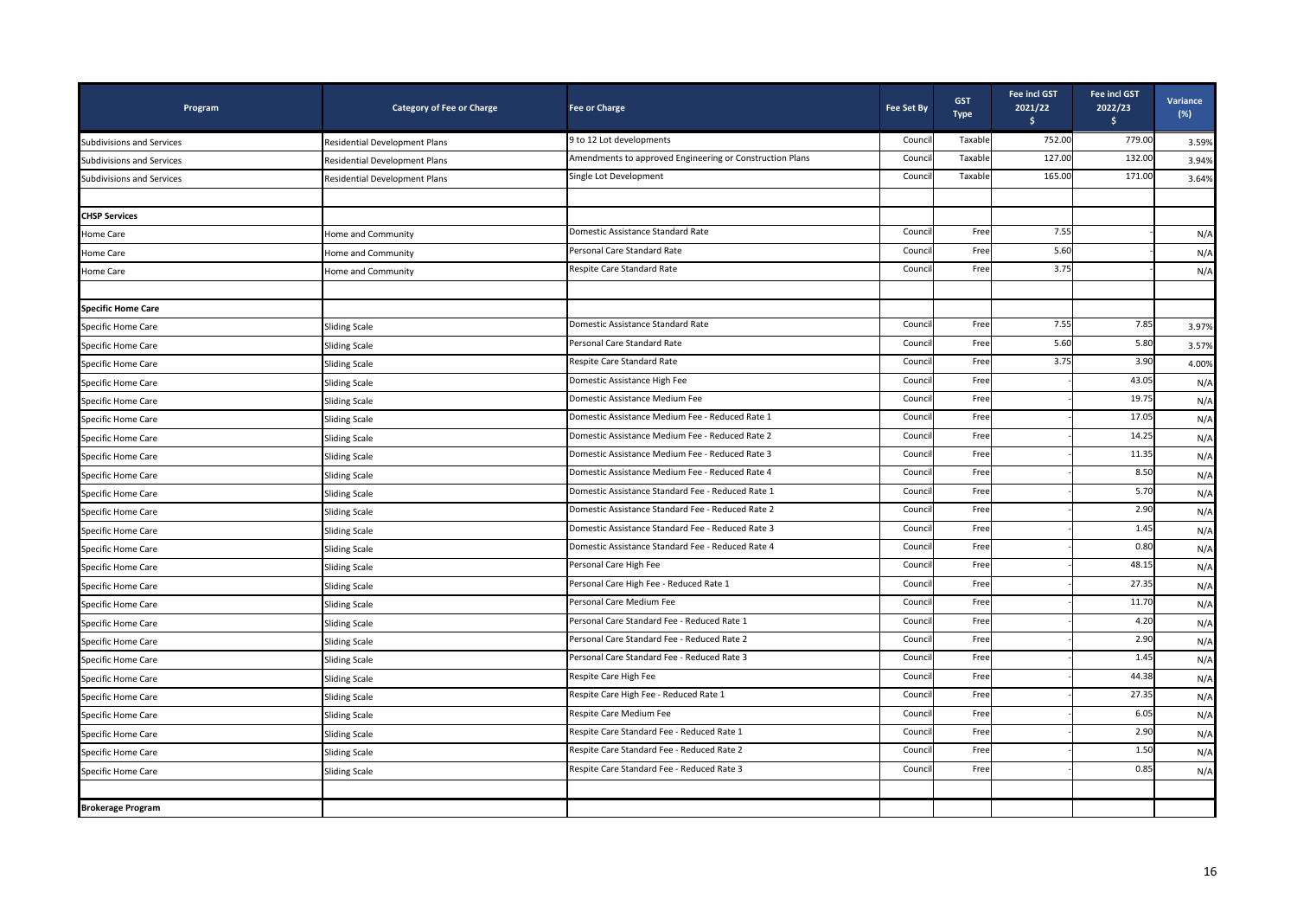| Program                          | <b>Category of Fee or Charge</b> | <b>Fee or Charge</b>                                     | <b>Fee Set By</b> | <b>GST</b><br><b>Type</b> | <b>Fee incl GST</b><br>2021/22<br>s. | Fee incl GST<br>2022/23<br>$\frac{1}{2}$ | Variance<br>(%) |
|----------------------------------|----------------------------------|----------------------------------------------------------|-------------------|---------------------------|--------------------------------------|------------------------------------------|-----------------|
| Subdivisions and Services        | Residential Development Plans    | 9 to 12 Lot developments                                 | Counci            | Taxable                   | 752.00                               | 779.00                                   | 3.59%           |
| <b>Subdivisions and Services</b> | Residential Development Plans    | Amendments to approved Engineering or Construction Plans | Counci            | Taxable                   | 127.00                               | 132.00                                   | 3.94%           |
| <b>Subdivisions and Services</b> | Residential Development Plans    | Single Lot Development                                   | Counci            | Taxable                   | 165.00                               | 171.00                                   | 3.64%           |
|                                  |                                  |                                                          |                   |                           |                                      |                                          |                 |
| <b>CHSP Services</b>             |                                  |                                                          |                   |                           |                                      |                                          |                 |
| Home Care                        | Home and Community               | Domestic Assistance Standard Rate                        | Counci            | Free                      | 7.55                                 |                                          | N/A             |
| Home Care                        | Home and Community               | Personal Care Standard Rate                              | Counci            | Free                      | 5.60                                 |                                          | N/A             |
| Home Care                        | Home and Community               | Respite Care Standard Rate                               | Counci            | Free                      | 3.75                                 |                                          | N/A             |
|                                  |                                  |                                                          |                   |                           |                                      |                                          |                 |
| <b>Specific Home Care</b>        |                                  |                                                          |                   |                           |                                      |                                          |                 |
| Specific Home Care               | <b>Sliding Scale</b>             | Domestic Assistance Standard Rate                        | Counci            | Free                      | 7.55                                 | 7.85                                     | 3.97%           |
| Specific Home Care               | Sliding Scale                    | Personal Care Standard Rate                              | Counci            | Free                      | 5.60                                 | 5.80                                     | 3.57%           |
| Specific Home Care               | <b>Sliding Scale</b>             | Respite Care Standard Rate                               | Counci            | Free                      | 3.75                                 | 3.90                                     | 4.00%           |
| Specific Home Care               | <b>Sliding Scale</b>             | Domestic Assistance High Fee                             | Counci            | Free                      |                                      | 43.05                                    | N/A             |
| Specific Home Care               | <b>Sliding Scale</b>             | Domestic Assistance Medium Fee                           | Counci            | Free                      |                                      | 19.75                                    | N/A             |
| Specific Home Care               | <b>Sliding Scale</b>             | Domestic Assistance Medium Fee - Reduced Rate 1          | Counci            | Free                      |                                      | 17.05                                    | N/A             |
| Specific Home Care               | Sliding Scale                    | Domestic Assistance Medium Fee - Reduced Rate 2          | Counci            | Free                      |                                      | 14.25                                    | N/A             |
| Specific Home Care               | Sliding Scale                    | Domestic Assistance Medium Fee - Reduced Rate 3          | Counci            | Free                      |                                      | 11.35                                    | N/A             |
| Specific Home Care               | Sliding Scale                    | Domestic Assistance Medium Fee - Reduced Rate 4          | Counci            | Free                      |                                      | 8.50                                     | N/A             |
| Specific Home Care               | Sliding Scale                    | Domestic Assistance Standard Fee - Reduced Rate 1        | Counci            | Free                      |                                      | 5.70                                     | N/A             |
| Specific Home Care               | <b>Sliding Scale</b>             | Domestic Assistance Standard Fee - Reduced Rate 2        | Counci            | Free                      |                                      | 2.90                                     | N/A             |
| Specific Home Care               | <b>Sliding Scale</b>             | Domestic Assistance Standard Fee - Reduced Rate 3        | Counci            | Free                      |                                      | 1.45                                     | N/A             |
| Specific Home Care               | <b>Sliding Scale</b>             | Domestic Assistance Standard Fee - Reduced Rate 4        | Counci            | Free                      |                                      | 0.80                                     | N/A             |
| Specific Home Care               | <b>Sliding Scale</b>             | Personal Care High Fee                                   | Counci            | Free                      |                                      | 48.15                                    | N/A             |
| Specific Home Care               | <b>Sliding Scale</b>             | Personal Care High Fee - Reduced Rate 1                  | Counci            | Free                      |                                      | 27.35                                    | N/A             |
| Specific Home Care               | Sliding Scale                    | Personal Care Medium Fee                                 | Counci            | Free                      |                                      | 11.70                                    | N/A             |
| Specific Home Care               | Sliding Scale                    | Personal Care Standard Fee - Reduced Rate 1              | Counci            | Free                      |                                      | 4.20                                     | N/A             |
| Specific Home Care               | <b>Sliding Scale</b>             | Personal Care Standard Fee - Reduced Rate 2              | Counci            | Free                      |                                      | 2.90                                     | N/A             |
| Specific Home Care               | <b>Sliding Scale</b>             | Personal Care Standard Fee - Reduced Rate 3              | Counci            | Free                      |                                      | 1.45                                     | N/A             |
| Specific Home Care               | Sliding Scale                    | Respite Care High Fee                                    | Counci            | Free                      |                                      | 44.38                                    | N/A             |
| Specific Home Care               | <b>Sliding Scale</b>             | Respite Care High Fee - Reduced Rate 1                   | Counci            | Free                      |                                      | 27.35                                    | N/A             |
| Specific Home Care               | Sliding Scale                    | Respite Care Medium Fee                                  | Counci            | Free                      |                                      | 6.05                                     | N/A             |
| Specific Home Care               | <b>Sliding Scale</b>             | Respite Care Standard Fee - Reduced Rate 1               | Counci            | Free                      |                                      | 2.90                                     | N/A             |
| Specific Home Care               | Sliding Scale                    | Respite Care Standard Fee - Reduced Rate 2               | Counci            | Free                      |                                      | 1.50                                     | N/A             |
| Specific Home Care               | Sliding Scale                    | Respite Care Standard Fee - Reduced Rate 3               | Counci            | Free                      |                                      | 0.85                                     | N/A             |
|                                  |                                  |                                                          |                   |                           |                                      |                                          |                 |
| <b>Brokerage Program</b>         |                                  |                                                          |                   |                           |                                      |                                          |                 |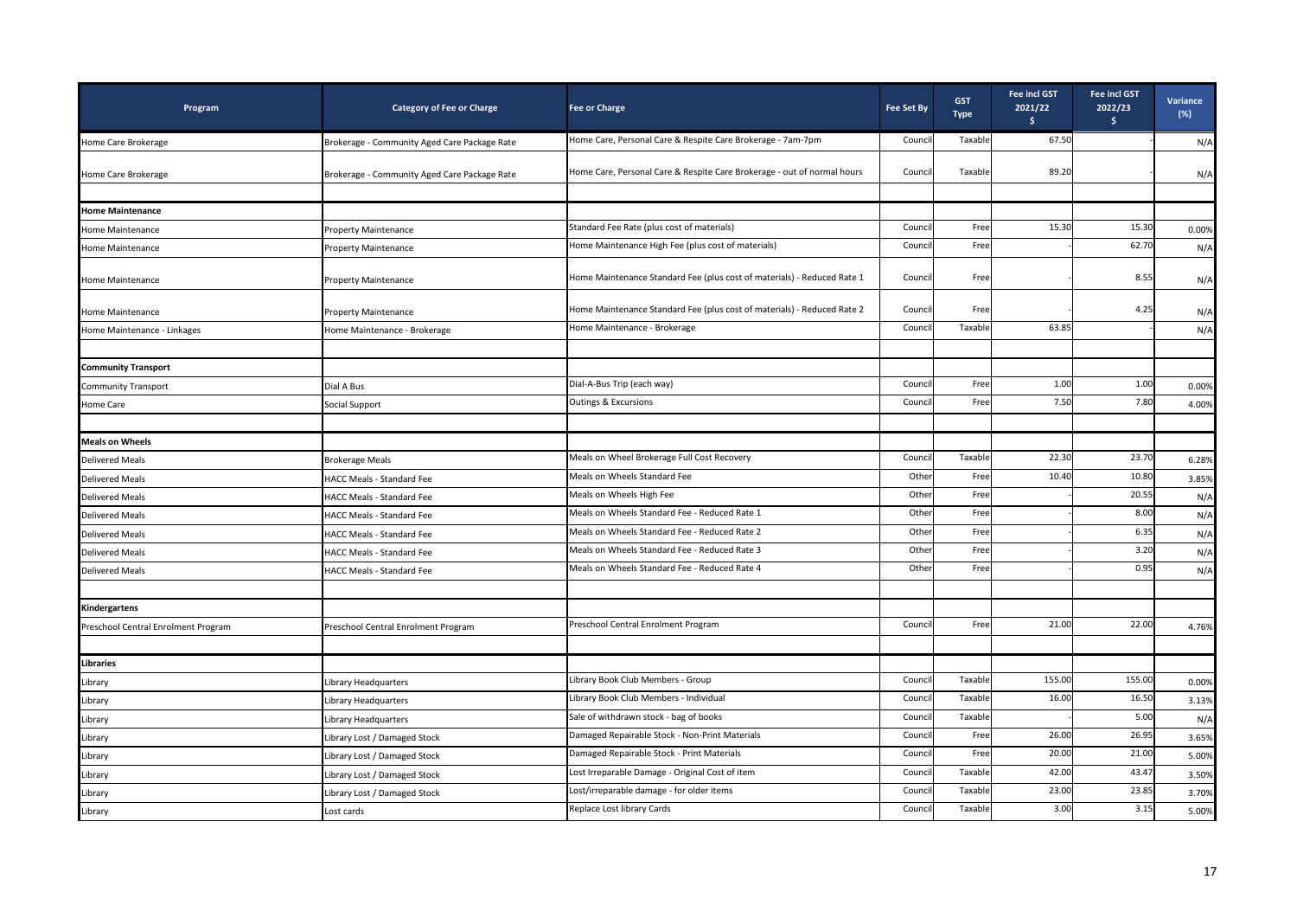| Program                                     | <b>Category of Fee or Charge</b>             | <b>Fee or Charge</b>                                                    | <b>Fee Set By</b> | <b>GST</b><br><b>Type</b> | <b>Fee incl GST</b><br>2021/22<br>s. | Fee incl GST<br>2022/23<br>\$ | Variance<br>$(\%)$ |
|---------------------------------------------|----------------------------------------------|-------------------------------------------------------------------------|-------------------|---------------------------|--------------------------------------|-------------------------------|--------------------|
| Home Care Brokerage                         | Brokerage - Community Aged Care Package Rate | Home Care, Personal Care & Respite Care Brokerage - 7am-7pm             | Counci            | Taxable                   | 67.50                                |                               | N/A                |
| Home Care Brokerage                         | Brokerage - Community Aged Care Package Rate | Home Care, Personal Care & Respite Care Brokerage - out of normal hours | Council           | Taxable                   | 89.20                                |                               | N/A                |
|                                             |                                              |                                                                         |                   |                           |                                      |                               |                    |
| <b>Home Maintenance</b><br>Home Maintenance | Property Maintenance                         | Standard Fee Rate (plus cost of materials)                              | Counci            | Free                      | 15.30                                | 15.30                         | 0.00%              |
| Home Maintenance                            | <b>Property Maintenance</b>                  | Home Maintenance High Fee (plus cost of materials)                      | Counci            | Free                      |                                      | 62.70                         | N/A                |
|                                             |                                              |                                                                         |                   |                           |                                      |                               |                    |
| Home Maintenance                            | <b>Property Maintenance</b>                  | Home Maintenance Standard Fee (plus cost of materials) - Reduced Rate 1 | Council           | Free                      |                                      | 8.55                          | N/A                |
| Home Maintenance                            | <b>Property Maintenance</b>                  | Home Maintenance Standard Fee (plus cost of materials) - Reduced Rate 2 | Counci            | Free                      |                                      | 4.25                          | N/A                |
| Home Maintenance - Linkages                 | Home Maintenance - Brokerage                 | Home Maintenance - Brokerage                                            | Counci            | Taxable                   | 63.85                                |                               | N/A                |
|                                             |                                              |                                                                         |                   |                           |                                      |                               |                    |
| <b>Community Transport</b>                  |                                              |                                                                         |                   |                           |                                      |                               |                    |
| <b>Community Transport</b>                  | Dial A Bus                                   | Dial-A-Bus Trip (each way)                                              | Counci            | Free                      | 1.00                                 | 1.00                          | 0.00%              |
| Home Care                                   | Social Support                               | Outings & Excursions                                                    | Counci            | Free                      | 7.50                                 | 7.80                          | 4.00%              |
|                                             |                                              |                                                                         |                   |                           |                                      |                               |                    |
| <b>Meals on Wheels</b>                      |                                              |                                                                         |                   |                           |                                      |                               |                    |
| <b>Delivered Meals</b>                      | <b>Brokerage Meals</b>                       | Meals on Wheel Brokerage Full Cost Recovery                             | Counci            | Taxable                   | 22.30                                | 23.70                         | 6.28%              |
| <b>Delivered Meals</b>                      | HACC Meals - Standard Fee                    | Meals on Wheels Standard Fee                                            | Other             | Free                      | 10.40                                | 10.80                         | 3.85%              |
| <b>Delivered Meals</b>                      | HACC Meals - Standard Fee                    | Meals on Wheels High Fee                                                | Other             | Free                      |                                      | 20.55                         | N/A                |
| <b>Delivered Meals</b>                      | HACC Meals - Standard Fee                    | Meals on Wheels Standard Fee - Reduced Rate 1                           | Other             | Free                      |                                      | 8.00                          | N/A                |
| <b>Delivered Meals</b>                      | HACC Meals - Standard Fee                    | Meals on Wheels Standard Fee - Reduced Rate 2                           | Other             | Free                      |                                      | 6.35                          | N/A                |
| <b>Delivered Meals</b>                      | HACC Meals - Standard Fee                    | Meals on Wheels Standard Fee - Reduced Rate 3                           | Other             | Free                      |                                      | 3.20                          | N/A                |
| <b>Delivered Meals</b>                      | <b>HACC Meals - Standard Fee</b>             | Meals on Wheels Standard Fee - Reduced Rate 4                           | Other             | Free                      |                                      | 0.95                          | N/A                |
|                                             |                                              |                                                                         |                   |                           |                                      |                               |                    |
| Kindergartens                               |                                              |                                                                         |                   |                           |                                      |                               |                    |
| Preschool Central Enrolment Program         | Preschool Central Enrolment Program          | Preschool Central Enrolment Program                                     | Counci            | Free                      | 21.00                                | 22.00                         | 4.76%              |
| <b>Libraries</b>                            |                                              |                                                                         |                   |                           |                                      |                               |                    |
| Library                                     | Library Headquarters                         | Library Book Club Members - Group                                       | Counci            | Taxable                   | 155.00                               | 155.00                        | 0.00%              |
| Library                                     | Library Headquarters                         | Library Book Club Members - Individual                                  | Counci            | Taxable                   | 16.00                                | 16.50                         | 3.13%              |
| Library                                     | Library Headquarters                         | Sale of withdrawn stock - bag of books                                  | Counci            | Taxable                   |                                      | 5.00                          | N/A                |
| Library                                     | Library Lost / Damaged Stock                 | Damaged Repairable Stock - Non-Print Materials                          | Counci            | Free                      | 26.00                                | 26.95                         | 3.65%              |
| Library                                     | Library Lost / Damaged Stock                 | Damaged Repairable Stock - Print Materials                              | Counci            | Free                      | 20.00                                | 21.00                         | 5.00%              |
| Library                                     | Library Lost / Damaged Stock                 | Lost Irreparable Damage - Original Cost of item                         | Counci            | Taxable                   | 42.00                                | 43.47                         | 3.50%              |
| Library                                     | ibrary Lost / Damaged Stock                  | Lost/irreparable damage - for older items                               | Counci            | Taxable                   | 23.00                                | 23.85                         | 3.70%              |
| Library                                     | Lost cards                                   | Replace Lost library Cards                                              | Council           | Taxable                   | 3.00                                 | 3.15                          | 5.00%              |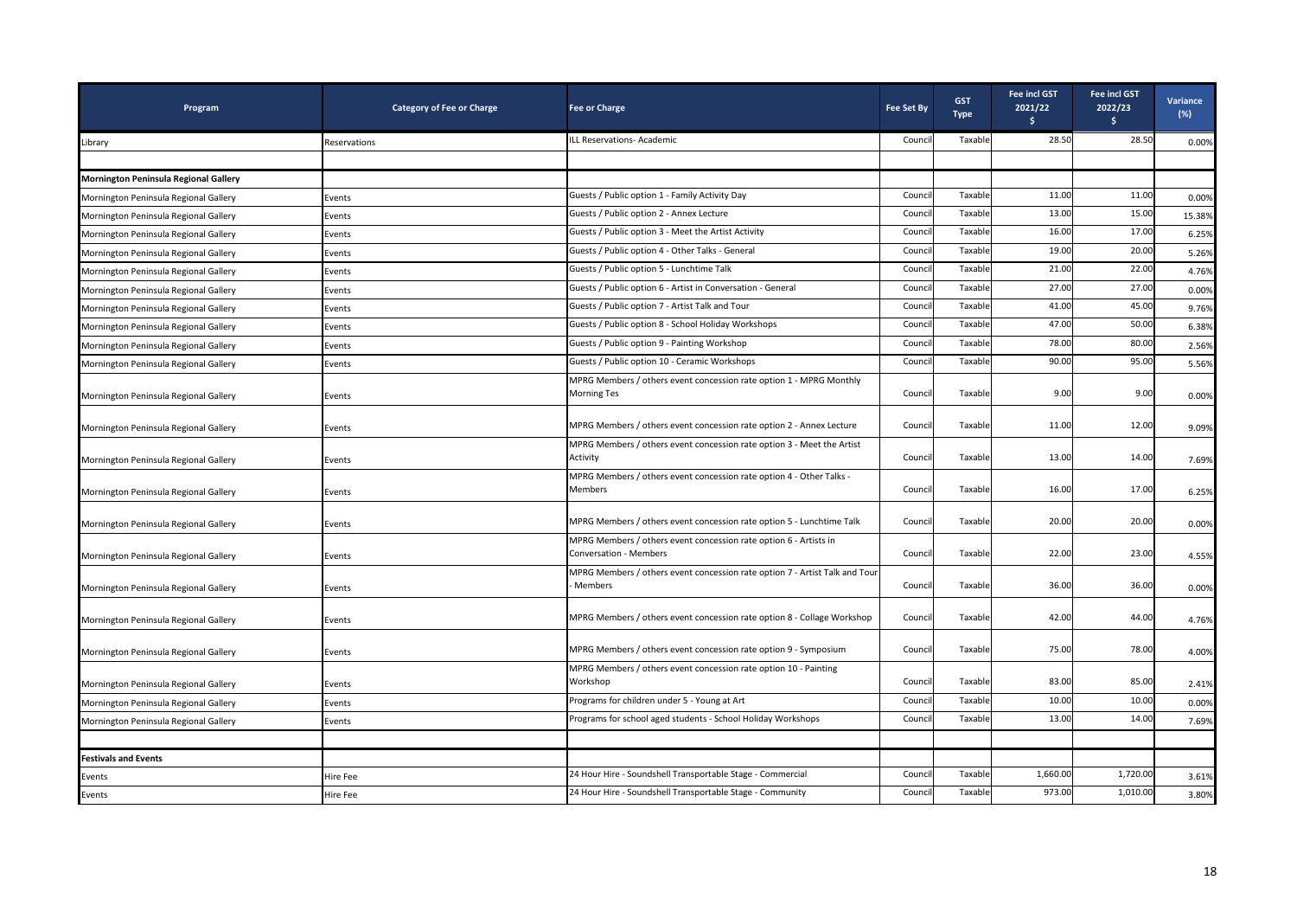| Program                                      | <b>Category of Fee or Charge</b> | <b>Fee or Charge</b>                                                                        | <b>Fee Set By</b> | <b>GST</b><br><b>Type</b> | Fee incl GST<br>2021/22<br>Ŝ. | Fee incl GST<br>2022/23<br>$\frac{1}{2}$ | Variance<br>$(\%)$ |
|----------------------------------------------|----------------------------------|---------------------------------------------------------------------------------------------|-------------------|---------------------------|-------------------------------|------------------------------------------|--------------------|
| Library                                      | Reservations                     | ILL Reservations- Academic                                                                  | Council           | Taxable                   | 28.50                         | 28.50                                    | 0.00%              |
|                                              |                                  |                                                                                             |                   |                           |                               |                                          |                    |
| <b>Mornington Peninsula Regional Gallery</b> |                                  |                                                                                             |                   |                           |                               |                                          |                    |
| Mornington Peninsula Regional Gallery        | Events                           | Guests / Public option 1 - Family Activity Day                                              | Counci            | Taxable                   | 11.00                         | 11.00                                    | 0.00%              |
| Mornington Peninsula Regional Gallery        | Events                           | Guests / Public option 2 - Annex Lecture                                                    | Counci            | Taxable                   | 13.00                         | 15.00                                    | 15.38%             |
| Mornington Peninsula Regional Gallery        | Events                           | Guests / Public option 3 - Meet the Artist Activity                                         | Counci            | Taxable                   | 16.00                         | 17.00                                    | 6.25%              |
| Mornington Peninsula Regional Gallery        | Events                           | Guests / Public option 4 - Other Talks - General                                            | Counci            | Taxable                   | 19.00                         | 20.00                                    | 5.26%              |
| Mornington Peninsula Regional Gallery        | Events                           | Guests / Public option 5 - Lunchtime Talk                                                   | Counci            | Taxable                   | 21.00                         | 22.00                                    | 4.76%              |
| Mornington Peninsula Regional Gallery        | Events                           | Guests / Public option 6 - Artist in Conversation - General                                 | Counci            | Taxable                   | 27.00                         | 27.00                                    | 0.00%              |
| Mornington Peninsula Regional Gallery        | Events                           | Guests / Public option 7 - Artist Talk and Tour                                             | Counci            | Taxable                   | 41.00                         | 45.00                                    | 9.76%              |
| Mornington Peninsula Regional Gallery        | Events                           | Guests / Public option 8 - School Holiday Workshops                                         | Counci            | Taxable                   | 47.00                         | 50.00                                    | 6.38%              |
| Mornington Peninsula Regional Gallery        | Events                           | Guests / Public option 9 - Painting Workshop                                                | Counci            | Taxable                   | 78.00                         | 80.00                                    | 2.56%              |
| Mornington Peninsula Regional Gallery        | Events                           | Guests / Public option 10 - Ceramic Workshops                                               | Counci            | Taxable                   | 90.00                         | 95.00                                    | 5.56%              |
| Mornington Peninsula Regional Gallery        | Events                           | MPRG Members / others event concession rate option 1 - MPRG Monthly<br>Morning Tes          | Council           | Taxable                   | 9.00                          | 9.00                                     | 0.00%              |
| Mornington Peninsula Regional Gallery        | Events                           | MPRG Members / others event concession rate option 2 - Annex Lecture                        | Counci            | Taxable                   | 11.00                         | 12.00                                    | 9.09%              |
| Mornington Peninsula Regional Gallery        | Events                           | MPRG Members / others event concession rate option 3 - Meet the Artist<br>Activity          | Council           | Taxable                   | 13.00                         | 14.00                                    | 7.69%              |
| Mornington Peninsula Regional Gallery        | Events                           | MPRG Members / others event concession rate option 4 - Other Talks -<br>Members             | Council           | Taxable                   | 16.00                         | 17.00                                    | 6.25%              |
| Mornington Peninsula Regional Gallery        | Events                           | MPRG Members / others event concession rate option 5 - Lunchtime Talk                       | Council           | Taxable                   | 20.00                         | 20.00                                    | 0.00%              |
| Mornington Peninsula Regional Gallery        | Events                           | MPRG Members / others event concession rate option 6 - Artists in<br>Conversation - Members | Council           | Taxable                   | 22.00                         | 23.00                                    | 4.55%              |
| Mornington Peninsula Regional Gallery        | Events                           | MPRG Members / others event concession rate option 7 - Artist Talk and Tour<br>Members      | Council           | Taxable                   | 36.00                         | 36.00                                    | 0.00%              |
| Mornington Peninsula Regional Gallery        | Events                           | MPRG Members / others event concession rate option 8 - Collage Workshop                     | Council           | Taxable                   | 42.00                         | 44.00                                    | 4.76%              |
| Mornington Peninsula Regional Gallery        | Events                           | MPRG Members / others event concession rate option 9 - Symposium                            | Council           | Taxable                   | 75.00                         | 78.00                                    | 4.00%              |
| Mornington Peninsula Regional Gallery        | Events                           | MPRG Members / others event concession rate option 10 - Painting<br>Workshop                | Council           | Taxable                   | 83.00                         | 85.00                                    | 2.41%              |
| Mornington Peninsula Regional Gallery        | Events                           | Programs for children under 5 - Young at Art                                                | Counci            | Taxable                   | 10.00                         | 10.00                                    | 0.00%              |
| Mornington Peninsula Regional Gallery        | Events                           | Programs for school aged students - School Holiday Workshops                                | Counci            | Taxable                   | 13.00                         | 14.00                                    | 7.69%              |
|                                              |                                  |                                                                                             |                   |                           |                               |                                          |                    |
| <b>Festivals and Events</b>                  |                                  |                                                                                             |                   |                           |                               |                                          |                    |
| Events                                       | Hire Fee                         | 24 Hour Hire - Soundshell Transportable Stage - Commercial                                  | Counci            | Taxable                   | 1,660.00                      | 1,720.00                                 | 3.61%              |
| Events                                       | Hire Fee                         | 24 Hour Hire - Soundshell Transportable Stage - Community                                   | Council           | Taxable                   | 973.00                        | 1,010.00                                 | 3.80%              |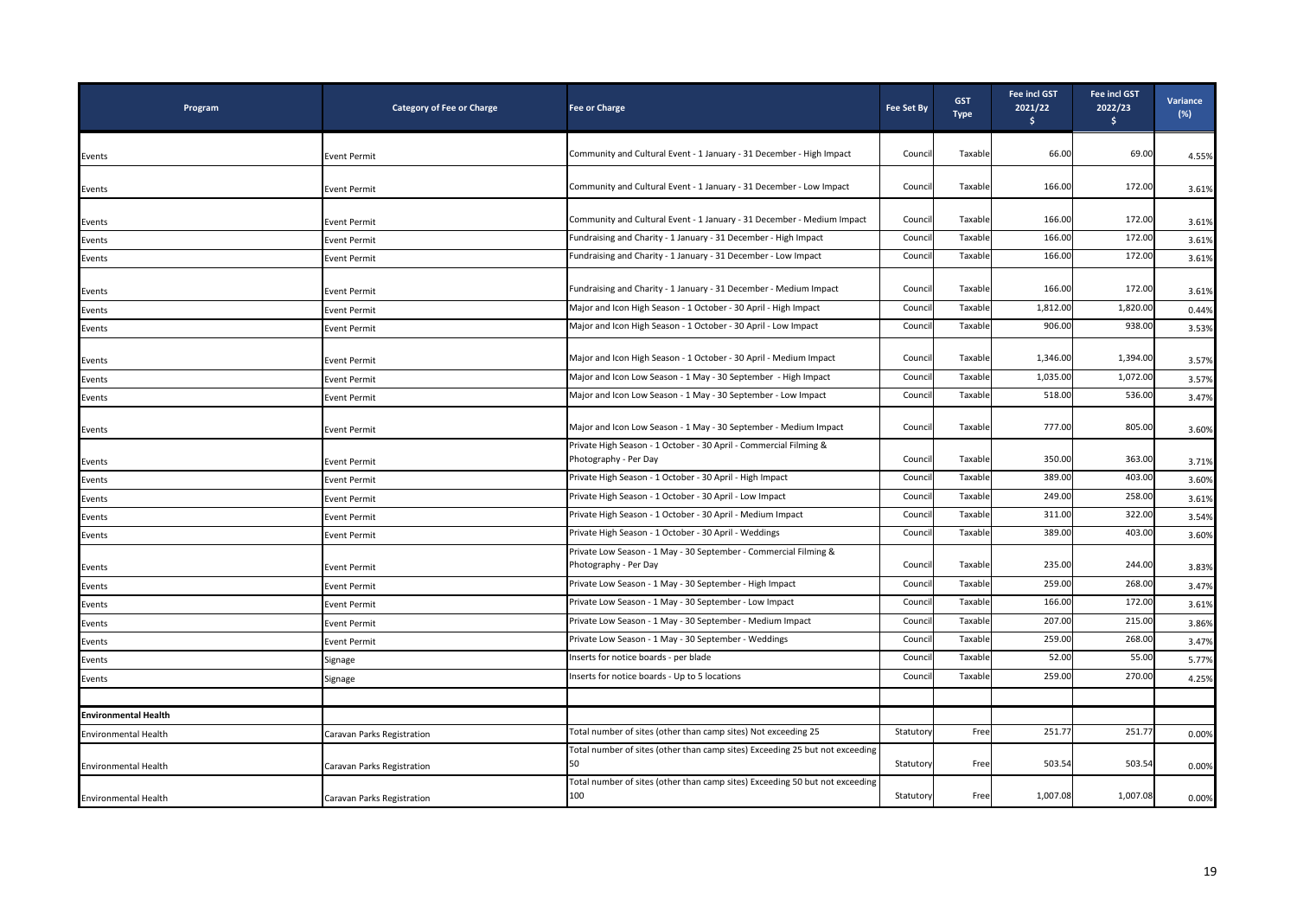| Program                     | <b>Category of Fee or Charge</b> | <b>Fee or Charge</b>                                                                       | <b>Fee Set By</b> | <b>GST</b><br><b>Type</b> | Fee incl GST<br>2021/22<br>\$ | Fee incl GST<br>2022/23<br>$\frac{1}{2}$ | Variance<br>$(\%)$ |
|-----------------------------|----------------------------------|--------------------------------------------------------------------------------------------|-------------------|---------------------------|-------------------------------|------------------------------------------|--------------------|
| Events                      | <b>Event Permit</b>              | Community and Cultural Event - 1 January - 31 December - High Impact                       | Counci            | Taxable                   | 66.00                         | 69.00                                    | 4.55%              |
|                             |                                  |                                                                                            |                   |                           |                               |                                          |                    |
| Events                      | <b>Event Permit</b>              | Community and Cultural Event - 1 January - 31 December - Low Impact                        | Counci            | Taxable                   | 166.00                        | 172.00                                   | 3.61%              |
| Events                      | Event Permit                     | Community and Cultural Event - 1 January - 31 December - Medium Impact                     | Counci            | Taxable                   | 166.00                        | 172.00                                   | 3.61%              |
| Events                      | Event Permit                     | Fundraising and Charity - 1 January - 31 December - High Impact                            | Counci            | Taxable                   | 166.00                        | 172.00                                   | 3.61%              |
| Events                      | <b>Event Permit</b>              | Fundraising and Charity - 1 January - 31 December - Low Impact                             | Counci            | Taxable                   | 166.00                        | 172.00                                   | 3.61%              |
| Events                      | <b>Event Permit</b>              | Fundraising and Charity - 1 January - 31 December - Medium Impact                          | Counci            | Taxable                   | 166.00                        | 172.00                                   | 3.61%              |
| Events                      | <b>Event Permit</b>              | Major and Icon High Season - 1 October - 30 April - High Impact                            | Counc             | Taxable                   | 1,812.00                      | 1,820.00                                 | 0.44%              |
| Events                      | <b>Event Permit</b>              | Major and Icon High Season - 1 October - 30 April - Low Impact                             | Counci            | Taxable                   | 906.00                        | 938.00                                   | 3.53%              |
| Events                      | <b>Event Permit</b>              | Major and Icon High Season - 1 October - 30 April - Medium Impact                          | Counci            | Taxable                   | 1,346.00                      | 1,394.00                                 | 3.57%              |
| Events                      | <b>Event Permit</b>              | Major and Icon Low Season - 1 May - 30 September - High Impact                             | Counc             | Taxable                   | 1,035.00                      | 1,072.00                                 | 3.57%              |
| Events                      | <b>Event Permit</b>              | Major and Icon Low Season - 1 May - 30 September - Low Impact                              | Counci            | Taxable                   | 518.00                        | 536.00                                   | 3.47%              |
| Events                      | Event Permit                     | Major and Icon Low Season - 1 May - 30 September - Medium Impact                           | Counci            | Taxable                   | 777.00                        | 805.00                                   | 3.60%              |
| Events                      | <b>Event Permit</b>              | Private High Season - 1 October - 30 April - Commercial Filming &<br>Photography - Per Day | Counci            | Taxable                   | 350.00                        | 363.00                                   | 3.71%              |
| Events                      | Event Permit                     | Private High Season - 1 October - 30 April - High Impact                                   | Counci            | Taxable                   | 389.00                        | 403.00                                   | 3.60%              |
| Events                      | Event Permit                     | Private High Season - 1 October - 30 April - Low Impact                                    | Counci            | Taxable                   | 249.00                        | 258.00                                   | 3.61%              |
| Events                      | Event Permit                     | Private High Season - 1 October - 30 April - Medium Impact                                 | Counci            | Taxable                   | 311.00                        | 322.00                                   | 3.54%              |
| Events                      | Event Permit                     | Private High Season - 1 October - 30 April - Weddings                                      | Counci            | Taxable                   | 389.00                        | 403.00                                   | 3.60%              |
| Events                      | <b>Event Permit</b>              | Private Low Season - 1 May - 30 September - Commercial Filming &<br>Photography - Per Day  | Counci            | Taxable                   | 235.00                        | 244.00                                   | 3.83%              |
| Events                      | Event Permit                     | Private Low Season - 1 May - 30 September - High Impact                                    | Counci            | Taxable                   | 259.00                        | 268.00                                   | 3.47%              |
| Events                      | Event Permit                     | Private Low Season - 1 May - 30 September - Low Impact                                     | Counc             | Taxable                   | 166.00                        | 172.00                                   | 3.61%              |
| Events                      | Event Permit                     | Private Low Season - 1 May - 30 September - Medium Impact                                  | Counci            | Taxable                   | 207.00                        | 215.00                                   | 3.86%              |
| Events                      | <b>Event Permit</b>              | Private Low Season - 1 May - 30 September - Weddings                                       | Counci            | Taxable                   | 259.00                        | 268.00                                   | 3.47%              |
| Events                      | Signage                          | Inserts for notice boards - per blade                                                      | Counci            | Taxable                   | 52.00                         | 55.00                                    | 5.77%              |
| Events                      | Signage                          | Inserts for notice boards - Up to 5 locations                                              | Counci            | Taxable                   | 259.00                        | 270.00                                   | 4.25%              |
|                             |                                  |                                                                                            |                   |                           |                               |                                          |                    |
| <b>Environmental Health</b> |                                  |                                                                                            |                   |                           |                               |                                          |                    |
| <b>Environmental Health</b> | Caravan Parks Registration       | Total number of sites (other than camp sites) Not exceeding 25                             | Statuton          | Free                      | 251.77                        | 251.77                                   | 0.00%              |
| <b>Environmental Health</b> | Caravan Parks Registration       | Total number of sites (other than camp sites) Exceeding 25 but not exceeding               | Statutory         | Free                      | 503.54                        | 503.54                                   | 0.00%              |
| <b>Environmental Health</b> | Caravan Parks Registration       | Total number of sites (other than camp sites) Exceeding 50 but not exceeding<br>100        | Statutory         | Free                      | 1,007.08                      | 1,007.08                                 | 0.00%              |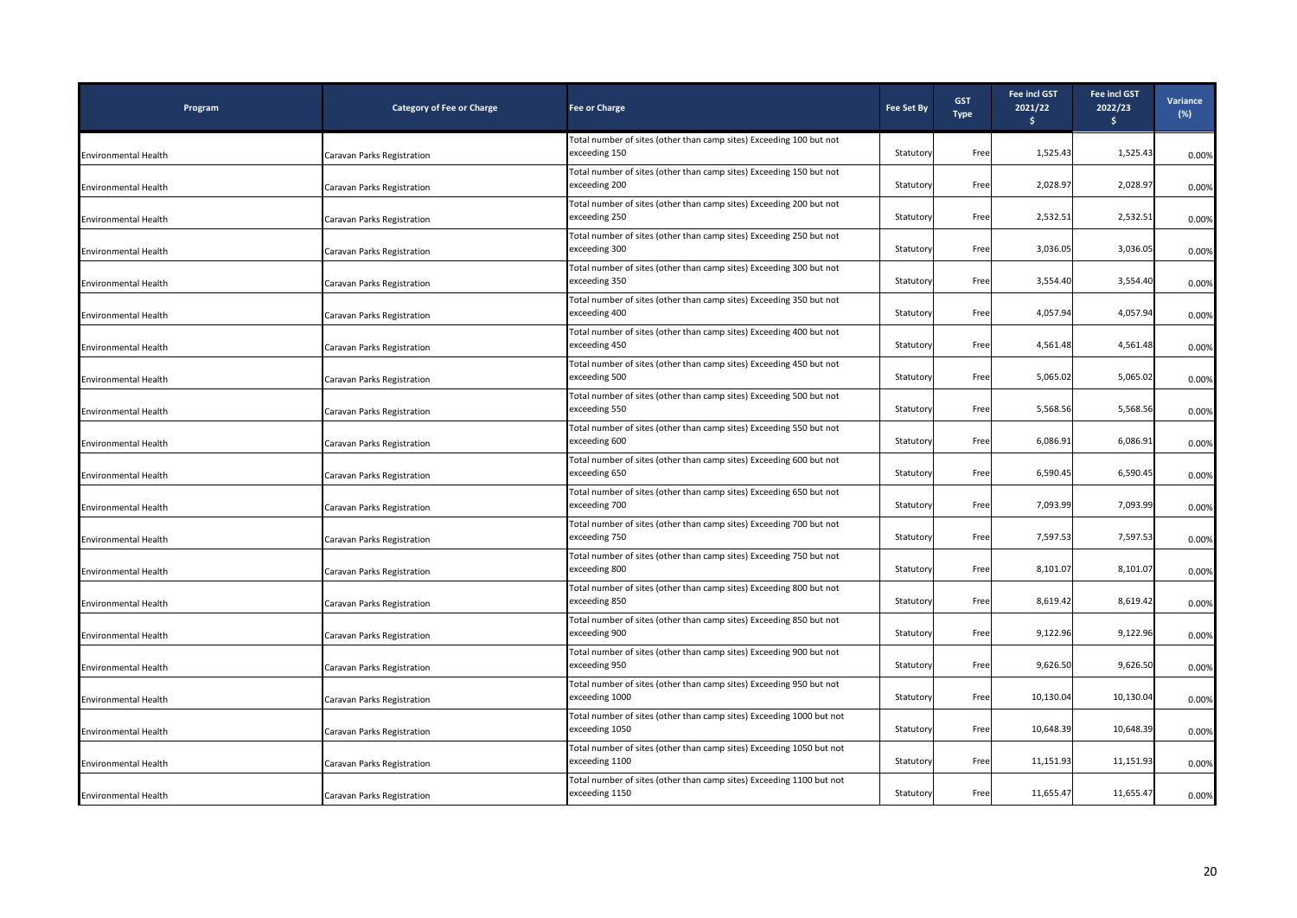| Program                     | <b>Category of Fee or Charge</b> | <b>Fee or Charge</b>                                                                   | <b>Fee Set By</b> | <b>GST</b><br><b>Type</b> | <b>Fee incl GST</b><br>2021/22<br>Ŝ. | Fee incl GST<br>2022/23<br>$\frac{1}{2}$ | Variance<br>$(\%)$ |
|-----------------------------|----------------------------------|----------------------------------------------------------------------------------------|-------------------|---------------------------|--------------------------------------|------------------------------------------|--------------------|
| <b>Environmental Health</b> | Caravan Parks Registration       | Total number of sites (other than camp sites) Exceeding 100 but not<br>exceeding 150   | Statutory         | Free                      | 1,525.43                             | 1,525.43                                 | 0.00%              |
| Environmental Health        | Caravan Parks Registration       | Total number of sites (other than camp sites) Exceeding 150 but not<br>exceeding 200   | Statutory         | Free                      | 2,028.97                             | 2,028.97                                 | 0.00%              |
| <b>Environmental Health</b> | Caravan Parks Registration       | Total number of sites (other than camp sites) Exceeding 200 but not<br>exceeding 250   | Statutory         | Free                      | 2,532.51                             | 2,532.51                                 | 0.00%              |
| Environmental Health        | Caravan Parks Registration       | Total number of sites (other than camp sites) Exceeding 250 but not<br>exceeding 300   | Statutory         | Free                      | 3,036.05                             | 3,036.05                                 | 0.00%              |
| Environmental Health        | Caravan Parks Registration       | Total number of sites (other than camp sites) Exceeding 300 but not<br>exceeding 350   | Statutory         | Free                      | 3,554.40                             | 3,554.40                                 | 0.00%              |
| <b>Environmental Health</b> | Caravan Parks Registration       | Total number of sites (other than camp sites) Exceeding 350 but not<br>exceeding 400   | Statutory         | Free                      | 4,057.94                             | 4,057.94                                 | 0.00%              |
| Environmental Health        | Caravan Parks Registration       | Total number of sites (other than camp sites) Exceeding 400 but not<br>exceeding 450   | Statutory         | Free                      | 4,561.48                             | 4,561.48                                 | 0.00%              |
| <b>Environmental Health</b> | Caravan Parks Registration       | Total number of sites (other than camp sites) Exceeding 450 but not<br>exceeding 500   | Statutory         | Free                      | 5,065.02                             | 5,065.02                                 | 0.00%              |
| <b>Environmental Health</b> | Caravan Parks Registration       | Total number of sites (other than camp sites) Exceeding 500 but not<br>exceeding 550   | Statutory         | Free                      | 5,568.56                             | 5,568.56                                 | 0.00%              |
| Environmental Health        | Caravan Parks Registration       | Total number of sites (other than camp sites) Exceeding 550 but not<br>exceeding 600   | Statutory         | Free                      | 6,086.91                             | 6,086.91                                 | 0.00%              |
| <b>Environmental Health</b> | Caravan Parks Registration       | Total number of sites (other than camp sites) Exceeding 600 but not<br>exceeding 650   | Statutory         | Free                      | 6,590.45                             | 6,590.45                                 | 0.00%              |
| Environmental Health        | Caravan Parks Registration       | Total number of sites (other than camp sites) Exceeding 650 but not<br>exceeding 700   | Statutory         | Free                      | 7,093.99                             | 7,093.99                                 | 0.00%              |
| <b>Environmental Health</b> | Caravan Parks Registration       | Total number of sites (other than camp sites) Exceeding 700 but not<br>exceeding 750   | Statutory         | Free                      | 7,597.53                             | 7,597.53                                 | 0.00%              |
| Environmental Health        | Caravan Parks Registration       | Total number of sites (other than camp sites) Exceeding 750 but not<br>exceeding 800   | Statutory         | Free                      | 8,101.07                             | 8,101.07                                 | 0.00%              |
| Environmental Health        | Caravan Parks Registration       | Total number of sites (other than camp sites) Exceeding 800 but not<br>exceeding 850   | Statutory         | Free                      | 8,619.42                             | 8,619.42                                 | 0.00%              |
| <b>Environmental Health</b> | Caravan Parks Registration       | Total number of sites (other than camp sites) Exceeding 850 but not<br>exceeding 900   | Statutory         | Free                      | 9,122.96                             | 9,122.96                                 | 0.00%              |
| <b>Environmental Health</b> | Caravan Parks Registration       | Total number of sites (other than camp sites) Exceeding 900 but not<br>exceeding 950   | Statutory         | Free                      | 9,626.50                             | 9,626.50                                 | 0.00%              |
| Environmental Health        | Caravan Parks Registration       | Total number of sites (other than camp sites) Exceeding 950 but not<br>exceeding 1000  | Statutory         | Free                      | 10,130.04                            | 10,130.04                                | 0.00%              |
| <b>Environmental Health</b> | Caravan Parks Registration       | Total number of sites (other than camp sites) Exceeding 1000 but not<br>exceeding 1050 | Statutory         | Free                      | 10,648.39                            | 10,648.39                                | 0.00%              |
| <b>Environmental Health</b> | Caravan Parks Registration       | Total number of sites (other than camp sites) Exceeding 1050 but not<br>exceeding 1100 | Statutory         | Free                      | 11,151.93                            | 11,151.93                                | 0.00%              |
| <b>Environmental Health</b> | Caravan Parks Registration       | Total number of sites (other than camp sites) Exceeding 1100 but not<br>exceeding 1150 | Statutory         | Free                      | 11,655.47                            | 11,655.47                                | 0.00%              |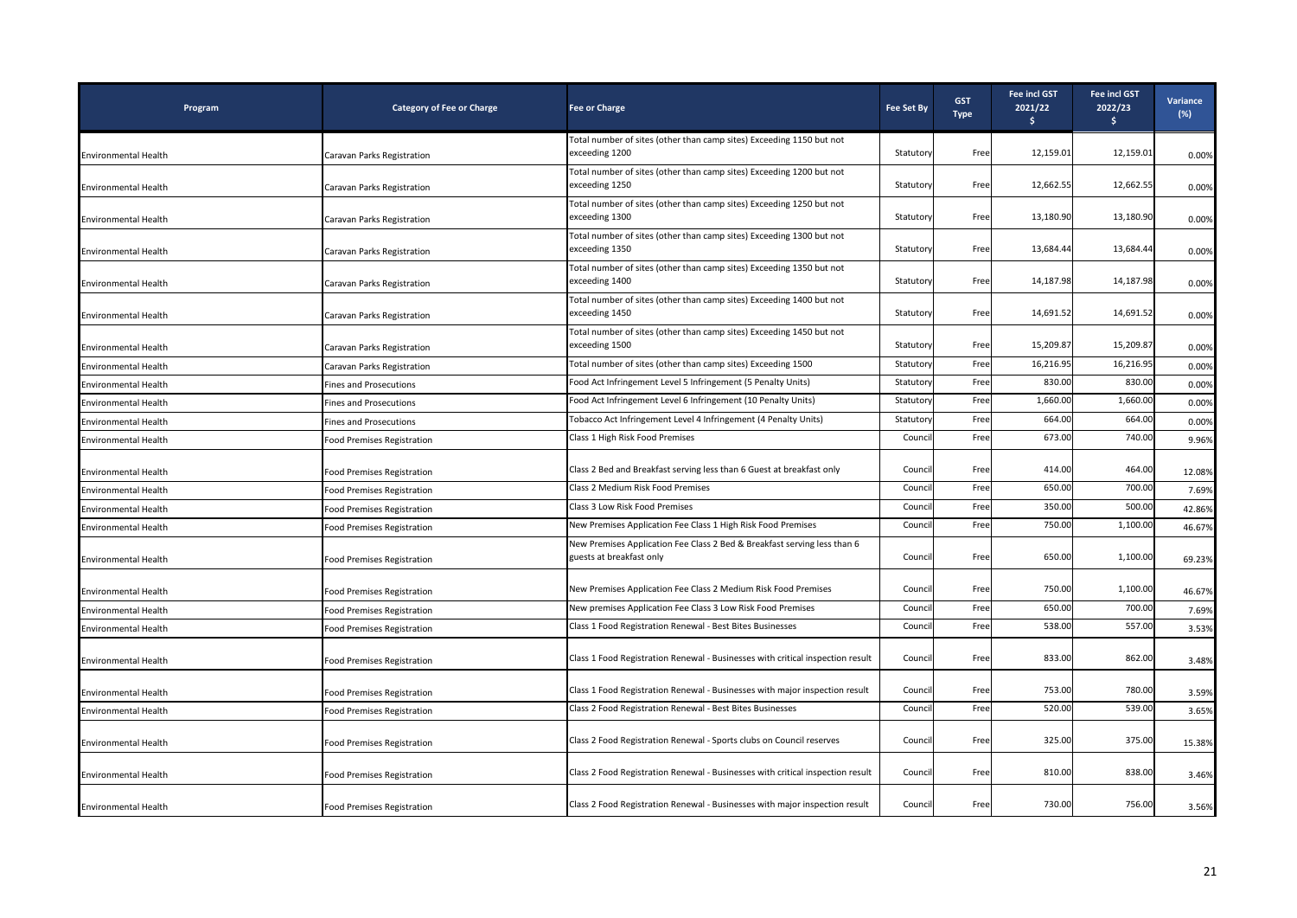| Program                     | <b>Category of Fee or Charge</b>  | <b>Fee or Charge</b>                                                                                 | <b>Fee Set By</b> | <b>GST</b><br><b>Type</b> | <b>Fee incl GST</b><br>2021/22<br>S. | <b>Fee incl GST</b><br>2022/23<br>S. | Variance<br>$(\%)$ |
|-----------------------------|-----------------------------------|------------------------------------------------------------------------------------------------------|-------------------|---------------------------|--------------------------------------|--------------------------------------|--------------------|
|                             |                                   | Total number of sites (other than camp sites) Exceeding 1150 but not                                 |                   |                           |                                      |                                      |                    |
| <b>Environmental Health</b> | Caravan Parks Registration        | exceeding 1200                                                                                       | Statutory         | Free                      | 12,159.01                            | 12,159.01                            | 0.00%              |
| <b>Environmental Health</b> | Caravan Parks Registration        | Total number of sites (other than camp sites) Exceeding 1200 but not<br>exceeding 1250               | Statutory         | Free                      | 12,662.55                            | 12,662.55                            | 0.00%              |
| Environmental Health        | Caravan Parks Registration        | Total number of sites (other than camp sites) Exceeding 1250 but not<br>exceeding 1300               | Statutory         | Free                      | 13,180.90                            | 13,180.90                            | 0.00%              |
| <b>Environmental Health</b> | Caravan Parks Registration        | Total number of sites (other than camp sites) Exceeding 1300 but not<br>exceeding 1350               | Statutory         | Free                      | 13,684.44                            | 13,684.44                            | 0.00%              |
| Environmental Health        | Caravan Parks Registration        | Total number of sites (other than camp sites) Exceeding 1350 but not<br>exceeding 1400               | Statutory         | Free                      | 14,187.98                            | 14,187.98                            | 0.00%              |
| Environmental Health        | Caravan Parks Registration        | Total number of sites (other than camp sites) Exceeding 1400 but not<br>exceeding 1450               | Statutory         | Free                      | 14,691.52                            | 14,691.52                            | 0.00%              |
| Environmental Health        | Caravan Parks Registration        | Total number of sites (other than camp sites) Exceeding 1450 but not<br>exceeding 1500               | Statutory         | Free                      | 15,209.87                            | 15,209.87                            | 0.00%              |
| <b>Environmental Health</b> | Caravan Parks Registration        | Total number of sites (other than camp sites) Exceeding 1500                                         | Statutory         | Free                      | 16,216.95                            | 16,216.95                            | 0.00%              |
| <b>Environmental Health</b> | <b>Fines and Prosecutions</b>     | Food Act Infringement Level 5 Infringement (5 Penalty Units)                                         | Statutory         | Free                      | 830.00                               | 830.00                               | 0.00%              |
| <b>Environmental Health</b> | <b>Fines and Prosecutions</b>     | Food Act Infringement Level 6 Infringement (10 Penalty Units)                                        | Statuton          | Free                      | 1,660.00                             | 1,660.00                             | 0.00%              |
| <b>Environmental Health</b> | <b>Fines and Prosecutions</b>     | Tobacco Act Infringement Level 4 Infringement (4 Penalty Units)                                      | Statutory         | Free                      | 664.00                               | 664.00                               | 0.00%              |
| <b>Environmental Health</b> | Food Premises Registration        | Class 1 High Risk Food Premises                                                                      | Council           | Free                      | 673.00                               | 740.00                               | 9.96%              |
| Environmental Health        | Food Premises Registration        | Class 2 Bed and Breakfast serving less than 6 Guest at breakfast only                                | Council           | Free                      | 414.00                               | 464.00                               | 12.08%             |
| <b>Environmental Health</b> | <b>Food Premises Registration</b> | Class 2 Medium Risk Food Premises                                                                    | Counci            | Free                      | 650.00                               | 700.00                               | 7.69%              |
| <b>Environmental Health</b> | <b>Food Premises Registration</b> | Class 3 Low Risk Food Premises                                                                       | Counci            | Free                      | 350.00                               | 500.00                               | 42.86%             |
| <b>Environmental Health</b> | <b>Food Premises Registration</b> | New Premises Application Fee Class 1 High Risk Food Premises                                         | Counci            | Free                      | 750.00                               | 1,100.00                             | 46.67%             |
| <b>Environmental Health</b> | <b>Food Premises Registration</b> | New Premises Application Fee Class 2 Bed & Breakfast serving less than 6<br>guests at breakfast only | Council           | Free                      | 650.00                               | 1,100.00                             | 69.23%             |
| Environmental Health        | Food Premises Registration        | New Premises Application Fee Class 2 Medium Risk Food Premises                                       | Council           | Free                      | 750.00                               | 1,100.00                             | 46.67%             |
| <b>Environmental Health</b> | <b>Food Premises Registration</b> | New premises Application Fee Class 3 Low Risk Food Premises                                          | Counci            | Free                      | 650.00                               | 700.00                               | 7.69%              |
| <b>Environmental Health</b> | <b>Food Premises Registration</b> | Class 1 Food Registration Renewal - Best Bites Businesses                                            | Council           | Free                      | 538.00                               | 557.00                               | 3.53%              |
| <b>Environmental Health</b> | <b>Food Premises Registration</b> | Class 1 Food Registration Renewal - Businesses with critical inspection result                       | Council           | Free                      | 833.00                               | 862.00                               | 3.48%              |
| <b>Environmental Health</b> | <b>Food Premises Registration</b> | Class 1 Food Registration Renewal - Businesses with major inspection result                          | Council           | Free                      | 753.00                               | 780.00                               | 3.59%              |
| <b>Environmental Health</b> | Food Premises Registration        | Class 2 Food Registration Renewal - Best Bites Businesses                                            | Council           | Free                      | 520.00                               | 539.00                               | 3.65%              |
| <b>Environmental Health</b> | <b>Food Premises Registration</b> | Class 2 Food Registration Renewal - Sports clubs on Council reserves                                 | Council           | Free                      | 325.00                               | 375.00                               | 15.38%             |
| <b>Environmental Health</b> | <b>Food Premises Registration</b> | Class 2 Food Registration Renewal - Businesses with critical inspection result                       | Council           | Free                      | 810.00                               | 838.00                               | 3.46%              |
| <b>Environmental Health</b> | <b>Food Premises Registration</b> | Class 2 Food Registration Renewal - Businesses with major inspection result                          | Council           | Free                      | 730.00                               | 756.00                               | 3.56%              |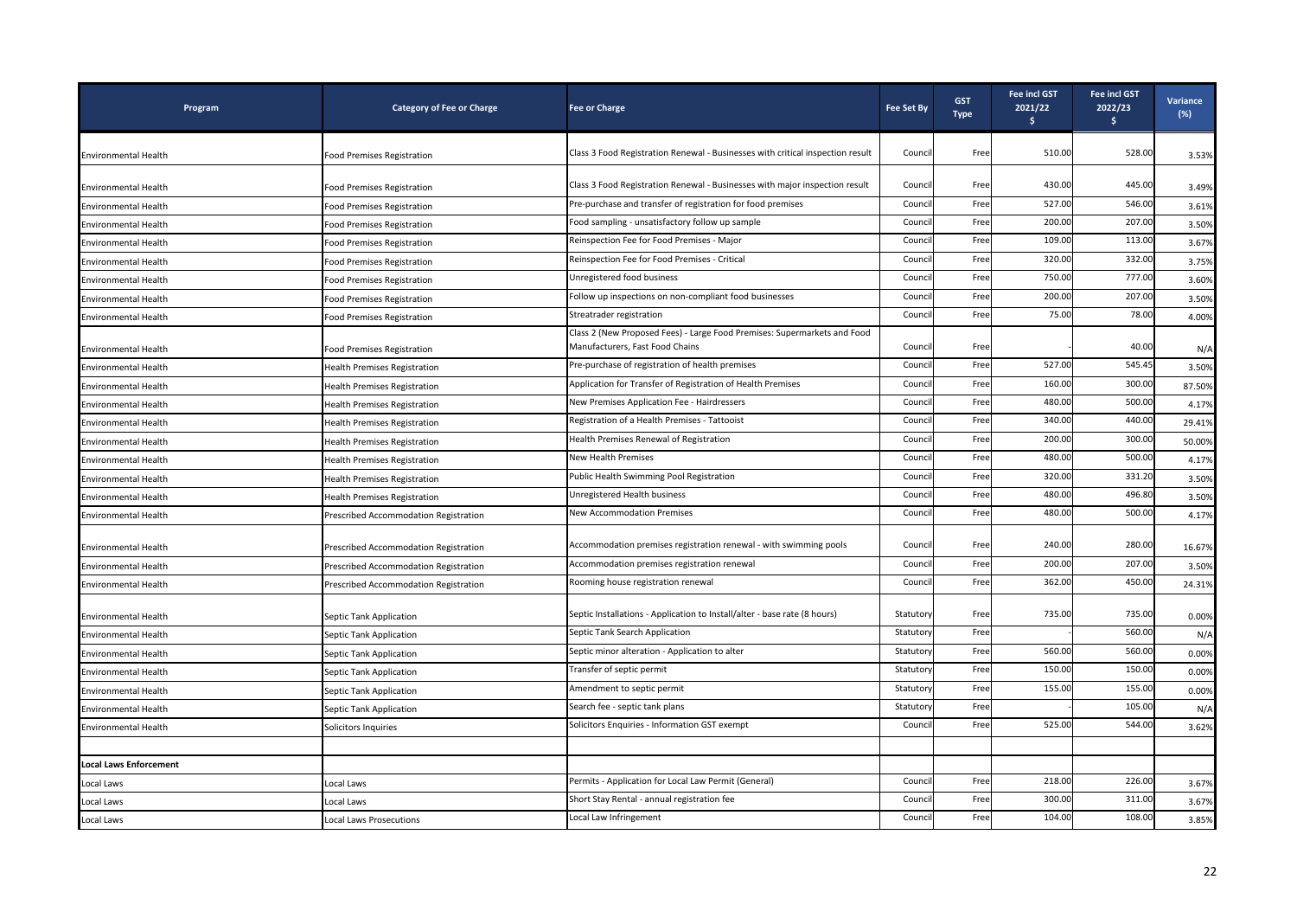| Program                       | <b>Category of Fee or Charge</b>      | <b>Fee or Charge</b>                                                                                        | <b>Fee Set By</b> | <b>GST</b><br><b>Type</b> | Fee incl GST<br>2021/22<br>Ŝ. | <b>Fee incl GST</b><br>2022/23<br>\$ | <b>Variance</b><br>(%) |
|-------------------------------|---------------------------------------|-------------------------------------------------------------------------------------------------------------|-------------------|---------------------------|-------------------------------|--------------------------------------|------------------------|
| <b>Environmental Health</b>   | <b>Food Premises Registration</b>     | Class 3 Food Registration Renewal - Businesses with critical inspection result                              | Council           | Free                      | 510.00                        | 528.00                               | 3.53%                  |
| <b>Environmental Health</b>   | <b>Food Premises Registration</b>     | Class 3 Food Registration Renewal - Businesses with major inspection result                                 | Council           | Free                      | 430.00                        | 445.00                               | 3.49%                  |
| Environmental Health          | Food Premises Registration            | Pre-purchase and transfer of registration for food premises                                                 | Counci            | Free                      | 527.00                        | 546.00                               | 3.61%                  |
| <b>Environmental Health</b>   | <b>Food Premises Registration</b>     | Food sampling - unsatisfactory follow up sample                                                             | Counci            | Free                      | 200.00                        | 207.00                               | 3.50%                  |
| <b>Environmental Health</b>   | Food Premises Registration            | Reinspection Fee for Food Premises - Major                                                                  | Counci            | Free                      | 109.00                        | 113.00                               | 3.67%                  |
| Environmental Health          | Food Premises Registration            | Reinspection Fee for Food Premises - Critical                                                               | Counc             | Free                      | 320.00                        | 332.00                               | 3.75%                  |
| Environmental Health          | <b>Food Premises Registration</b>     | Unregistered food business                                                                                  | Counci            | Free                      | 750.00                        | 777.00                               | 3.60%                  |
| <b>Environmental Health</b>   | Food Premises Registration            | Follow up inspections on non-compliant food businesses                                                      | Counci            | Free                      | 200.00                        | 207.00                               | 3.50%                  |
| <b>Environmental Health</b>   | <b>Food Premises Registration</b>     | Streatrader registration                                                                                    | Counc             | Free                      | 75.00                         | 78.00                                | 4.00%                  |
| <b>Environmental Health</b>   | <b>Food Premises Registration</b>     | Class 2 (New Proposed Fees) - Large Food Premises: Supermarkets and Food<br>Manufacturers, Fast Food Chains | Council           | Free                      |                               | 40.00                                | N/A                    |
| <b>Environmental Health</b>   | <b>Health Premises Registration</b>   | Pre-purchase of registration of health premises                                                             | Counc             | Free                      | 527.00                        | 545.45                               | 3.50%                  |
| Environmental Health          | <b>Health Premises Registration</b>   | Application for Transfer of Registration of Health Premises                                                 | Counci            | Free                      | 160.00                        | 300.00                               | 87.50%                 |
| Environmental Health          | <b>Health Premises Registration</b>   | New Premises Application Fee - Hairdressers                                                                 | Counci            | Free                      | 480.00                        | 500.00                               | 4.17%                  |
| <b>Environmental Health</b>   | <b>Health Premises Registration</b>   | Registration of a Health Premises - Tattooist                                                               | Counci            | Free                      | 340.00                        | 440.00                               | 29.41%                 |
| Environmental Health          | <b>Health Premises Registration</b>   | Health Premises Renewal of Registration                                                                     | Counci            | Free                      | 200.00                        | 300.00                               | 50.00%                 |
| Environmental Health          | <b>Health Premises Registration</b>   | New Health Premises                                                                                         | Counci            | Free                      | 480.00                        | 500.00                               | 4.17%                  |
| <b>Environmental Health</b>   | <b>Health Premises Registration</b>   | Public Health Swimming Pool Registration                                                                    | Counci            | Free                      | 320.00                        | 331.20                               | 3.50%                  |
| <b>Environmental Health</b>   | <b>Health Premises Registration</b>   | Unregistered Health business                                                                                | Counc             | Free                      | 480.00                        | 496.80                               | 3.50%                  |
| Environmental Health          | Prescribed Accommodation Registration | <b>New Accommodation Premises</b>                                                                           | Counci            | Free                      | 480.00                        | 500.00                               | 4.17%                  |
| <b>Environmental Health</b>   | Prescribed Accommodation Registration | Accommodation premises registration renewal - with swimming pools                                           | Counci            | Free                      | 240.00                        | 280.00                               | 16.67%                 |
| Environmental Health          | Prescribed Accommodation Registration | Accommodation premises registration renewal                                                                 | Counci            | Free                      | 200.00                        | 207.00                               | 3.50%                  |
| <b>Environmental Health</b>   | Prescribed Accommodation Registration | Rooming house registration renewal                                                                          | Counci            | Free                      | 362.00                        | 450.00                               | 24.31%                 |
| <b>Environmental Health</b>   | Septic Tank Application               | Septic Installations - Application to Install/alter - base rate (8 hours)                                   | Statutory         | Free                      | 735.00                        | 735.00                               | 0.00%                  |
| <b>Environmental Health</b>   | Septic Tank Application               | Septic Tank Search Application                                                                              | Statutory         | Free                      |                               | 560.00                               | N/A                    |
| <b>Environmental Health</b>   | Septic Tank Application               | Septic minor alteration - Application to alter                                                              | Statuton          | Free                      | 560.00                        | 560.00                               | 0.00%                  |
| <b>Environmental Health</b>   | Septic Tank Application               | Transfer of septic permit                                                                                   | Statutor          | Free                      | 150.00                        | 150.00                               | 0.00%                  |
| Environmental Health          | Septic Tank Application               | Amendment to septic permit                                                                                  | Statuton          | Free                      | 155.00                        | 155.00                               | 0.00%                  |
| <b>Environmental Health</b>   | Septic Tank Application               | Search fee - septic tank plans                                                                              | Statuton          | Free                      |                               | 105.00                               | N/A                    |
| <b>Environmental Health</b>   | Solicitors Inquiries                  | Solicitors Enquiries - Information GST exempt                                                               | Counci            | Free                      | 525.00                        | 544.00                               | 3.62%                  |
|                               |                                       |                                                                                                             |                   |                           |                               |                                      |                        |
| <b>Local Laws Enforcement</b> |                                       |                                                                                                             |                   |                           |                               |                                      |                        |
| Local Laws                    | Local Laws                            | Permits - Application for Local Law Permit (General)                                                        | Counci            | Free                      | 218.00                        | 226.00                               | 3.67%                  |
| Local Laws                    | Local Laws                            | Short Stay Rental - annual registration fee                                                                 | Counc             | Free                      | 300.00                        | 311.00                               | 3.67%                  |
| Local Laws                    | Local Laws Prosecutions               | Local Law Infringement                                                                                      | Council           | Free                      | 104.00                        | 108.00                               | 3.85%                  |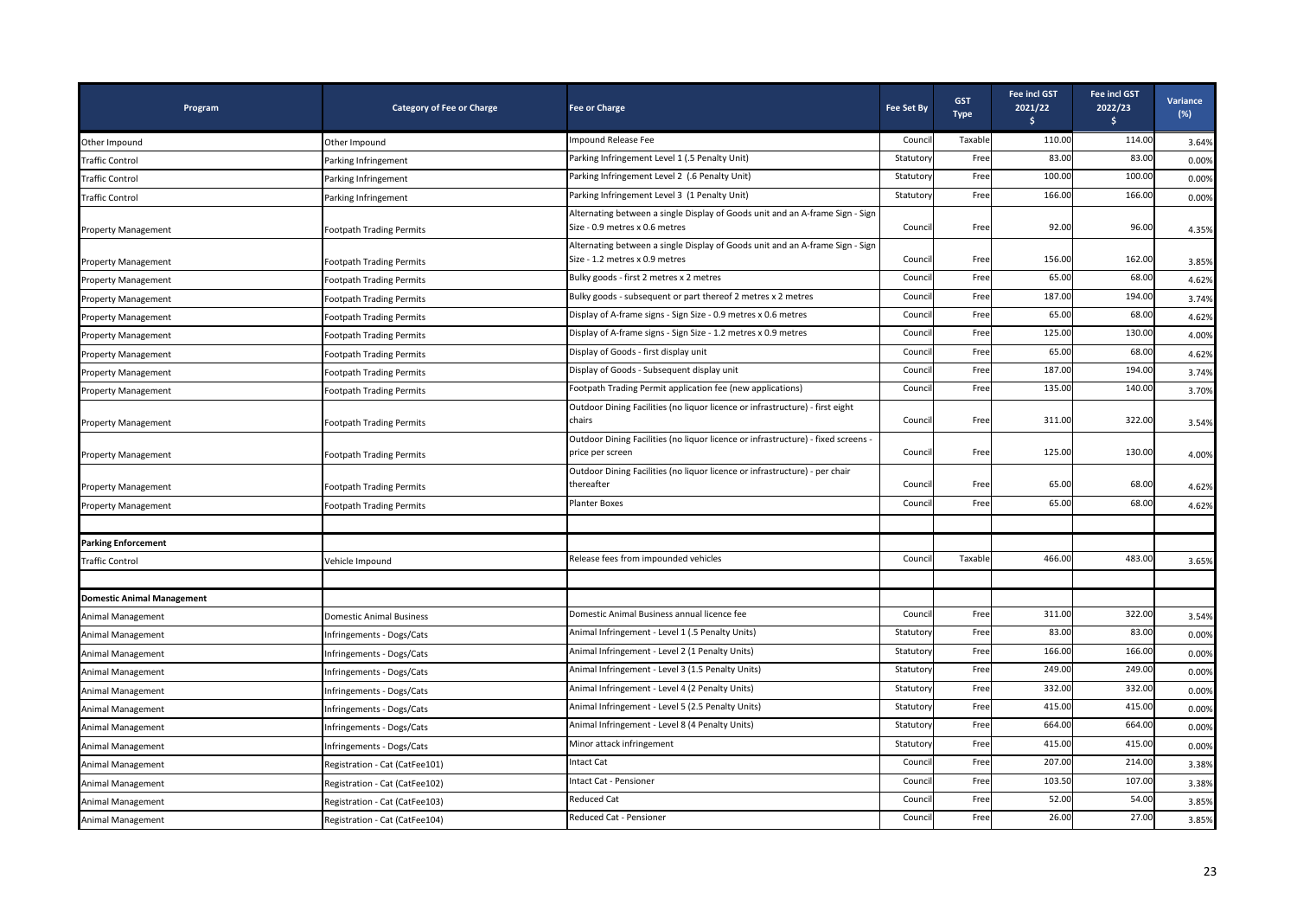| Program                           | <b>Category of Fee or Charge</b> | <b>Fee or Charge</b>                                                                                            | <b>Fee Set By</b> | <b>GST</b><br><b>Type</b> | <b>Fee incl GST</b><br>2021/22<br>s. | <b>Fee incl GST</b><br>2022/23<br>$\frac{1}{2}$ | Variance<br>$(\%)$ |
|-----------------------------------|----------------------------------|-----------------------------------------------------------------------------------------------------------------|-------------------|---------------------------|--------------------------------------|-------------------------------------------------|--------------------|
| Other Impound                     | Other Impound                    | Impound Release Fee                                                                                             | Counci            | Taxable                   | 110.00                               | 114.00                                          | 3.64%              |
| Traffic Control                   | Parking Infringement             | Parking Infringement Level 1 (.5 Penalty Unit)                                                                  | Statuton          | Free                      | 83.00                                | 83.00                                           | 0.00%              |
| Traffic Control                   | Parking Infringement             | Parking Infringement Level 2 (.6 Penalty Unit)                                                                  | Statutory         | Free                      | 100.00                               | 100.00                                          | 0.00%              |
| Traffic Control                   | Parking Infringement             | Parking Infringement Level 3 (1 Penalty Unit)                                                                   | Statuton          | Free                      | 166.00                               | 166.00                                          | 0.00%              |
| <b>Property Management</b>        | <b>Footpath Trading Permits</b>  | Alternating between a single Display of Goods unit and an A-frame Sign - Sign<br>Size - 0.9 metres x 0.6 metres | Counci            | Free                      | 92.00                                | 96.00                                           | 4.35%              |
| <b>Property Management</b>        | <b>Footpath Trading Permits</b>  | Alternating between a single Display of Goods unit and an A-frame Sign - Sign<br>Size - 1.2 metres x 0.9 metres | Council           | Free                      | 156.00                               | 162.00                                          | 3.85%              |
| <b>Property Management</b>        | Footpath Trading Permits         | Bulky goods - first 2 metres x 2 metres                                                                         | Counci            | Free                      | 65.00                                | 68.00                                           | 4.62%              |
| <b>Property Management</b>        | <b>Footpath Trading Permits</b>  | Bulky goods - subsequent or part thereof 2 metres x 2 metres                                                    | Counci            | Free                      | 187.00                               | 194.00                                          | 3.74%              |
| <b>Property Management</b>        | <b>Footpath Trading Permits</b>  | Display of A-frame signs - Sign Size - 0.9 metres x 0.6 metres                                                  | Counci            | Free                      | 65.00                                | 68.00                                           | 4.62%              |
| <b>Property Management</b>        | Footpath Trading Permits         | Display of A-frame signs - Sign Size - 1.2 metres x 0.9 metres                                                  | Counci            | Free                      | 125.00                               | 130.00                                          | 4.00%              |
| <b>Property Management</b>        | <b>Footpath Trading Permits</b>  | Display of Goods - first display unit                                                                           | Counci            | Free                      | 65.00                                | 68.00                                           | 4.62%              |
| <b>Property Management</b>        | Footpath Trading Permits         | Display of Goods - Subsequent display unit                                                                      | Counci            | Free                      | 187.00                               | 194.00                                          | 3.74%              |
| <b>Property Management</b>        | Footpath Trading Permits         | Footpath Trading Permit application fee (new applications)                                                      | Counci            | Free                      | 135.00                               | 140.00                                          | 3.70%              |
| <b>Property Management</b>        | <b>Footpath Trading Permits</b>  | Outdoor Dining Facilities (no liquor licence or infrastructure) - first eight<br>chairs                         | Counci            | Free                      | 311.00                               | 322.00                                          | 3.54%              |
| <b>Property Management</b>        | <b>Footpath Trading Permits</b>  | Outdoor Dining Facilities (no liquor licence or infrastructure) - fixed screens -<br>price per screen           | Council           | Free                      | 125.00                               | 130.00                                          | 4.00%              |
| <b>Property Management</b>        | <b>Footpath Trading Permits</b>  | Outdoor Dining Facilities (no liquor licence or infrastructure) - per chair<br>thereafter                       | Counci            | Free                      | 65.00                                | 68.00                                           | 4.62%              |
| <b>Property Management</b>        | Footpath Trading Permits         | <b>Planter Boxes</b>                                                                                            | Counci            | Free                      | 65.00                                | 68.00                                           | 4.62%              |
|                                   |                                  |                                                                                                                 |                   |                           |                                      |                                                 |                    |
| <b>Parking Enforcement</b>        |                                  |                                                                                                                 |                   |                           |                                      |                                                 |                    |
| <b>Traffic Control</b>            | Vehicle Impound                  | Release fees from impounded vehicles                                                                            | Counci            | Taxable                   | 466.00                               | 483.00                                          | 3.65%              |
|                                   |                                  |                                                                                                                 |                   |                           |                                      |                                                 |                    |
| <b>Domestic Animal Management</b> |                                  |                                                                                                                 |                   |                           |                                      |                                                 |                    |
| Animal Management                 | <b>Domestic Animal Business</b>  | Domestic Animal Business annual licence fee                                                                     | Counci            | Free                      | 311.00                               | 322.00                                          | 3.54%              |
| Animal Management                 | Infringements - Dogs/Cats        | Animal Infringement - Level 1 (.5 Penalty Units)                                                                | Statutory         | Free                      | 83.00                                | 83.00                                           | 0.00%              |
| Animal Management                 | Infringements - Dogs/Cats        | Animal Infringement - Level 2 (1 Penalty Units)                                                                 | Statutory         | Free                      | 166.00                               | 166.00                                          | 0.00%              |
| Animal Management                 | Infringements - Dogs/Cats        | Animal Infringement - Level 3 (1.5 Penalty Units)                                                               | Statutory         | Free                      | 249.00                               | 249.00                                          | 0.00%              |
| Animal Management                 | Infringements - Dogs/Cats        | Animal Infringement - Level 4 (2 Penalty Units)                                                                 | Statutor          | Free                      | 332.00                               | 332.00                                          | 0.00%              |
| Animal Management                 | Infringements - Dogs/Cats        | Animal Infringement - Level 5 (2.5 Penalty Units)                                                               | Statuton          | Free                      | 415.00                               | 415.00                                          | 0.00%              |
| Animal Management                 | Infringements - Dogs/Cats        | Animal Infringement - Level 8 (4 Penalty Units)                                                                 | Statutory         | Free                      | 664.00                               | 664.00                                          | 0.00%              |
| Animal Management                 | Infringements - Dogs/Cats        | Minor attack infringement                                                                                       | Statutor          | Free                      | 415.00                               | 415.00                                          | 0.00%              |
| Animal Management                 | Registration - Cat (CatFee101)   | Intact Cat                                                                                                      | Counci            | Free                      | 207.00                               | 214.00                                          | 3.38%              |
| Animal Management                 | Registration - Cat (CatFee102)   | Intact Cat - Pensioner                                                                                          | Counci            | Free                      | 103.50                               | 107.00                                          | 3.38%              |
| Animal Management                 | Registration - Cat (CatFee103)   | Reduced Cat                                                                                                     | Counci            | Free                      | 52.00                                | 54.00                                           | 3.85%              |
| Animal Management                 | Registration - Cat (CatFee104)   | <b>Reduced Cat - Pensioner</b>                                                                                  | Counci            | Free                      | 26.00                                | 27.00                                           | 3.85%              |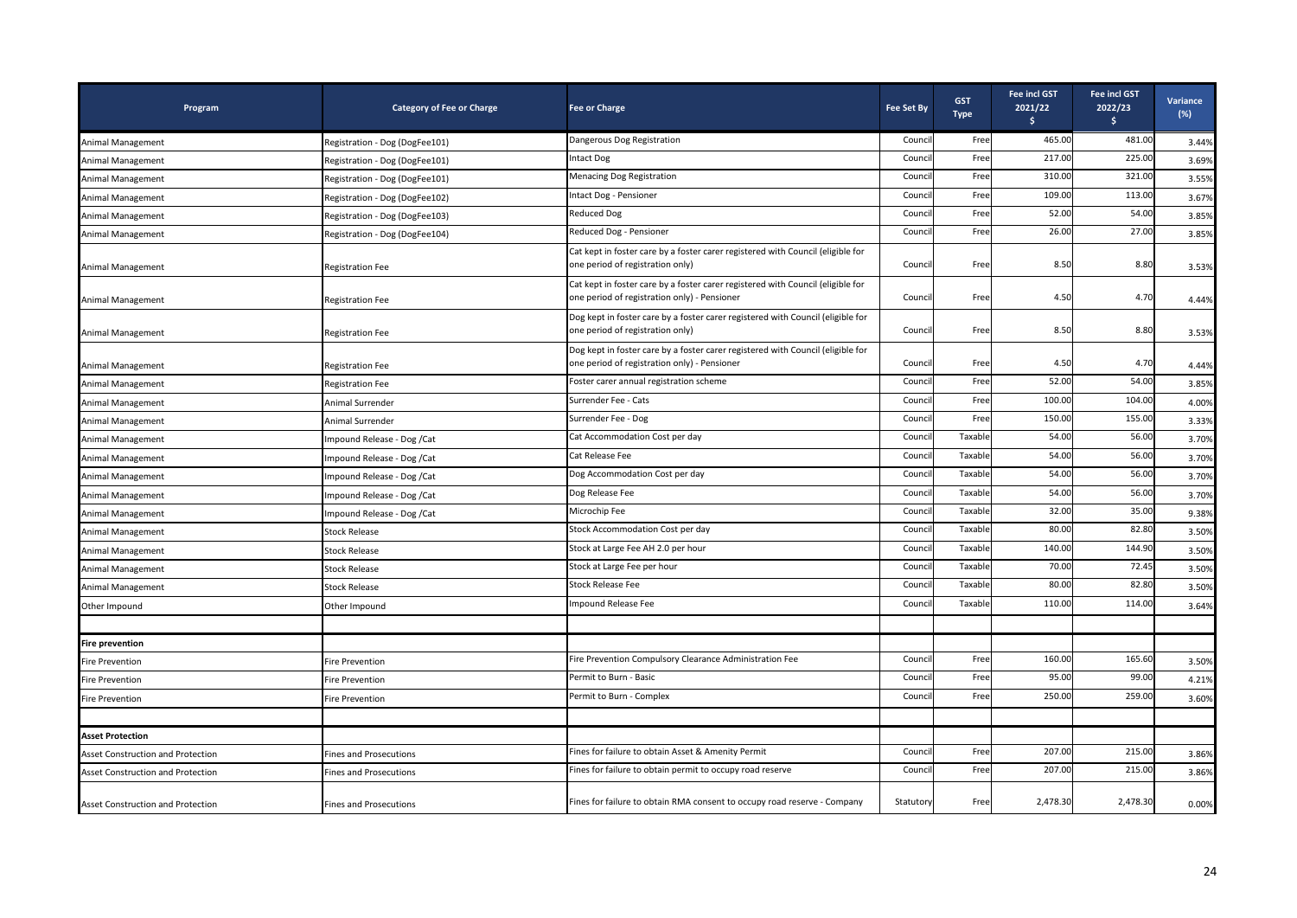| Program                                  | <b>Category of Fee or Charge</b> | <b>Fee or Charge</b>                                                                                                            | <b>Fee Set By</b> | <b>GST</b><br><b>Type</b> | <b>Fee incl GST</b><br>2021/22<br>\$. | <b>Fee incl GST</b><br>2022/23<br>\$ | Variance<br>$(\%)$ |
|------------------------------------------|----------------------------------|---------------------------------------------------------------------------------------------------------------------------------|-------------------|---------------------------|---------------------------------------|--------------------------------------|--------------------|
| Animal Management                        | Registration - Dog (DogFee101)   | Dangerous Dog Registration                                                                                                      | Council           | Free                      | 465.00                                | 481.00                               | 3.44%              |
| Animal Management                        | Registration - Dog (DogFee101)   | <b>Intact Dog</b>                                                                                                               | Counci            | Free                      | 217.00                                | 225.00                               | 3.69%              |
| Animal Management                        | Registration - Dog (DogFee101)   | <b>Menacing Dog Registration</b>                                                                                                | Counci            | Free                      | 310.00                                | 321.00                               | 3.55%              |
| Animal Management                        | Registration - Dog (DogFee102)   | Intact Dog - Pensioner                                                                                                          | Counci            | Free                      | 109.00                                | 113.00                               | 3.67%              |
| Animal Management                        | Registration - Dog (DogFee103)   | <b>Reduced Dog</b>                                                                                                              | Council           | Free                      | 52.00                                 | 54.00                                | 3.85%              |
| Animal Management                        | Registration - Dog (DogFee104)   | Reduced Dog - Pensioner                                                                                                         | Council           | Free                      | 26.00                                 | 27.00                                | 3.85%              |
| Animal Management                        | <b>Registration Fee</b>          | Cat kept in foster care by a foster carer registered with Council (eligible for<br>one period of registration only)             | Council           | Free                      | 8.50                                  | 8.80                                 | 3.53%              |
| Animal Management                        | <b>Registration Fee</b>          | Cat kept in foster care by a foster carer registered with Council (eligible for<br>one period of registration only) - Pensioner | Council           | Free                      | 4.50                                  | 4.70                                 | 4.44%              |
| Animal Management                        | <b>Registration Fee</b>          | Dog kept in foster care by a foster carer registered with Council (eligible for<br>one period of registration only)             | Council           | Free                      | 8.50                                  | 8.80                                 | 3.53%              |
| Animal Management                        | <b>Registration Fee</b>          | Dog kept in foster care by a foster carer registered with Council (eligible for<br>one period of registration only) - Pensioner | Council           | Free                      | 4.50                                  | 4.70                                 | 4.44%              |
| Animal Management                        | <b>Registration Fee</b>          | Foster carer annual registration scheme                                                                                         | Counci            | Free                      | 52.00                                 | 54.00                                | 3.85%              |
| Animal Management                        | Animal Surrender                 | Surrender Fee - Cats                                                                                                            | Council           | Free                      | 100.00                                | 104.00                               | 4.00%              |
| Animal Management                        | Animal Surrender                 | Surrender Fee - Dog                                                                                                             | Council           | Free                      | 150.00                                | 155.00                               | 3.33%              |
| <b>Animal Management</b>                 | Impound Release - Dog / Cat      | Cat Accommodation Cost per day                                                                                                  | Counci            | Taxable                   | 54.00                                 | 56.00                                | 3.70%              |
| Animal Management                        | Impound Release - Dog / Cat      | Cat Release Fee                                                                                                                 | Counci            | Taxable                   | 54.00                                 | 56.00                                | 3.70%              |
| Animal Management                        | mpound Release - Dog / Cat       | Dog Accommodation Cost per day                                                                                                  | Council           | Taxable                   | 54.00                                 | 56.00                                | 3.70%              |
| Animal Management                        | Impound Release - Dog / Cat      | Dog Release Fee                                                                                                                 | Council           | Taxable                   | 54.00                                 | 56.00                                | 3.70%              |
| <b>Animal Management</b>                 | Impound Release - Dog / Cat      | Microchip Fee                                                                                                                   | Council           | Taxable                   | 32.00                                 | 35.00                                | 9.38%              |
| <b>Animal Management</b>                 | <b>Stock Release</b>             | Stock Accommodation Cost per day                                                                                                | Counci            | Taxable                   | 80.00                                 | 82.80                                | 3.50%              |
| Animal Management                        | <b>Stock Release</b>             | Stock at Large Fee AH 2.0 per hour                                                                                              | Counci            | Taxable                   | 140.00                                | 144.90                               | 3.50%              |
| Animal Management                        | <b>Stock Release</b>             | Stock at Large Fee per hour                                                                                                     | Council           | Taxable                   | 70.00                                 | 72.45                                | 3.50%              |
| Animal Management                        | <b>Stock Release</b>             | <b>Stock Release Fee</b>                                                                                                        | Counci            | Taxable                   | 80.00                                 | 82.80                                | 3.50%              |
| Other Impound                            | Other Impound                    | Impound Release Fee                                                                                                             | Council           | Taxable                   | 110.00                                | 114.00                               | 3.64%              |
| <b>Fire prevention</b>                   |                                  |                                                                                                                                 |                   |                           |                                       |                                      |                    |
| <b>Fire Prevention</b>                   | Fire Prevention                  | Fire Prevention Compulsory Clearance Administration Fee                                                                         | Council           | Free                      | 160.00                                | 165.60                               | 3.50%              |
| <b>Fire Prevention</b>                   | Fire Prevention                  | Permit to Burn - Basic                                                                                                          | Counci            | Free                      | 95.00                                 | 99.00                                | 4.21%              |
| <b>Fire Prevention</b>                   | Fire Prevention                  | Permit to Burn - Complex                                                                                                        | Counci            | Free                      | 250.00                                | 259.00                               | 3.60%              |
|                                          |                                  |                                                                                                                                 |                   |                           |                                       |                                      |                    |
| <b>Asset Protection</b>                  |                                  |                                                                                                                                 |                   |                           |                                       |                                      |                    |
| Asset Construction and Protection        | <b>Fines and Prosecutions</b>    | Fines for failure to obtain Asset & Amenity Permit                                                                              | Counci            | Free                      | 207.00                                | 215.00                               | 3.86%              |
| Asset Construction and Protection        | <b>Fines and Prosecutions</b>    | Fines for failure to obtain permit to occupy road reserve                                                                       | Council           | Free                      | 207.00                                | 215.00                               | 3.86%              |
| <b>Asset Construction and Protection</b> | <b>Fines and Prosecutions</b>    | Fines for failure to obtain RMA consent to occupy road reserve - Company                                                        | Statutory         | Free                      | 2,478.30                              | 2,478.30                             | 0.00%              |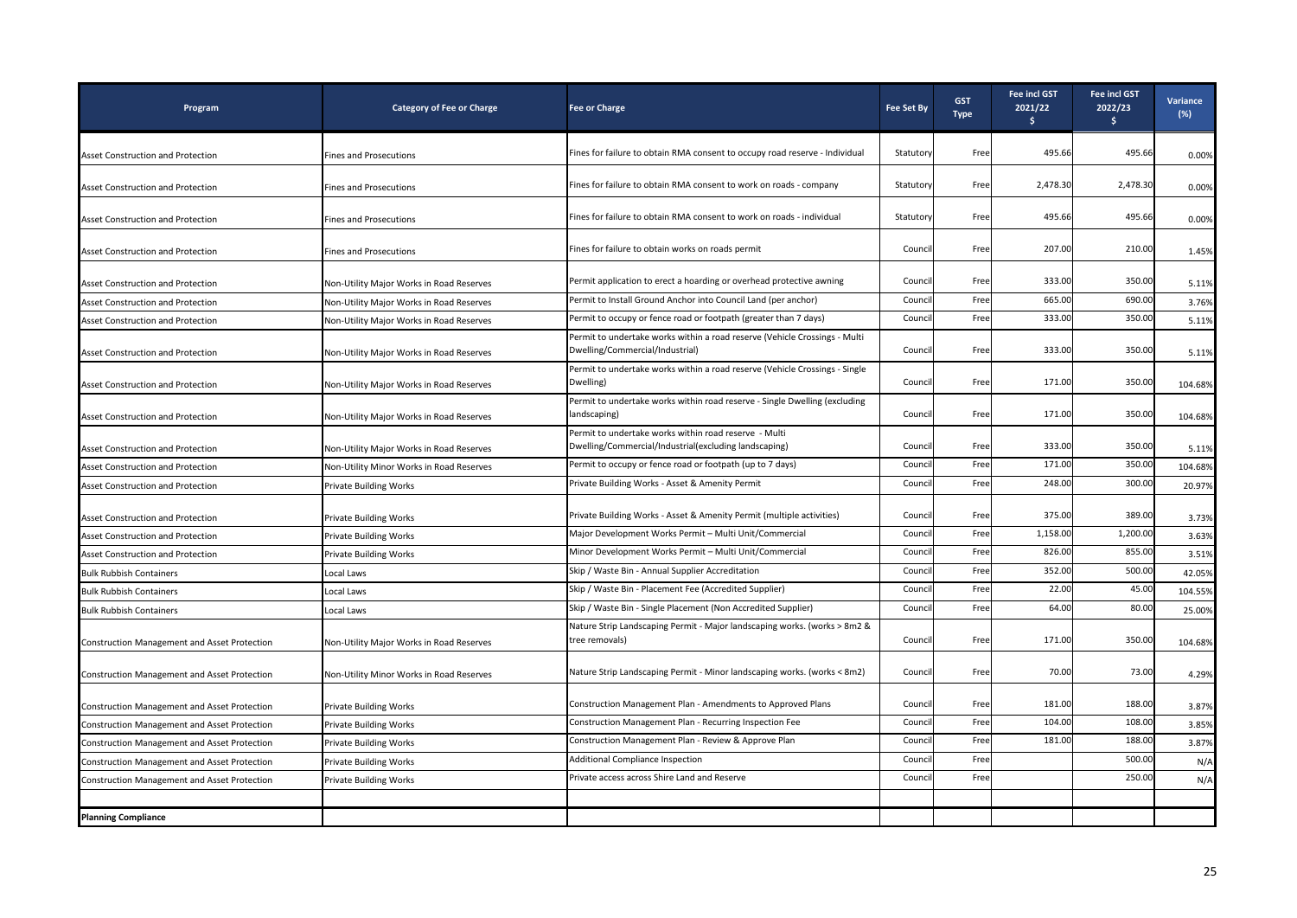| Program                                             | <b>Category of Fee or Charge</b>         | <b>Fee or Charge</b>                                                                                           | <b>Fee Set By</b> | <b>GST</b><br><b>Type</b> | Fee incl GST<br>2021/22<br>Ŝ. | <b>Fee incl GST</b><br>2022/23<br>\$. | Variance<br>$(\%)$ |
|-----------------------------------------------------|------------------------------------------|----------------------------------------------------------------------------------------------------------------|-------------------|---------------------------|-------------------------------|---------------------------------------|--------------------|
| Asset Construction and Protection                   | <b>Fines and Prosecutions</b>            | Fines for failure to obtain RMA consent to occupy road reserve - Individual                                    | Statutory         | Free                      | 495.66                        | 495.66                                | 0.00%              |
| Asset Construction and Protection                   | <b>Fines and Prosecutions</b>            | Fines for failure to obtain RMA consent to work on roads - company                                             | Statutory         | Free                      | 2,478.30                      | 2,478.30                              | 0.00%              |
| Asset Construction and Protection                   | <b>Fines and Prosecutions</b>            | Fines for failure to obtain RMA consent to work on roads - individual                                          | Statutory         | Free                      | 495.66                        | 495.66                                | 0.00%              |
| Asset Construction and Protection                   | <b>Fines and Prosecutions</b>            | Fines for failure to obtain works on roads permit                                                              | Council           | Free                      | 207.00                        | 210.00                                | 1.45%              |
| Asset Construction and Protection                   | Non-Utility Major Works in Road Reserves | Permit application to erect a hoarding or overhead protective awning                                           | Council           | Free                      | 333.00                        | 350.00                                | 5.11%              |
| Asset Construction and Protection                   | Non-Utility Major Works in Road Reserves | Permit to Install Ground Anchor into Council Land (per anchor)                                                 | Counci            | Free                      | 665.00                        | 690.00                                | 3.76%              |
| Asset Construction and Protection                   | Non-Utility Major Works in Road Reserves | Permit to occupy or fence road or footpath (greater than 7 days)                                               | Counc             | Free                      | 333.00                        | 350.00                                | 5.11%              |
| Asset Construction and Protection                   | Non-Utility Major Works in Road Reserves | Permit to undertake works within a road reserve (Vehicle Crossings - Multi<br>Dwelling/Commercial/Industrial)  | Council           | Free                      | 333.00                        | 350.00                                | 5.11%              |
| Asset Construction and Protection                   | Non-Utility Major Works in Road Reserves | Permit to undertake works within a road reserve (Vehicle Crossings - Single<br>Dwelling)                       | Council           | Free                      | 171.00                        | 350.00                                | 104.68%            |
| Asset Construction and Protection                   | Non-Utility Major Works in Road Reserves | Permit to undertake works within road reserve - Single Dwelling (excluding<br>landscaping)                     | Council           | Free                      | 171.00                        | 350.00                                | 104.68%            |
| Asset Construction and Protection                   | Non-Utility Major Works in Road Reserves | Permit to undertake works within road reserve - Multi<br>Dwelling/Commercial/Industrial(excluding landscaping) | Council           | Free                      | 333.00                        | 350.00                                | 5.11%              |
| Asset Construction and Protection                   | Non-Utility Minor Works in Road Reserves | Permit to occupy or fence road or footpath (up to 7 days)                                                      | Council           | Free                      | 171.00                        | 350.00                                | 104.68%            |
| Asset Construction and Protection                   | <b>Private Building Works</b>            | Private Building Works - Asset & Amenity Permit                                                                | Council           | Free                      | 248.00                        | 300.00                                | 20.97%             |
| Asset Construction and Protection                   | <b>Private Building Works</b>            | Private Building Works - Asset & Amenity Permit (multiple activities)                                          | Council           | Free                      | 375.00                        | 389.00                                | 3.73%              |
| Asset Construction and Protection                   | <b>Private Building Works</b>            | Major Development Works Permit - Multi Unit/Commercial                                                         | Counci            | Free                      | 1,158.00                      | 1,200.00                              | 3.63%              |
| Asset Construction and Protection                   | <b>Private Building Works</b>            | Minor Development Works Permit - Multi Unit/Commercial                                                         | Counci            | Free                      | 826.00                        | 855.00                                | 3.51%              |
| <b>Bulk Rubbish Containers</b>                      | Local Laws                               | Skip / Waste Bin - Annual Supplier Accreditation                                                               | Council           | Free                      | 352.00                        | 500.00                                | 42.05%             |
| <b>Bulk Rubbish Containers</b>                      | Local Laws                               | Skip / Waste Bin - Placement Fee (Accredited Supplier)                                                         | Counci            | Free                      | 22.00                         | 45.00                                 | 104.55%            |
| <b>Bulk Rubbish Containers</b>                      | Local Laws                               | Skip / Waste Bin - Single Placement (Non Accredited Supplier)                                                  | Counci            | Free                      | 64.00                         | 80.00                                 | 25.00%             |
| Construction Management and Asset Protection        | Non-Utility Major Works in Road Reserves | Nature Strip Landscaping Permit - Major landscaping works. (works > 8m2 &<br>tree removals)                    | Council           | Free                      | 171.00                        | 350.00                                | 104.68%            |
| Construction Management and Asset Protection        | Non-Utility Minor Works in Road Reserves | Nature Strip Landscaping Permit - Minor landscaping works. (works < 8m2)                                       | Council           | Free                      | 70.00                         | 73.00                                 | 4.29%              |
| <b>Construction Management and Asset Protection</b> | <b>Private Building Works</b>            | Construction Management Plan - Amendments to Approved Plans                                                    | Council           | Free                      | 181.00                        | 188.00                                | 3.87%              |
| Construction Management and Asset Protection        | <b>Private Building Works</b>            | Construction Management Plan - Recurring Inspection Fee                                                        | Counci            | Free                      | 104.00                        | 108.00                                | 3.85%              |
| Construction Management and Asset Protection        | <b>Private Building Works</b>            | Construction Management Plan - Review & Approve Plan                                                           | Counci            | Free                      | 181.00                        | 188.00                                | 3.87%              |
| Construction Management and Asset Protection        | <b>Private Building Works</b>            | Additional Compliance Inspection                                                                               | Counci            | Free                      |                               | 500.00                                | N/A                |
| Construction Management and Asset Protection        | <b>Private Building Works</b>            | Private access across Shire Land and Reserve                                                                   | Council           | Free                      |                               | 250.00                                | N/A                |
|                                                     |                                          |                                                                                                                |                   |                           |                               |                                       |                    |
| <b>Planning Compliance</b>                          |                                          |                                                                                                                |                   |                           |                               |                                       |                    |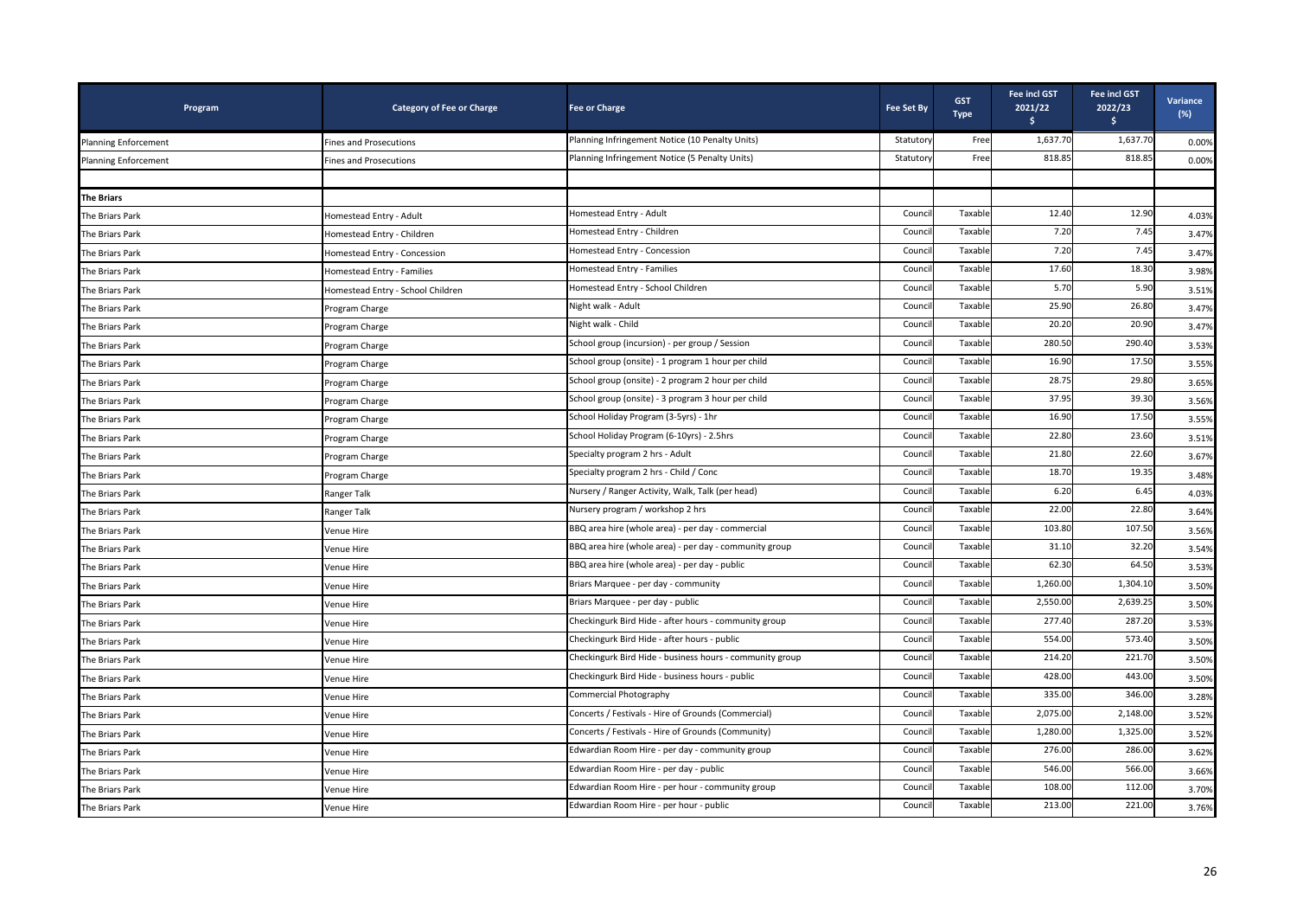| Program                     | <b>Category of Fee or Charge</b>  | <b>Fee or Charge</b>                                     | <b>Fee Set By</b> | <b>GST</b><br><b>Type</b> | <b>Fee incl GST</b><br>2021/22<br>Ś. | <b>Fee incl GST</b><br>2022/23<br>$\mathsf{S}$ | Variance<br>$(\%)$ |
|-----------------------------|-----------------------------------|----------------------------------------------------------|-------------------|---------------------------|--------------------------------------|------------------------------------------------|--------------------|
| <b>Planning Enforcement</b> | <b>Fines and Prosecutions</b>     | Planning Infringement Notice (10 Penalty Units)          | Statutory         | Free                      | 1,637.70                             | 1,637.70                                       | 0.00%              |
| <b>Planning Enforcement</b> | <b>Fines and Prosecutions</b>     | Planning Infringement Notice (5 Penalty Units)           | Statuton          | Free                      | 818.85                               | 818.85                                         | 0.00%              |
|                             |                                   |                                                          |                   |                           |                                      |                                                |                    |
| <b>The Briars</b>           |                                   |                                                          |                   |                           |                                      |                                                |                    |
| The Briars Park             | Homestead Entry - Adult           | Homestead Entry - Adult                                  | Counci            | Taxable                   | 12.40                                | 12.90                                          | 4.03%              |
| The Briars Park             | Homestead Entry - Children        | Homestead Entry - Children                               | Counci            | Taxable                   | 7.20                                 | 7.45                                           | 3.47%              |
| The Briars Park             | Homestead Entry - Concession      | Homestead Entry - Concession                             | Council           | Taxable                   | 7.20                                 | 7.45                                           | 3.47%              |
| The Briars Park             | Homestead Entry - Families        | Homestead Entry - Families                               | Counci            | Taxable                   | 17.60                                | 18.30                                          | 3.98%              |
| The Briars Park             | Homestead Entry - School Children | Homestead Entry - School Children                        | Council           | Taxable                   | 5.70                                 | 5.90                                           | 3.51%              |
| The Briars Park             | Program Charge                    | Night walk - Adult                                       | Counci            | Taxable                   | 25.90                                | 26.80                                          | 3.47%              |
| The Briars Park             | Program Charge                    | Night walk - Child                                       | Counci            | Taxable                   | 20.20                                | 20.90                                          | 3.47%              |
| The Briars Park             | Program Charge                    | School group (incursion) - per group / Session           | Counci            | Taxable                   | 280.50                               | 290.40                                         | 3.53%              |
| The Briars Park             | Program Charge                    | School group (onsite) - 1 program 1 hour per child       | Counci            | Taxable                   | 16.90                                | 17.50                                          | 3.55%              |
| The Briars Park             | Program Charge                    | School group (onsite) - 2 program 2 hour per child       | Counci            | Taxable                   | 28.75                                | 29.80                                          | 3.65%              |
| The Briars Park             | Program Charge                    | School group (onsite) - 3 program 3 hour per child       | Council           | Taxable                   | 37.95                                | 39.30                                          | 3.56%              |
| The Briars Park             | Program Charge                    | School Holiday Program (3-5yrs) - 1hr                    | Counci            | Taxable                   | 16.90                                | 17.50                                          | 3.55%              |
| The Briars Park             | Program Charge                    | School Holiday Program (6-10yrs) - 2.5hrs                | Council           | Taxable                   | 22.80                                | 23.60                                          | 3.51%              |
| The Briars Park             | Program Charge                    | Specialty program 2 hrs - Adult                          | Counci            | Taxable                   | 21.80                                | 22.60                                          | 3.67%              |
| The Briars Park             | Program Charge                    | Specialty program 2 hrs - Child / Conc                   | Counci            | Taxable                   | 18.70                                | 19.35                                          | 3.48%              |
| The Briars Park             | Ranger Talk                       | Nursery / Ranger Activity, Walk, Talk (per head)         | Counci            | Taxable                   | 6.20                                 | 6.45                                           | 4.03%              |
| The Briars Park             | Ranger Talk                       | Nursery program / workshop 2 hrs                         | Counci            | Taxable                   | 22.00                                | 22.80                                          | 3.64%              |
| The Briars Park             | Venue Hire                        | BBQ area hire (whole area) - per day - commercial        | Counci            | Taxable                   | 103.80                               | 107.50                                         | 3.56%              |
| The Briars Park             | Venue Hire                        | BBQ area hire (whole area) - per day - community group   | Council           | Taxable                   | 31.10                                | 32.20                                          | 3.54%              |
| The Briars Park             | Venue Hire                        | BBQ area hire (whole area) - per day - public            | Council           | Taxable                   | 62.30                                | 64.50                                          | 3.53%              |
| The Briars Park             | Venue Hire                        | Briars Marquee - per day - community                     | Council           | Taxable                   | 1,260.00                             | 1,304.10                                       | 3.50%              |
| The Briars Park             | Venue Hire                        | Briars Marquee - per day - public                        | Council           | Taxable                   | 2,550.00                             | 2,639.25                                       | 3.50%              |
| The Briars Park             | Venue Hire                        | Checkingurk Bird Hide - after hours - community group    | Council           | Taxable                   | 277.40                               | 287.20                                         | 3.53%              |
| The Briars Park             | Venue Hire                        | Checkingurk Bird Hide - after hours - public             | Council           | Taxable                   | 554.00                               | 573.40                                         | 3.50%              |
| The Briars Park             | Venue Hire                        | Checkingurk Bird Hide - business hours - community group | Council           | Taxable                   | 214.20                               | 221.70                                         | 3.50%              |
| The Briars Park             | Venue Hire                        | Checkingurk Bird Hide - business hours - public          | Counci            | Taxable                   | 428.00                               | 443.00                                         | 3.50%              |
| The Briars Park             | Venue Hire                        | Commercial Photography                                   | Council           | Taxable                   | 335.00                               | 346.00                                         | 3.28%              |
| The Briars Park             | Venue Hire                        | Concerts / Festivals - Hire of Grounds (Commercial)      | Council           | Taxable                   | 2,075.00                             | 2,148.00                                       | 3.52%              |
| The Briars Park             | Venue Hire                        | Concerts / Festivals - Hire of Grounds (Community)       | Council           | Taxable                   | 1,280.00                             | 1,325.00                                       | 3.52%              |
| The Briars Park             | Venue Hire                        | Edwardian Room Hire - per day - community group          | Council           | Taxable                   | 276.00                               | 286.00                                         | 3.62%              |
| The Briars Park             | Venue Hire                        | Edwardian Room Hire - per day - public                   | Council           | Taxable                   | 546.00                               | 566.00                                         | 3.66%              |
| The Briars Park             | Venue Hire                        | Edwardian Room Hire - per hour - community group         | Counci            | Taxable                   | 108.00                               | 112.00                                         | 3.70%              |
| The Briars Park             | Venue Hire                        | Edwardian Room Hire - per hour - public                  | Council           | Taxable                   | 213.00                               | 221.00                                         | 3.76%              |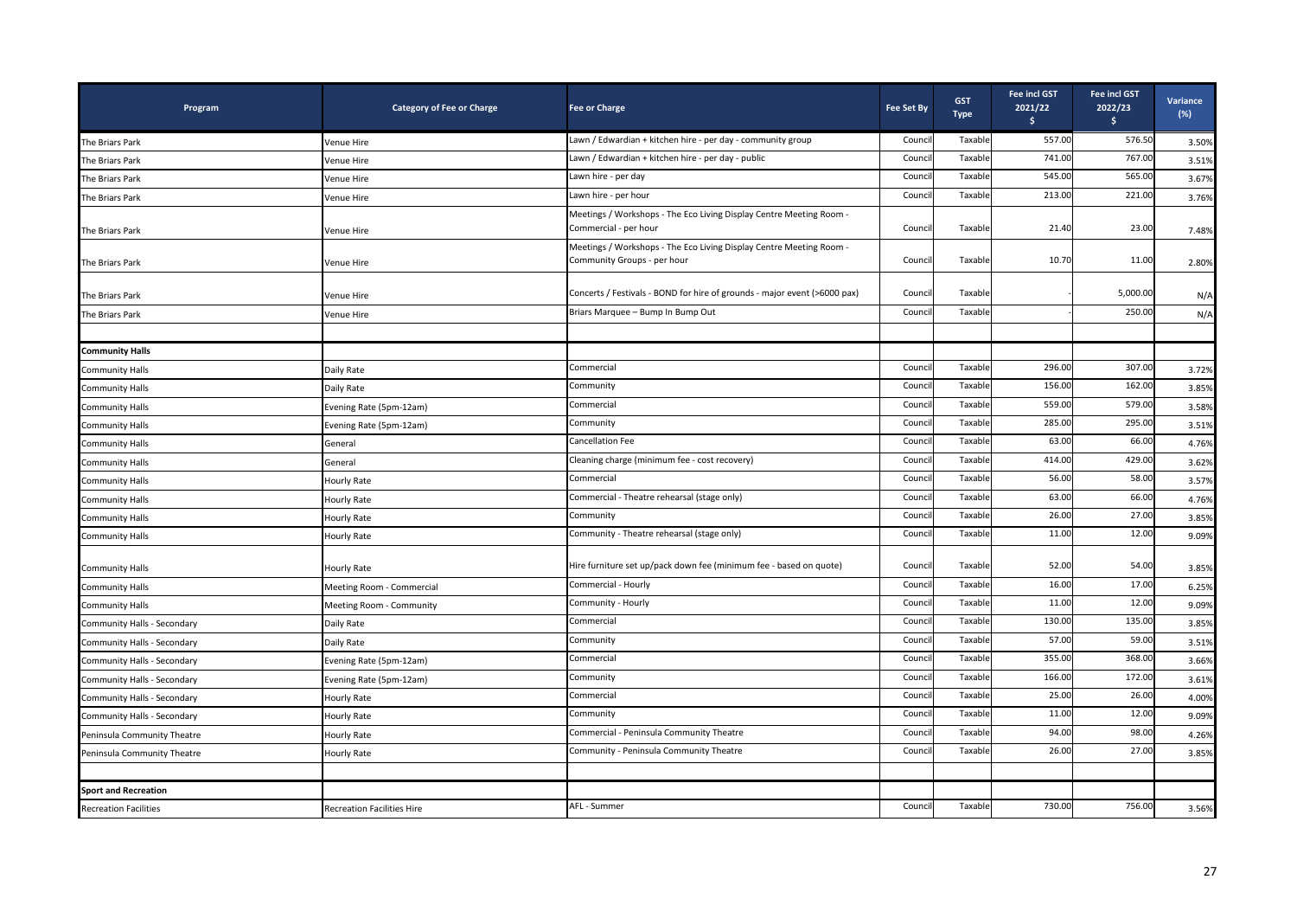| Program                      | <b>Category of Fee or Charge</b>  | <b>Fee or Charge</b>                                                                               | <b>Fee Set By</b> | <b>GST</b><br><b>Type</b> | <b>Fee incl GST</b><br>2021/22<br>s. | Fee incl GST<br>2022/23<br>$\frac{1}{2}$ | Variance<br>(%) |
|------------------------------|-----------------------------------|----------------------------------------------------------------------------------------------------|-------------------|---------------------------|--------------------------------------|------------------------------------------|-----------------|
| The Briars Park              | Venue Hire                        | Lawn / Edwardian + kitchen hire - per day - community group                                        | Counci            | Taxable                   | 557.00                               | 576.50                                   | 3.50%           |
| The Briars Park              | Venue Hire                        | Lawn / Edwardian + kitchen hire - per day - public                                                 | Counci            | Taxable                   | 741.00                               | 767.00                                   | 3.51%           |
| The Briars Park              | Venue Hire                        | Lawn hire - per day                                                                                | Counci            | Taxable                   | 545.00                               | 565.00                                   | 3.67%           |
| The Briars Park              | Venue Hire                        | Lawn hire - per hour                                                                               | Counci            | Taxable                   | 213.00                               | 221.00                                   | 3.76%           |
| The Briars Park              | Venue Hire                        | Meetings / Workshops - The Eco Living Display Centre Meeting Room -<br>Commercial - per hour       | Council           | Taxable                   | 21.40                                | 23.00                                    | 7.48%           |
| The Briars Park              | Venue Hire                        | Meetings / Workshops - The Eco Living Display Centre Meeting Room -<br>Community Groups - per hour | Council           | Taxable                   | 10.70                                | 11.00                                    | 2.80%           |
| The Briars Park              | Venue Hire                        | Concerts / Festivals - BOND for hire of grounds - major event (>6000 pax)                          | Counci            | Taxable                   |                                      | 5,000.00                                 | N/A             |
| The Briars Park              | Venue Hire                        | Briars Marquee - Bump In Bump Out                                                                  | Counci            | Taxable                   |                                      | 250.00                                   | N/A             |
|                              |                                   |                                                                                                    |                   |                           |                                      |                                          |                 |
| <b>Community Halls</b>       |                                   |                                                                                                    |                   |                           |                                      |                                          |                 |
| Community Halls              | Daily Rate                        | Commercial                                                                                         | Counci            | Taxable                   | 296.00                               | 307.00                                   | 3.72%           |
| <b>Community Halls</b>       | Daily Rate                        | Community                                                                                          | Counci            | Taxable                   | 156.00                               | 162.00                                   | 3.85%           |
| Community Halls              | Evening Rate (5pm-12am)           | Commercial                                                                                         | Counci            | Taxable                   | 559.00                               | 579.00                                   | 3.58%           |
| Community Halls              | Evening Rate (5pm-12am)           | Community                                                                                          | Counci            | Taxable                   | 285.00                               | 295.00                                   | 3.51%           |
| Community Halls              | General                           | Cancellation Fee                                                                                   | Counci            | Taxable                   | 63.00                                | 66.00                                    | 4.76%           |
| <b>Community Halls</b>       | General                           | Cleaning charge (minimum fee - cost recovery)                                                      | Counci            | Taxable                   | 414.00                               | 429.00                                   | 3.62%           |
| Community Halls              | Hourly Rate                       | Commercial                                                                                         | Counci            | Taxable                   | 56.00                                | 58.00                                    | 3.57%           |
| Community Halls              | Hourly Rate                       | Commercial - Theatre rehearsal (stage only)                                                        | Counci            | Taxable                   | 63.00                                | 66.00                                    | 4.76%           |
| Community Halls              | Hourly Rate                       | Community                                                                                          | Counci            | Taxable                   | 26.00                                | 27.00                                    | 3.85%           |
| <b>Community Halls</b>       | Hourly Rate                       | Community - Theatre rehearsal (stage only)                                                         | Counci            | Taxable                   | 11.00                                | 12.00                                    | 9.09%           |
| Community Halls              | Hourly Rate                       | Hire furniture set up/pack down fee (minimum fee - based on quote)                                 | Council           | Taxable                   | 52.00                                | 54.00                                    | 3.85%           |
| Community Halls              | Meeting Room - Commercial         | Commercial - Hourly                                                                                | Counci            | Taxable                   | 16.00                                | 17.00                                    | 6.25%           |
| <b>Community Halls</b>       | Meeting Room - Community          | Community - Hourly                                                                                 | Counci            | Taxable                   | 11.00                                | 12.00                                    | 9.09%           |
| Community Halls - Secondary  | Daily Rate                        | Commercial                                                                                         | Counci            | Taxable                   | 130.00                               | 135.00                                   | 3.85%           |
| Community Halls - Secondary  | Daily Rate                        | Community                                                                                          | Counci            | Taxable                   | 57.00                                | 59.00                                    | 3.51%           |
| Community Halls - Secondary  | Evening Rate (5pm-12am)           | Commercial                                                                                         | Counci            | Taxable                   | 355.00                               | 368.00                                   | 3.66%           |
| Community Halls - Secondary  | Evening Rate (5pm-12am)           | Community                                                                                          | Counci            | Taxable                   | 166.00                               | 172.00                                   | 3.61%           |
| Community Halls - Secondary  | Hourly Rate                       | Commercial                                                                                         | Counci            | Taxable                   | 25.00                                | 26.00                                    | 4.00%           |
| Community Halls - Secondary  | Hourly Rate                       | Community                                                                                          | Counci            | Taxable                   | 11.00                                | 12.00                                    | 9.09%           |
| Peninsula Community Theatre  | Hourly Rate                       | Commercial - Peninsula Community Theatre                                                           | Counci            | Taxable                   | 94.00                                | 98.00                                    | 4.26%           |
| Peninsula Community Theatre  | Hourly Rate                       | Community - Peninsula Community Theatre                                                            | Counci            | Taxable                   | 26.00                                | 27.00                                    | 3.85%           |
|                              |                                   |                                                                                                    |                   |                           |                                      |                                          |                 |
| <b>Sport and Recreation</b>  |                                   |                                                                                                    |                   |                           |                                      |                                          |                 |
| <b>Recreation Facilities</b> | <b>Recreation Facilities Hire</b> | AFL - Summer                                                                                       | Counci            | Taxable                   | 730.00                               | 756.00                                   | 3.56%           |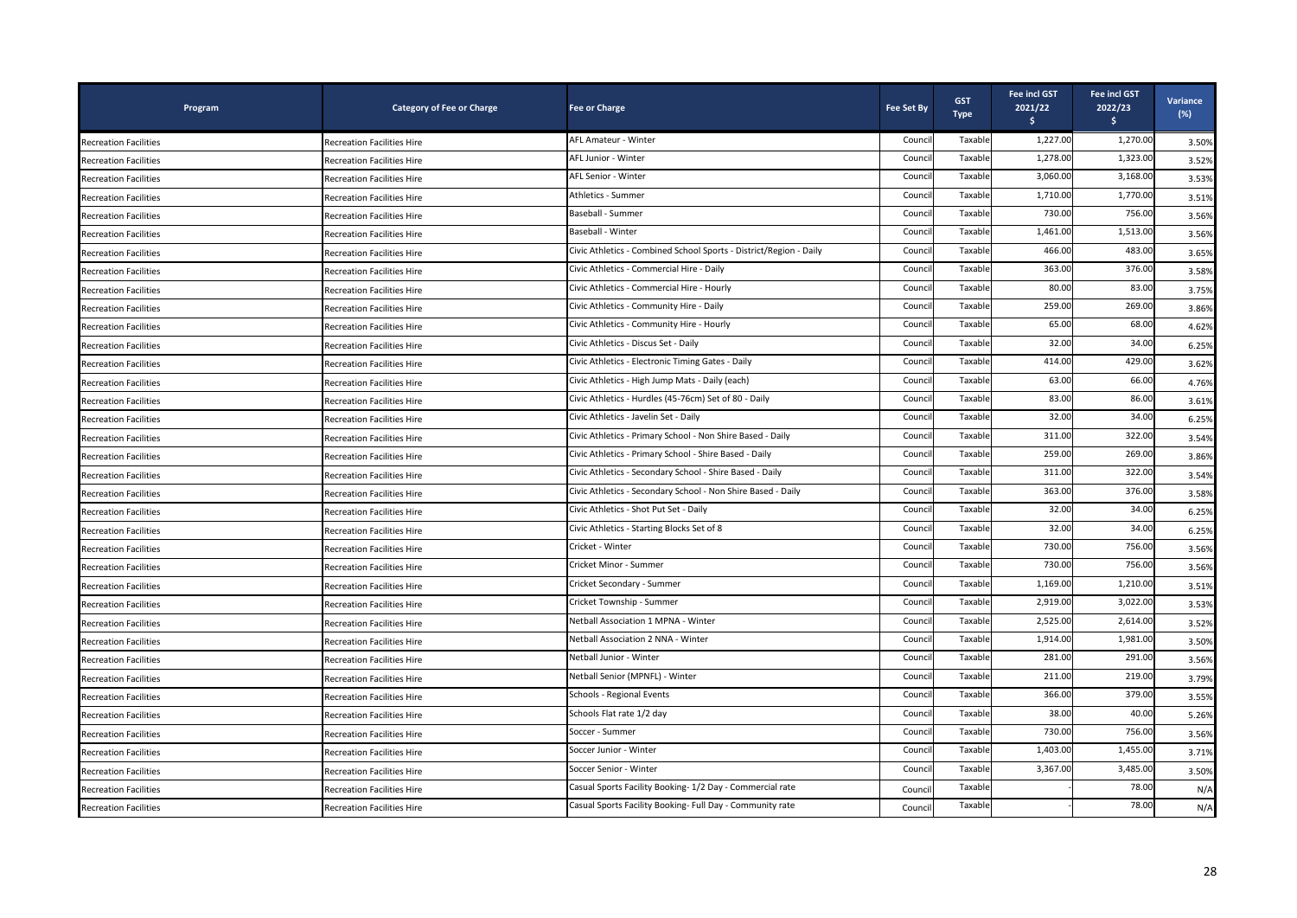| Program                      | <b>Category of Fee or Charge</b>  | <b>Fee or Charge</b>                                               | <b>Fee Set By</b> | <b>GST</b><br><b>Type</b> | <b>Fee incl GST</b><br>2021/22<br>ŝ. | Fee incl GST<br>2022/23<br>\$. | Variance<br>$(\%)$ |
|------------------------------|-----------------------------------|--------------------------------------------------------------------|-------------------|---------------------------|--------------------------------------|--------------------------------|--------------------|
| <b>Recreation Facilities</b> | <b>Recreation Facilities Hire</b> | AFL Amateur - Winter                                               | Counci            | Taxable                   | 1,227.00                             | 1,270.00                       | 3.50%              |
| <b>Recreation Facilities</b> | Recreation Facilities Hire        | AFL Junior - Winter                                                | Counci            | Taxable                   | 1,278.00                             | 1,323.00                       | 3.52%              |
| Recreation Facilities        | Recreation Facilities Hire        | AFL Senior - Winter                                                | Counci            | Taxable                   | 3,060.00                             | 3,168.00                       | 3.53%              |
| <b>Recreation Facilities</b> | <b>Recreation Facilities Hire</b> | Athletics - Summer                                                 | Counci            | Taxable                   | 1,710.00                             | 1,770.00                       | 3.51%              |
| <b>Recreation Facilities</b> | <b>Recreation Facilities Hire</b> | Baseball - Summer                                                  | Counci            | Taxable                   | 730.00                               | 756.00                         | 3.56%              |
| <b>Recreation Facilities</b> | <b>Recreation Facilities Hire</b> | Baseball - Winter                                                  | Counci            | Taxable                   | 1,461.00                             | 1,513.00                       | 3.56%              |
| <b>Recreation Facilities</b> | Recreation Facilities Hire        | Civic Athletics - Combined School Sports - District/Region - Daily | Counci            | Taxable                   | 466.00                               | 483.00                         | 3.65%              |
| <b>Recreation Facilities</b> | <b>Recreation Facilities Hire</b> | Civic Athletics - Commercial Hire - Daily                          | Counci            | Taxable                   | 363.00                               | 376.00                         | 3.58%              |
| <b>Recreation Facilities</b> | <b>Recreation Facilities Hire</b> | Civic Athletics - Commercial Hire - Hourly                         | Counci            | Taxable                   | 80.00                                | 83.00                          | 3.75%              |
| Recreation Facilities        | Recreation Facilities Hire        | Civic Athletics - Community Hire - Daily                           | Counci            | Taxable                   | 259.00                               | 269.00                         | 3.86%              |
| <b>Recreation Facilities</b> | <b>Recreation Facilities Hire</b> | Civic Athletics - Community Hire - Hourly                          | Counci            | Taxable                   | 65.00                                | 68.00                          | 4.62%              |
| <b>Recreation Facilities</b> | <b>Recreation Facilities Hire</b> | Civic Athletics - Discus Set - Daily                               | Counci            | Taxable                   | 32.00                                | 34.00                          | 6.25%              |
| <b>Recreation Facilities</b> | <b>Recreation Facilities Hire</b> | Civic Athletics - Electronic Timing Gates - Daily                  | Counci            | Taxable                   | 414.00                               | 429.00                         | 3.62%              |
| <b>Recreation Facilities</b> | <b>Recreation Facilities Hire</b> | Civic Athletics - High Jump Mats - Daily (each)                    | Counci            | Taxable                   | 63.00                                | 66.00                          | 4.76%              |
| <b>Recreation Facilities</b> | <b>Recreation Facilities Hire</b> | Civic Athletics - Hurdles (45-76cm) Set of 80 - Daily              | Counci            | Taxable                   | 83.00                                | 86.00                          | 3.61%              |
| Recreation Facilities        | Recreation Facilities Hire        | Civic Athletics - Javelin Set - Daily                              | Counci            | Taxable                   | 32.00                                | 34.00                          | 6.25%              |
| <b>Recreation Facilities</b> | Recreation Facilities Hire        | Civic Athletics - Primary School - Non Shire Based - Daily         | Counci            | Taxable                   | 311.00                               | 322.00                         | 3.54%              |
| <b>Recreation Facilities</b> | <b>Recreation Facilities Hire</b> | Civic Athletics - Primary School - Shire Based - Daily             | Counci            | Taxable                   | 259.00                               | 269.00                         | 3.86%              |
| <b>Recreation Facilities</b> | Recreation Facilities Hire        | Civic Athletics - Secondary School - Shire Based - Daily           | Counci            | Taxable                   | 311.00                               | 322.00                         | 3.54%              |
| <b>Recreation Facilities</b> | Recreation Facilities Hire        | Civic Athletics - Secondary School - Non Shire Based - Daily       | Counci            | Taxable                   | 363.00                               | 376.00                         | 3.58%              |
| <b>Recreation Facilities</b> | <b>Recreation Facilities Hire</b> | Civic Athletics - Shot Put Set - Daily                             | Counci            | Taxable                   | 32.00                                | 34.00                          | 6.25%              |
| <b>Recreation Facilities</b> | <b>Recreation Facilities Hire</b> | Civic Athletics - Starting Blocks Set of 8                         | Counci            | Taxable                   | 32.00                                | 34.00                          | 6.25%              |
| <b>Recreation Facilities</b> | <b>Recreation Facilities Hire</b> | Cricket - Winter                                                   | Counc             | Taxable                   | 730.00                               | 756.00                         | 3.56%              |
| <b>Recreation Facilities</b> | <b>Recreation Facilities Hire</b> | Cricket Minor - Summer                                             | Counci            | Taxable                   | 730.00                               | 756.00                         | 3.56%              |
| <b>Recreation Facilities</b> | <b>Recreation Facilities Hire</b> | Cricket Secondary - Summer                                         | Counci            | Taxable                   | 1,169.00                             | 1,210.00                       | 3.51%              |
| <b>Recreation Facilities</b> | <b>Recreation Facilities Hire</b> | Cricket Township - Summer                                          | Counci            | Taxable                   | 2,919.00                             | 3,022.00                       | 3.53%              |
| <b>Recreation Facilities</b> | Recreation Facilities Hire        | Netball Association 1 MPNA - Winter                                | Counci            | Taxable                   | 2,525.00                             | 2,614.00                       | 3.52%              |
| Recreation Facilities        | <b>Recreation Facilities Hire</b> | Netball Association 2 NNA - Winter                                 | Counci            | Taxable                   | 1,914.00                             | 1,981.00                       | 3.50%              |
| <b>Recreation Facilities</b> | <b>Recreation Facilities Hire</b> | Netball Junior - Winter                                            | Counci            | Taxable                   | 281.00                               | 291.00                         | 3.56%              |
| <b>Recreation Facilities</b> | <b>Recreation Facilities Hire</b> | Netball Senior (MPNFL) - Winter                                    | Counci            | Taxable                   | 211.00                               | 219.00                         | 3.79%              |
| <b>Recreation Facilities</b> | <b>Recreation Facilities Hire</b> | Schools - Regional Events                                          | Counci            | Taxable                   | 366.00                               | 379.00                         | 3.55%              |
| <b>Recreation Facilities</b> | Recreation Facilities Hire        | Schools Flat rate 1/2 day                                          | Counci            | Taxable                   | 38.00                                | 40.00                          | 5.26%              |
| <b>Recreation Facilities</b> | <b>Recreation Facilities Hire</b> | Soccer - Summer                                                    | Counci            | Taxable                   | 730.00                               | 756.00                         | 3.56%              |
| <b>Recreation Facilities</b> | <b>Recreation Facilities Hire</b> | Soccer Junior - Winter                                             | Counci            | Taxable                   | 1,403.00                             | 1,455.00                       | 3.71%              |
| <b>Recreation Facilities</b> | Recreation Facilities Hire        | Soccer Senior - Winter                                             | Counci            | Taxable                   | 3,367.00                             | 3,485.00                       | 3.50%              |
| <b>Recreation Facilities</b> | Recreation Facilities Hire        | Casual Sports Facility Booking-1/2 Day - Commercial rate           | Counci            | Taxable                   |                                      | 78.00                          | N/A                |
| <b>Recreation Facilities</b> | <b>Recreation Facilities Hire</b> | Casual Sports Facility Booking- Full Day - Community rate          | Council           | Taxable                   |                                      | 78.00                          | N/A                |